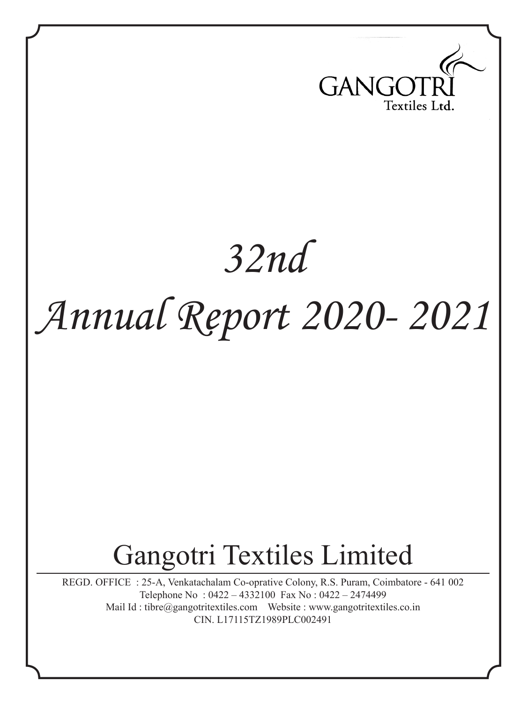

# *32nd Annual Report 2020- 2021*

## Gangotri Textiles Limited

REGD. OFFICE : 25-A, Venkatachalam Co-oprative Colony, R.S. Puram, Coimbatore - 641 002 Telephone No : 0422 – 4332100 Fax No : 0422 – 2474499 Mail Id : tibre@gangotritextiles.com Website : www.gangotritextiles.co.in CIN. L17115TZ1989PLC002491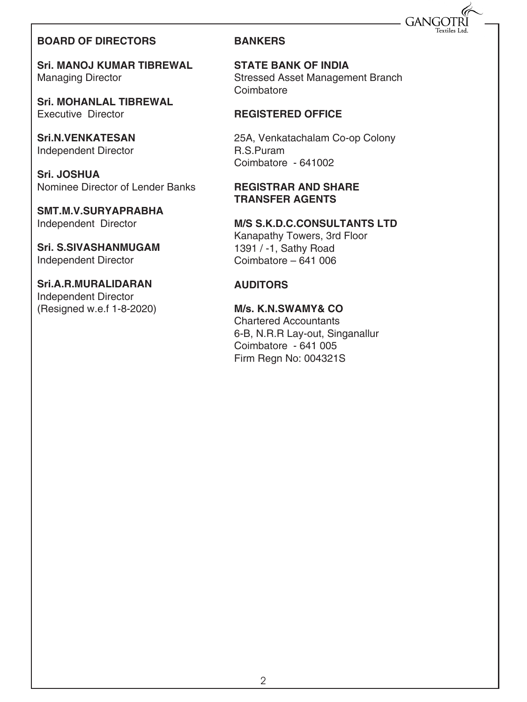## **GANG**

#### **BOARD OF DIRECTORS**

**Sri. MANOJ KUMAR TIBREWAL** Managing Director

**Sri. MOHANLAL TIBREWAL** Executive Director

**Sri.N.VENKATESAN**  Independent Director

**Sri. JOSHUA** Nominee Director of Lender Banks

**SMT.M.V.SURYAPRABHA** Independent Director

**Sri. S.SIVASHANMUGAM** Independent Director

**Sri.A.R.MURALIDARAN** Independent Director (Resigned w.e.f 1-8-2020)

#### **BANKERS**

**STATE BANK OF INDIA** Stressed Asset Management Branch **Coimbatore** 

#### **REGISTERED OFFICE**

25A, Venkatachalam Co-op Colony R.S.Puram Coimbatore - 641002

#### **REGISTRAR AND SHARE TRANSFER AGENTS**

**M/S S.K.D.C.CONSULTANTS LTD**  Kanapathy Towers, 3rd Floor 1391 / -1, Sathy Road Coimbatore – 641 006

#### **AUDITORS**

**M/s. K.N.SWAMY& CO** Chartered Accountants 6-B, N.R.R Lay-out, Singanallur Coimbatore - 641 005 Firm Regn No: 004321S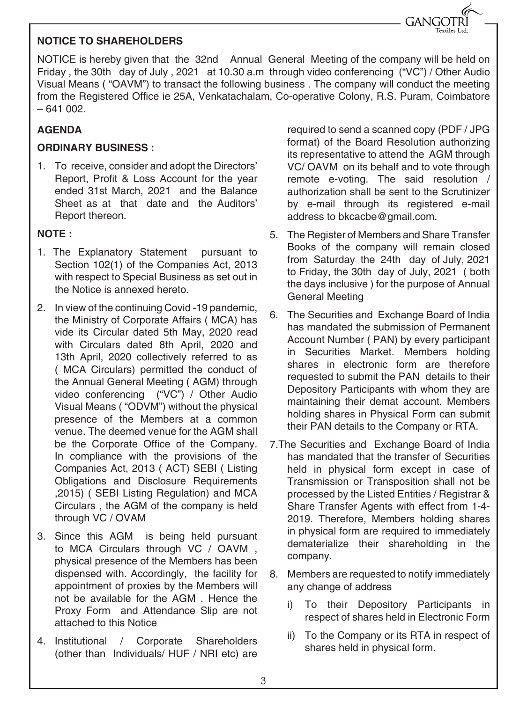#### **NOTICE TO SHAREHOLDERS**

NOTICE is hereby given that the 32nd Annual General Meeting of the company will be held on Friday , the 30th day of July , 2021 at 10.30 a.m through video conferencing ("VC") / Other Audio Visual Means ( "OAVM") to transact the following business . The company will conduct the meeting from the Registered Office ie 25A, Venkatachalam, Co-operative Colony, R.S. Puram, Coimbatore  $-641002.$ 

#### **AGENDA**

#### **ORDINARY BUSINESS :**

1. To receive, consider and adopt the Directors' Report, Profit & Loss Account for the year ended 31st March, 2021 and the Balance Sheet as at that date and the Auditors' Report thereon.

#### **NOTE :**

- 1. The Explanatory Statement pursuant to Section 102(1) of the Companies Act, 2013 with respect to Special Business as set out in the Notice is annexed hereto.
- 2. In view of the continuing Covid -19 pandemic, the Ministry of Corporate Affairs ( MCA) has vide its Circular dated 5th May, 2020 read with Circulars dated 8th April, 2020 and 13th April, 2020 collectively referred to as ( MCA Circulars) permitted the conduct of the Annual General Meeting ( AGM) through video conferencing ("VC") / Other Audio Visual Means ( "ODVM") without the physical presence of the Members at a common venue. The deemed venue for the AGM shall be the Corporate Office of the Company. In compliance with the provisions of the Companies Act, 2013 ( ACT) SEBI ( Listing Obligations and Disclosure Requirements ,2015) ( SEBI Listing Regulation) and MCA Circulars , the AGM of the company is held through VC / OVAM
- 3. Since this AGM is being held pursuant to MCA Circulars through VC / OAVM , physical presence of the Members has been dispensed with. Accordingly, the facility for appointment of proxies by the Members will not be available for the AGM . Hence the Proxy Form and Attendance Slip are not attached to this Notice
- 4. Institutional / Corporate Shareholders (other than Individuals/ HUF / NRI etc) are

required to send a scanned copy (PDF / JPG format) of the Board Resolution authorizing its representative to attend the AGM through VC/ OAVM on its behalf and to vote through remote e-voting. The said resolution / authorization shall be sent to the Scrutinizer by e-mail through its registered e-mail address to bkcacbe@gmail.com.

GANGOTRI

- 5. The Register of Members and Share Transfer Books of the company will remain closed from Saturday the 24th day of July, 2021 to Friday, the 30th day of July, 2021 ( both the days inclusive ) for the purpose of Annual General Meeting
- 6. The Securities and Exchange Board of India has mandated the submission of Permanent Account Number ( PAN) by every participant in Securities Market. Members holding shares in electronic form are therefore requested to submit the PAN details to their Depository Participants with whom they are maintaining their demat account. Members holding shares in Physical Form can submit their PAN details to the Company or RTA.
- 7.The Securities and Exchange Board of India has mandated that the transfer of Securities held in physical form except in case of Transmission or Transposition shall not be processed by the Listed Entities / Registrar & Share Transfer Agents with effect from 1-4- 2019. Therefore, Members holding shares in physical form are required to immediately dematerialize their shareholding in the company.
- 8. Members are requested to notify immediately any change of address
	- i) To their Depository Participants in respect of shares held in Electronic Form
	- ii) To the Company or its RTA in respect of shares held in physical form.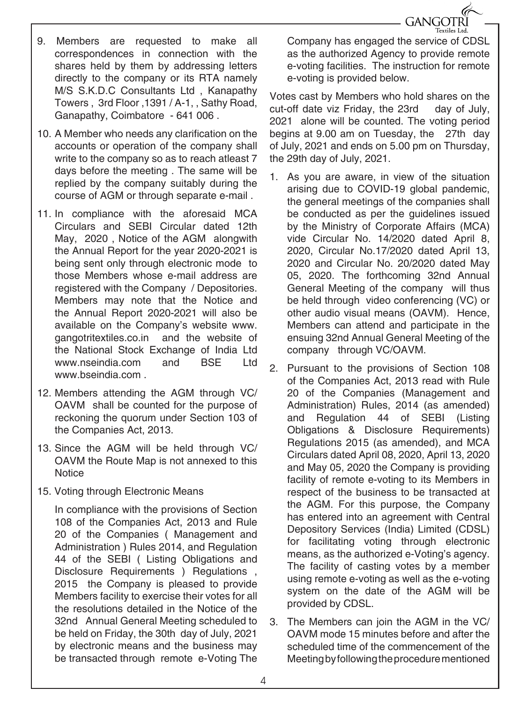

- 9. Members are requested to make all correspondences in connection with the shares held by them by addressing letters directly to the company or its RTA namely M/S S.K.D.C Consultants Ltd , Kanapathy Towers , 3rd Floor ,1391 / A-1, , Sathy Road, Ganapathy, Coimbatore - 641 006 .
- 10. A Member who needs any clarification on the accounts or operation of the company shall write to the company so as to reach atleast 7 days before the meeting . The same will be replied by the company suitably during the course of AGM or through separate e-mail .
- 11. In compliance with the aforesaid MCA Circulars and SEBI Circular dated 12th May, 2020 , Notice of the AGM alongwith the Annual Report for the year 2020-2021 is being sent only through electronic mode to those Members whose e-mail address are registered with the Company / Depositories. Members may note that the Notice and the Annual Report 2020-2021 will also be available on the Company's website www. gangotritextiles.co.in and the website of the National Stock Exchange of India Ltd www.nseindia.com and BSF Ltd www.bseindia.com
- 12. Members attending the AGM through VC/ OAVM shall be counted for the purpose of reckoning the quorum under Section 103 of the Companies Act, 2013.
- 13. Since the AGM will be held through VC/ OAVM the Route Map is not annexed to this **Notice**
- 15. Voting through Electronic Means

In compliance with the provisions of Section 108 of the Companies Act, 2013 and Rule 20 of the Companies ( Management and Administration ) Rules 2014, and Regulation 44 of the SEBI ( Listing Obligations and Disclosure Requirements ) Regulations , 2015 the Company is pleased to provide Members facility to exercise their votes for all the resolutions detailed in the Notice of the 32nd Annual General Meeting scheduled to be held on Friday, the 30th day of July, 2021 by electronic means and the business may be transacted through remote e-Voting The

Company has engaged the service of CDSL as the authorized Agency to provide remote e-voting facilities. The instruction for remote e-voting is provided below.

Votes cast by Members who hold shares on the cut-off date viz Friday, the 23rd day of July. 2021 alone will be counted. The voting period begins at 9.00 am on Tuesday, the 27th day of July, 2021 and ends on 5.00 pm on Thursday, the 29th day of July, 2021.

- 1. As you are aware, in view of the situation arising due to COVID-19 global pandemic, the general meetings of the companies shall be conducted as per the guidelines issued by the Ministry of Corporate Affairs (MCA) vide Circular No. 14/2020 dated April 8, 2020, Circular No.17/2020 dated April 13, 2020 and Circular No. 20/2020 dated May 05, 2020. The forthcoming 32nd Annual General Meeting of the company will thus be held through video conferencing (VC) or other audio visual means (OAVM). Hence, Members can attend and participate in the ensuing 32nd Annual General Meeting of the company through VC/OAVM.
- 2. Pursuant to the provisions of Section 108 of the Companies Act, 2013 read with Rule 20 of the Companies (Management and Administration) Rules, 2014 (as amended) and Regulation 44 of SEBI (Listing Obligations & Disclosure Requirements) Regulations 2015 (as amended), and MCA Circulars dated April 08, 2020, April 13, 2020 and May 05, 2020 the Company is providing facility of remote e-voting to its Members in respect of the business to be transacted at the AGM. For this purpose, the Company has entered into an agreement with Central Depository Services (India) Limited (CDSL) for facilitating voting through electronic means, as the authorized e-Voting's agency. The facility of casting votes by a member using remote e-voting as well as the e-voting system on the date of the AGM will be provided by CDSL.
- 3. The Members can join the AGM in the VC/ OAVM mode 15 minutes before and after the scheduled time of the commencement of the Meeting by following the procedure mentioned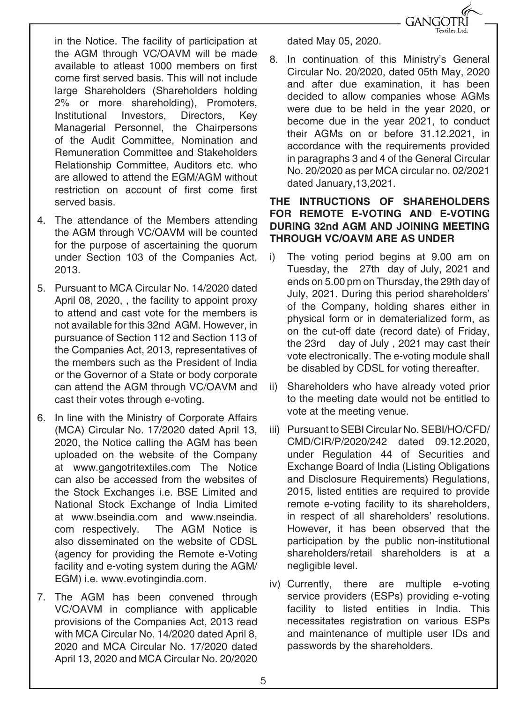

in the Notice. The facility of participation at the AGM through VC/OAVM will be made available to atleast 1000 members on first come first served basis. This will not include large Shareholders (Shareholders holding 2% or more shareholding), Promoters, Institutional Investors, Directors, Key Managerial Personnel, the Chairpersons of the Audit Committee, Nomination and Remuneration Committee and Stakeholders Relationship Committee, Auditors etc. who are allowed to attend the EGM/AGM without restriction on account of first come first served basis.

- 4. The attendance of the Members attending the AGM through VC/OAVM will be counted for the purpose of ascertaining the quorum under Section 103 of the Companies Act, 2013.
- 5. Pursuant to MCA Circular No. 14/2020 dated April 08, 2020, , the facility to appoint proxy to attend and cast vote for the members is not available for this 32nd AGM. However, in pursuance of Section 112 and Section 113 of the Companies Act, 2013, representatives of the members such as the President of India or the Governor of a State or body corporate can attend the AGM through VC/OAVM and cast their votes through e-voting.
- 6. In line with the Ministry of Corporate Affairs (MCA) Circular No. 17/2020 dated April 13, 2020, the Notice calling the AGM has been uploaded on the website of the Company at www.gangotritextiles.com The Notice can also be accessed from the websites of the Stock Exchanges i.e. BSE Limited and National Stock Exchange of India Limited at www.bseindia.com and www.nseindia. com respectively. The AGM Notice is also disseminated on the website of CDSL (agency for providing the Remote e-Voting facility and e-voting system during the AGM/ EGM) i.e. www.evotingindia.com.
- 7. The AGM has been convened through VC/OAVM in compliance with applicable provisions of the Companies Act, 2013 read with MCA Circular No. 14/2020 dated April 8, 2020 and MCA Circular No. 17/2020 dated April 13, 2020 and MCA Circular No. 20/2020

dated May 05, 2020.

8. In continuation of this Ministry's General Circular No. 20/2020, dated 05th May, 2020 and after due examination, it has been decided to allow companies whose AGMs were due to be held in the year 2020, or become due in the year 2021, to conduct their AGMs on or before 31.12.2021, in accordance with the requirements provided in paragraphs 3 and 4 of the General Circular No. 20/2020 as per MCA circular no. 02/2021 dated January,13,2021.

#### **THE INTRUCTIONS OF SHAREHOLDERS FOR REMOTE E-VOTING AND E-VOTING DURING 32nd AGM AND JOINING MEETING THROUGH VC/OAVM ARE AS UNDER**

- i) The voting period begins at 9.00 am on Tuesday, the 27th day of July, 2021 and ends on 5.00 pm on Thursday, the 29th day of July, 2021. During this period shareholders' of the Company, holding shares either in physical form or in dematerialized form, as on the cut-off date (record date) of Friday, the 23rd day of July , 2021 may cast their vote electronically. The e-voting module shall be disabled by CDSL for voting thereafter.
- ii) Shareholders who have already voted prior to the meeting date would not be entitled to vote at the meeting venue.
- iii) Pursuant to SEBI Circular No. SEBI/HO/CFD/ CMD/CIR/P/2020/242 dated 09.12.2020, under Regulation 44 of Securities and Exchange Board of India (Listing Obligations and Disclosure Requirements) Regulations, 2015, listed entities are required to provide remote e-voting facility to its shareholders, in respect of all shareholders' resolutions. However, it has been observed that the participation by the public non-institutional shareholders/retail shareholders is at a negligible level.
- iv) Currently, there are multiple e-voting service providers (ESPs) providing e-voting facility to listed entities in India. This necessitates registration on various ESPs and maintenance of multiple user IDs and passwords by the shareholders.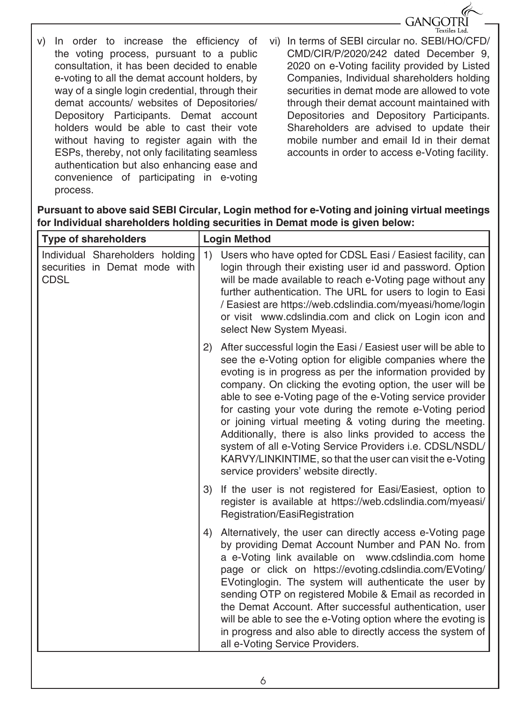

- v) In order to increase the efficiency of the voting process, pursuant to a public consultation, it has been decided to enable e-voting to all the demat account holders, by way of a single login credential, through their demat accounts/ websites of Depositories/ Depository Participants. Demat account holders would be able to cast their vote without having to register again with the ESPs, thereby, not only facilitating seamless authentication but also enhancing ease and convenience of participating in e-voting process.
- vi) In terms of SEBI circular no. SEBI/HO/CFD/ CMD/CIR/P/2020/242 dated December 9, 2020 on e-Voting facility provided by Listed Companies, Individual shareholders holding securities in demat mode are allowed to vote through their demat account maintained with Depositories and Depository Participants. Shareholders are advised to update their mobile number and email Id in their demat accounts in order to access e-Voting facility.

**Pursuant to above said SEBI Circular, Login method for e-Voting and joining virtual meetings for Individual shareholders holding securities in Demat mode is given below:**

| <b>Type of shareholders</b>                                                     | <b>Login Method</b>                                                                                                                                                                                                                                                                                                                                                                                                                                                                                                                                                                                                                                                      |  |  |
|---------------------------------------------------------------------------------|--------------------------------------------------------------------------------------------------------------------------------------------------------------------------------------------------------------------------------------------------------------------------------------------------------------------------------------------------------------------------------------------------------------------------------------------------------------------------------------------------------------------------------------------------------------------------------------------------------------------------------------------------------------------------|--|--|
| Individual Shareholders holding<br>securities in Demat mode with<br><b>CDSL</b> | Users who have opted for CDSL Easi / Easiest facility, can<br>1)<br>login through their existing user id and password. Option<br>will be made available to reach e-Voting page without any<br>further authentication. The URL for users to login to Easi<br>/ Easiest are https://web.cdslindia.com/myeasi/home/login<br>or visit www.cdslindia.com and click on Login icon and<br>select New System Myeasi.                                                                                                                                                                                                                                                             |  |  |
|                                                                                 | 2) After successful login the Easi / Easiest user will be able to<br>see the e-Voting option for eligible companies where the<br>evoting is in progress as per the information provided by<br>company. On clicking the evoting option, the user will be<br>able to see e-Voting page of the e-Voting service provider<br>for casting your vote during the remote e-Voting period<br>or joining virtual meeting & voting during the meeting.<br>Additionally, there is also links provided to access the<br>system of all e-Voting Service Providers i.e. CDSL/NSDL/<br>KARVY/LINKINTIME, so that the user can visit the e-Voting<br>service providers' website directly. |  |  |
|                                                                                 | If the user is not registered for Easi/Easiest, option to<br>3)<br>register is available at https://web.cdslindia.com/myeasi/<br>Registration/EasiRegistration                                                                                                                                                                                                                                                                                                                                                                                                                                                                                                           |  |  |
|                                                                                 | 4) Alternatively, the user can directly access e-Voting page<br>by providing Demat Account Number and PAN No. from<br>a e-Voting link available on www.cdslindia.com home<br>page or click on https://evoting.cdslindia.com/EVoting/<br>EVotinglogin. The system will authenticate the user by<br>sending OTP on registered Mobile & Email as recorded in<br>the Demat Account. After successful authentication, user<br>will be able to see the e-Voting option where the evoting is<br>in progress and also able to directly access the system of<br>all e-Voting Service Providers.                                                                                   |  |  |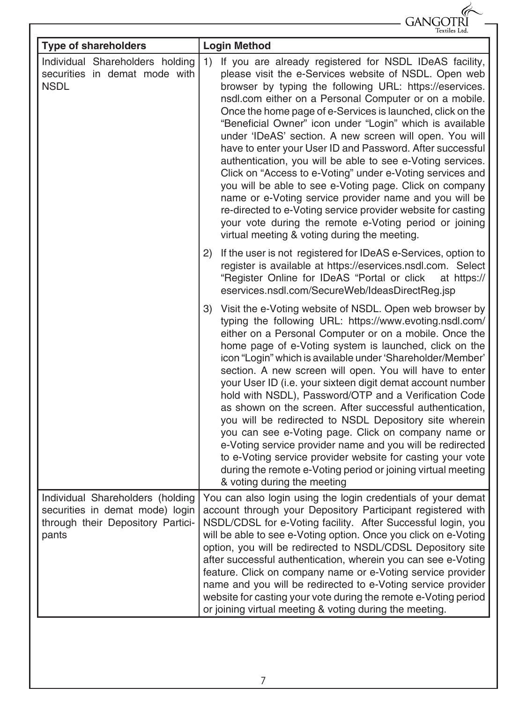|                                                                                                                   | Gangot                                                                                                                                                                                                                                                                                                                                                                                                                                                                                                                                                                                                                                                                                                                                                                                                                                                                                                                 |
|-------------------------------------------------------------------------------------------------------------------|------------------------------------------------------------------------------------------------------------------------------------------------------------------------------------------------------------------------------------------------------------------------------------------------------------------------------------------------------------------------------------------------------------------------------------------------------------------------------------------------------------------------------------------------------------------------------------------------------------------------------------------------------------------------------------------------------------------------------------------------------------------------------------------------------------------------------------------------------------------------------------------------------------------------|
| <b>Type of shareholders</b>                                                                                       | Textiles Ltd<br><b>Login Method</b>                                                                                                                                                                                                                                                                                                                                                                                                                                                                                                                                                                                                                                                                                                                                                                                                                                                                                    |
| Individual Shareholders holding<br>securities in demat mode with<br><b>NSDL</b>                                   | If you are already registered for NSDL IDeAS facility,<br>1)<br>please visit the e-Services website of NSDL. Open web<br>browser by typing the following URL: https://eservices.<br>nsdl.com either on a Personal Computer or on a mobile.<br>Once the home page of e-Services is launched, click on the<br>"Beneficial Owner" icon under "Login" which is available<br>under 'IDeAS' section. A new screen will open. You will<br>have to enter your User ID and Password. After successful<br>authentication, you will be able to see e-Voting services.<br>Click on "Access to e-Voting" under e-Voting services and<br>you will be able to see e-Voting page. Click on company<br>name or e-Voting service provider name and you will be<br>re-directed to e-Voting service provider website for casting<br>your vote during the remote e-Voting period or joining<br>virtual meeting & voting during the meeting. |
|                                                                                                                   | (2)<br>If the user is not registered for IDeAS e-Services, option to<br>register is available at https://eservices.nsdl.com. Select<br>"Register Online for IDeAS "Portal or click<br>at https://<br>eservices.nsdl.com/SecureWeb/IdeasDirectReg.jsp                                                                                                                                                                                                                                                                                                                                                                                                                                                                                                                                                                                                                                                                   |
|                                                                                                                   | Visit the e-Voting website of NSDL. Open web browser by<br>3)<br>typing the following URL: https://www.evoting.nsdl.com/<br>either on a Personal Computer or on a mobile. Once the<br>home page of e-Voting system is launched, click on the<br>icon "Login" which is available under 'Shareholder/Member'<br>section. A new screen will open. You will have to enter<br>your User ID (i.e. your sixteen digit demat account number<br>hold with NSDL), Password/OTP and a Verification Code<br>as shown on the screen. After successful authentication,<br>you will be redirected to NSDL Depository site wherein<br>you can see e-Voting page. Click on company name or<br>e-Voting service provider name and you will be redirected<br>to e-Voting service provider website for casting your vote<br>during the remote e-Voting period or joining virtual meeting<br>& voting during the meeting                    |
| Individual Shareholders (holding<br>securities in demat mode) login<br>through their Depository Partici-<br>pants | You can also login using the login credentials of your demat<br>account through your Depository Participant registered with<br>NSDL/CDSL for e-Voting facility. After Successful login, you<br>will be able to see e-Voting option. Once you click on e-Voting<br>option, you will be redirected to NSDL/CDSL Depository site<br>after successful authentication, wherein you can see e-Voting<br>feature. Click on company name or e-Voting service provider<br>name and you will be redirected to e-Voting service provider<br>website for casting your vote during the remote e-Voting period<br>or joining virtual meeting & voting during the meeting.                                                                                                                                                                                                                                                            |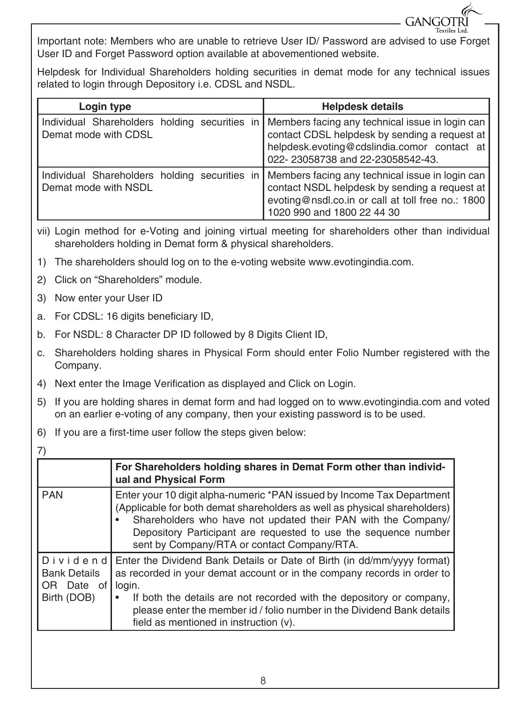Important note: Members who are unable to retrieve User ID/ Password are advised to use Forget User ID and Forget Password option available at abovementioned website.

**GANGOTR** 

Helpdesk for Individual Shareholders holding securities in demat mode for any technical issues related to login through Depository i.e. CDSL and NSDL.

| Login type                                                            | <b>Helpdesk details</b>                                                                                                                                                             |
|-----------------------------------------------------------------------|-------------------------------------------------------------------------------------------------------------------------------------------------------------------------------------|
| Individual Shareholders holding securities in<br>Demat mode with CDSL | Members facing any technical issue in login can<br>contact CDSL helpdesk by sending a request at<br>helpdesk.evoting@cdslindia.comor contact at<br>022-23058738 and 22-23058542-43. |
| Individual Shareholders holding securities in<br>Demat mode with NSDL | Members facing any technical issue in login can<br>contact NSDL helpdesk by sending a request at<br>evoting@nsdl.co.in or call at toll free no.: 1800<br>1020 990 and 1800 22 44 30 |

- vii) Login method for e-Voting and joining virtual meeting for shareholders other than individual shareholders holding in Demat form & physical shareholders.
- 1) The shareholders should log on to the e-voting website www.evotingindia.com.
- 2) Click on "Shareholders" module.
- 3) Now enter your User ID
- a. For CDSL: 16 digits beneficiary ID,
- b. For NSDL: 8 Character DP ID followed by 8 Digits Client ID,
- c. Shareholders holding shares in Physical Form should enter Folio Number registered with the Company.
- 4) Next enter the Image Verification as displayed and Click on Login.
- 5) If you are holding shares in demat form and had logged on to www.evotingindia.com and voted on an earlier e-voting of any company, then your existing password is to be used.
- 6) If you are a first-time user follow the steps given below:

|                                                                 | For Shareholders holding shares in Demat Form other than individ-<br>ual and Physical Form                                                                                                                                                                                                                                                               |
|-----------------------------------------------------------------|----------------------------------------------------------------------------------------------------------------------------------------------------------------------------------------------------------------------------------------------------------------------------------------------------------------------------------------------------------|
| <b>PAN</b>                                                      | Enter your 10 digit alpha-numeric *PAN issued by Income Tax Department<br>(Applicable for both demat shareholders as well as physical shareholders)<br>Shareholders who have not updated their PAN with the Company/<br>Depository Participant are requested to use the sequence number<br>sent by Company/RTA or contact Company/RTA.                   |
| Dividend<br><b>Bank Details</b><br>Date of<br>OR<br>Birth (DOB) | Enter the Dividend Bank Details or Date of Birth (in dd/mm/yyyy format)<br>as recorded in your demat account or in the company records in order to<br>login.<br>If both the details are not recorded with the depository or company,<br>please enter the member id / folio number in the Dividend Bank details<br>field as mentioned in instruction (v). |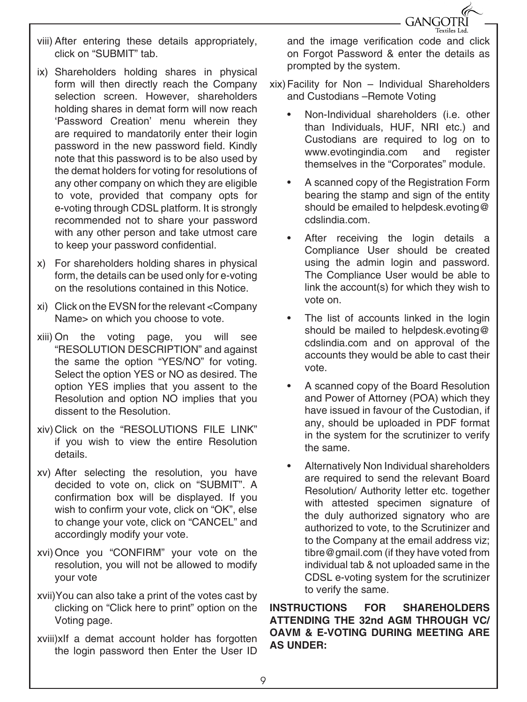

- viii) After entering these details appropriately, click on "SUBMIT" tab.
- ix) Shareholders holding shares in physical form will then directly reach the Company selection screen. However, shareholders holding shares in demat form will now reach 'Password Creation' menu wherein they are required to mandatorily enter their login password in the new password field. Kindly note that this password is to be also used by the demat holders for voting for resolutions of any other company on which they are eligible to vote, provided that company opts for e-voting through CDSL platform. It is strongly recommended not to share your password with any other person and take utmost care to keep your password confidential.
- x) For shareholders holding shares in physical form, the details can be used only for e-voting on the resolutions contained in this Notice.
- xi) Click on the EVSN for the relevant <Company Name> on which you choose to vote.
- xiii) On the voting page, you will see "RESOLUTION DESCRIPTION" and against the same the option "YES/NO" for voting. Select the option YES or NO as desired. The option YES implies that you assent to the Resolution and option NO implies that you dissent to the Resolution.
- xiv) Click on the "RESOLUTIONS FILE LINK" if you wish to view the entire Resolution details.
- xv) After selecting the resolution, you have decided to vote on, click on "SUBMIT". A confirmation box will be displayed. If you wish to confirm your vote, click on "OK", else to change your vote, click on "CANCEL" and accordingly modify your vote.
- xvi)Once you "CONFIRM" your vote on the resolution, you will not be allowed to modify your vote
- xvii)You can also take a print of the votes cast by clicking on "Click here to print" option on the Voting page.
- xviii)xIf a demat account holder has forgotten the login password then Enter the User ID

and the image verification code and click on Forgot Password & enter the details as prompted by the system.

- xix)Facility for Non Individual Shareholders and Custodians –Remote Voting
	- Non-Individual shareholders (i.e. other than Individuals, HUF, NRI etc.) and Custodians are required to log on to www.evotingindia.com and register themselves in the "Corporates" module.
	- A scanned copy of the Registration Form bearing the stamp and sign of the entity should be emailed to helpdesk.evoting@ cdslindia.com.
	- After receiving the login details a Compliance User should be created using the admin login and password. The Compliance User would be able to link the account(s) for which they wish to vote on.
	- The list of accounts linked in the login should be mailed to helpdesk.evoting@ cdslindia.com and on approval of the accounts they would be able to cast their vote.
	- A scanned copy of the Board Resolution and Power of Attorney (POA) which they have issued in favour of the Custodian, if any, should be uploaded in PDF format in the system for the scrutinizer to verify the same.
	- Alternatively Non Individual shareholders are required to send the relevant Board Resolution/ Authority letter etc. together with attested specimen signature of the duly authorized signatory who are authorized to vote, to the Scrutinizer and to the Company at the email address viz; tibre@gmail.com (if they have voted from individual tab & not uploaded same in the CDSL e-voting system for the scrutinizer to verify the same.

**INSTRUCTIONS FOR SHAREHOLDERS ATTENDING THE 32nd AGM THROUGH VC/ OAVM & E-VOTING DURING MEETING ARE AS UNDER:**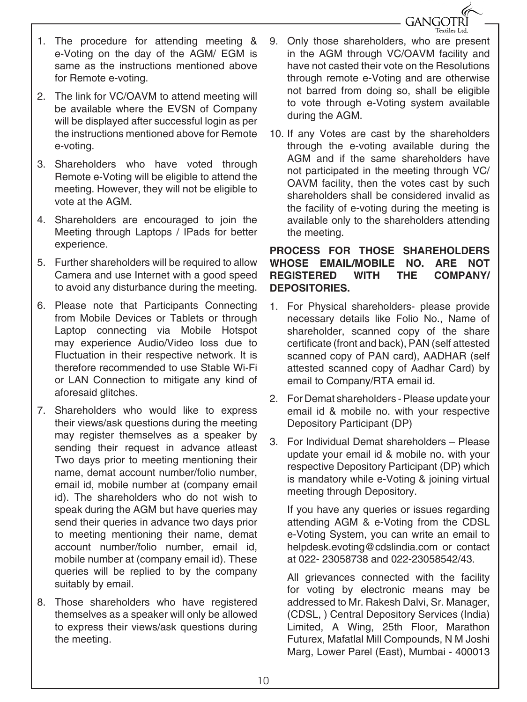

- 1. The procedure for attending meeting & e-Voting on the day of the AGM/ EGM is same as the instructions mentioned above for Remote e-voting.
- 2. The link for VC/OAVM to attend meeting will be available where the EVSN of Company will be displayed after successful login as per the instructions mentioned above for Remote e-voting.
- 3. Shareholders who have voted through Remote e-Voting will be eligible to attend the meeting. However, they will not be eligible to vote at the AGM.
- 4. Shareholders are encouraged to join the Meeting through Laptops / IPads for better experience.
- 5. Further shareholders will be required to allow Camera and use Internet with a good speed to avoid any disturbance during the meeting.
- 6. Please note that Participants Connecting from Mobile Devices or Tablets or through Laptop connecting via Mobile Hotspot may experience Audio/Video loss due to Fluctuation in their respective network. It is therefore recommended to use Stable Wi-Fi or LAN Connection to mitigate any kind of aforesaid glitches.
- 7. Shareholders who would like to express their views/ask questions during the meeting may register themselves as a speaker by sending their request in advance atleast Two days prior to meeting mentioning their name, demat account number/folio number, email id, mobile number at (company email id). The shareholders who do not wish to speak during the AGM but have queries may send their queries in advance two days prior to meeting mentioning their name, demat account number/folio number, email id, mobile number at (company email id). These queries will be replied to by the company suitably by email.
- 8. Those shareholders who have registered themselves as a speaker will only be allowed to express their views/ask questions during the meeting.
- 9. Only those shareholders, who are present in the AGM through VC/OAVM facility and have not casted their vote on the Resolutions through remote e-Voting and are otherwise not barred from doing so, shall be eligible to vote through e-Voting system available during the AGM.
- 10. If any Votes are cast by the shareholders through the e-voting available during the AGM and if the same shareholders have not participated in the meeting through VC/ OAVM facility, then the votes cast by such shareholders shall be considered invalid as the facility of e-voting during the meeting is available only to the shareholders attending the meeting.

#### **PROCESS FOR THOSE SHAREHOLDERS WHOSE EMAIL/MOBILE NO. ARE NOT REGISTERED WITH THE COMPANY/ DEPOSITORIES.**

- 1. For Physical shareholders- please provide necessary details like Folio No., Name of shareholder, scanned copy of the share certificate (front and back), PAN (self attested scanned copy of PAN card), AADHAR (self attested scanned copy of Aadhar Card) by email to Company/RTA email id.
- 2. For Demat shareholders Please update your email id & mobile no. with your respective Depository Participant (DP)
- 3. For Individual Demat shareholders Please update your email id & mobile no. with your respective Depository Participant (DP) which is mandatory while e-Voting & joining virtual meeting through Depository.

If you have any queries or issues regarding attending AGM & e-Voting from the CDSL e-Voting System, you can write an email to helpdesk.evoting@cdslindia.com or contact at 022- 23058738 and 022-23058542/43.

All grievances connected with the facility for voting by electronic means may be addressed to Mr. Rakesh Dalvi, Sr. Manager, (CDSL, ) Central Depository Services (India) Limited, A Wing, 25th Floor, Marathon Futurex, Mafatlal Mill Compounds, N M Joshi Marg, Lower Parel (East), Mumbai - 400013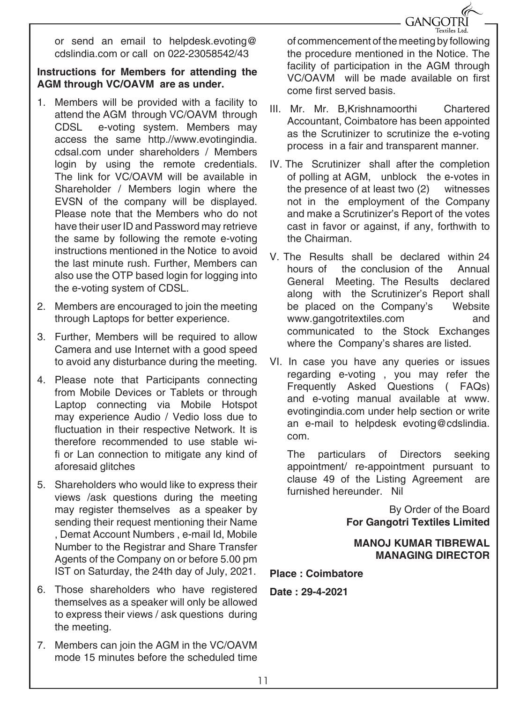**GANGOTRI** 

or send an email to helpdesk.evoting@ cdslindia.com or call on 022-23058542/43

#### **Instructions for Members for attending the AGM through VC/OAVM are as under.**

- 1. Members will be provided with a facility to attend the AGM through VC/OAVM through CDSL e-voting system. Members may access the same http.//www.evotingindia. cdsal.com under shareholders / Members login by using the remote credentials. The link for VC/OAVM will be available in Shareholder / Members login where the EVSN of the company will be displayed. Please note that the Members who do not have their user ID and Password may retrieve the same by following the remote e-voting instructions mentioned in the Notice to avoid the last minute rush. Further, Members can also use the OTP based login for logging into the e-voting system of CDSL.
- 2. Members are encouraged to join the meeting through Laptops for better experience.
- 3. Further, Members will be required to allow Camera and use Internet with a good speed to avoid any disturbance during the meeting.
- 4. Please note that Participants connecting from Mobile Devices or Tablets or through Laptop connecting via Mobile Hotspot may experience Audio / Vedio loss due to fluctuation in their respective Network. It is therefore recommended to use stable wifi or Lan connection to mitigate any kind of aforesaid glitches
- 5. Shareholders who would like to express their views /ask questions during the meeting may register themselves as a speaker by sending their request mentioning their Name , Demat Account Numbers , e-mail Id, Mobile Number to the Registrar and Share Transfer Agents of the Company on or before 5.00 pm IST on Saturday, the 24th day of July, 2021.
- 6. Those shareholders who have registered themselves as a speaker will only be allowed to express their views / ask questions during the meeting.
- 7. Members can join the AGM in the VC/OAVM mode 15 minutes before the scheduled time

of commencement of the meeting by following the procedure mentioned in the Notice. The facility of participation in the AGM through VC/OAVM will be made available on first come first served basis.

- III. Mr. Mr. B,Krishnamoorthi Chartered Accountant, Coimbatore has been appointed as the Scrutinizer to scrutinize the e-voting process in a fair and transparent manner.
- IV. The Scrutinizer shall after the completion of polling at AGM, unblock the e-votes in the presence of at least two (2) witnesses not in the employment of the Company and make a Scrutinizer's Report of the votes cast in favor or against, if any, forthwith to the Chairman.
- V. The Results shall be declared within 24 hours of the conclusion of the Annual General Meeting. The Results declared along with the Scrutinizer's Report shall be placed on the Company's Website www.gangotritextiles.com and communicated to the Stock Exchanges where the Company's shares are listed.
- VI. In case you have any queries or issues regarding e-voting , you may refer the Frequently Asked Questions ( FAQs) and e-voting manual available at www. evotingindia.com under help section or write an e-mail to helpdesk evoting@cdslindia. com.

The particulars of Directors seeking appointment/ re-appointment pursuant to clause 49 of the Listing Agreement are furnished hereunder. Nil

> By Order of the Board **For Gangotri Textiles Limited**

#### **MANOJ KUMAR TIBREWAL MANAGING DIRECTOR**

**Place : Coimbatore**

**Date : 29-4-2021**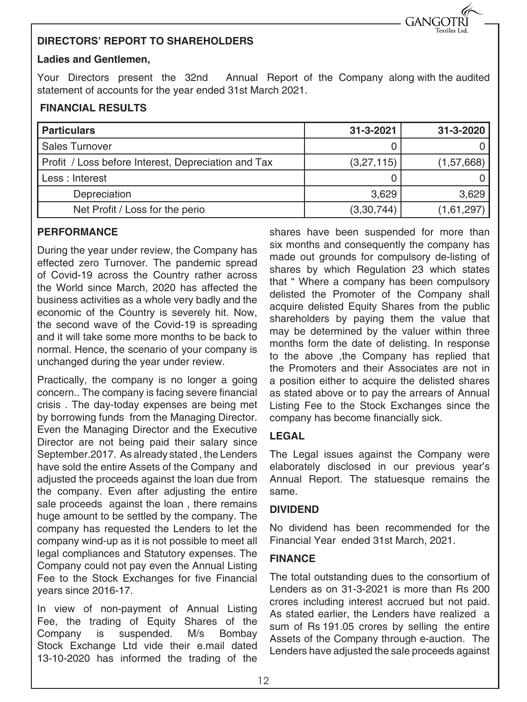#### **DIRECTORS' REPORT TO SHAREHOLDERS**

#### **Ladies and Gentlemen,**

Your Directors present the 32nd Annual Report of the Company along with the audited statement of accounts for the year ended 31st March 2021.

#### **FINANCIAL RESULTS**

| <b>Particulars</b>                                  | $31 - 3 - 2021$ | 31-3-2020    |
|-----------------------------------------------------|-----------------|--------------|
| <b>Sales Turnover</b>                               |                 |              |
| Profit / Loss before Interest, Depreciation and Tax | (3,27,115)      | (1, 57, 668) |
| Less : Interest                                     |                 |              |
| Depreciation                                        | 3.629           | 3,629        |
| Net Profit / Loss for the perio                     | (3,30,744)      | (1,61,297)   |

#### **PERFORMANCE**

During the year under review, the Company has effected zero Turnover. The pandemic spread of Covid-19 across the Country rather across the World since March, 2020 has affected the business activities as a whole very badly and the economic of the Country is severely hit. Now, the second wave of the Covid-19 is spreading and it will take some more months to be back to normal. Hence, the scenario of your company is unchanged during the year under review.

Practically, the company is no longer a going concern.. The company is facing severe financial crisis . The day-today expenses are being met by borrowing funds from the Managing Director. Even the Managing Director and the Executive Director are not being paid their salary since September.2017. As already stated , the Lenders have sold the entire Assets of the Company and adjusted the proceeds against the loan due from the company. Even after adjusting the entire sale proceeds against the loan , there remains huge amount to be settled by the company. The company has requested the Lenders to let the company wind-up as it is not possible to meet all legal compliances and Statutory expenses. The Company could not pay even the Annual Listing Fee to the Stock Exchanges for five Financial years since 2016-17.

In view of non-payment of Annual Listing Fee, the trading of Equity Shares of the Company is suspended. M/s Bombay Stock Exchange Ltd vide their e.mail dated 13-10-2020 has informed the trading of the

shares have been suspended for more than six months and consequently the company has made out grounds for compulsory de-listing of shares by which Regulation 23 which states that " Where a company has been compulsory delisted the Promoter of the Company shall acquire delisted Equity Shares from the public shareholders by paying them the value that may be determined by the valuer within three months form the date of delisting. In response to the above ,the Company has replied that the Promoters and their Associates are not in a position either to acquire the delisted shares as stated above or to pay the arrears of Annual Listing Fee to the Stock Exchanges since the company has become financially sick.

**GANGOTR** 

#### **LEGAL**

The Legal issues against the Company were elaborately disclosed in our previous year's Annual Report. The statuesque remains the same.

#### **DIVIDEND**

No dividend has been recommended for the Financial Year ended 31st March, 2021.

#### **FINANCE**

The total outstanding dues to the consortium of Lenders as on 31-3-2021 is more than Rs 200 crores including interest accrued but not paid. As stated earlier, the Lenders have realized a sum of Rs 191.05 crores by selling the entire Assets of the Company through e-auction. The Lenders have adjusted the sale proceeds against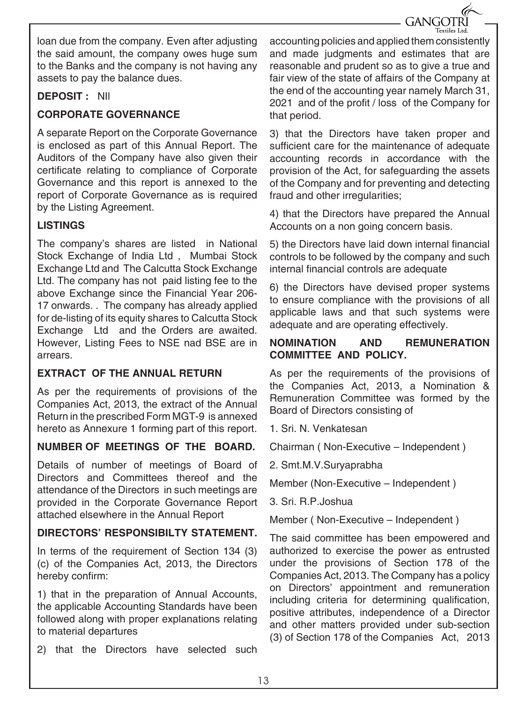**GANGOTRI** 

loan due from the company. Even after adjusting the said amount, the company owes huge sum to the Banks and the company is not having any assets to pay the balance dues.

#### **DEPOSIT :** NIl

#### **CORPORATE GOVERNANCE**

A separate Report on the Corporate Governance is enclosed as part of this Annual Report. The Auditors of the Company have also given their certificate relating to compliance of Corporate Governance and this report is annexed to the report of Corporate Governance as is required by the Listing Agreement.

#### **LISTINGS**

The company's shares are listed in National Stock Exchange of India Ltd , Mumbai Stock Exchange Ltd and The Calcutta Stock Exchange Ltd. The company has not paid listing fee to the above Exchange since the Financial Year 206- 17 onwards. . The company has already applied for de-listing of its equity shares to Calcutta Stock Exchange Ltd and the Orders are awaited. However, Listing Fees to NSE nad BSE are in arrears.

#### **EXTRACT OF THE ANNUAL RETURN**

As per the requirements of provisions of the Companies Act, 2013, the extract of the Annual Return in the prescribed Form MGT-9 is annexed hereto as Annexure 1 forming part of this report.

#### **NUMBER OF MEETINGS OF THE BOARD.**

Details of number of meetings of Board of Directors and Committees thereof and the attendance of the Directors in such meetings are provided in the Corporate Governance Report attached elsewhere in the Annual Report

#### **DIRECTORS' RESPONSIBILTY STATEMENT.**

In terms of the requirement of Section 134 (3) (c) of the Companies Act, 2013, the Directors hereby confirm:

1) that in the preparation of Annual Accounts, the applicable Accounting Standards have been followed along with proper explanations relating to material departures

2) that the Directors have selected such

accounting policies and applied them consistently and made judgments and estimates that are reasonable and prudent so as to give a true and fair view of the state of affairs of the Company at the end of the accounting year namely March 31, 2021 and of the profit / loss of the Company for that period.

3) that the Directors have taken proper and sufficient care for the maintenance of adequate accounting records in accordance with the provision of the Act, for safeguarding the assets of the Company and for preventing and detecting fraud and other irregularities;

4) that the Directors have prepared the Annual Accounts on a non going concern basis.

5) the Directors have laid down internal financial controls to be followed by the company and such internal financial controls are adequate

6) the Directors have devised proper systems to ensure compliance with the provisions of all applicable laws and that such systems were adequate and are operating effectively.

#### **NOMINATION AND REMUNERATION COMMITTEE AND POLICY.**

As per the requirements of the provisions of the Companies Act, 2013, a Nomination & Remuneration Committee was formed by the Board of Directors consisting of

1. Sri. N. Venkatesan

Chairman ( Non-Executive – Independent )

2. Smt.M.V.Suryaprabha

Member (Non-Executive – Independent )

3. Sri. R.P.Joshua

Member ( Non-Executive – Independent )

The said committee has been empowered and authorized to exercise the power as entrusted under the provisions of Section 178 of the Companies Act, 2013. The Company has a policy on Directors' appointment and remuneration including criteria for determining qualification, positive attributes, independence of a Director and other matters provided under sub-section (3) of Section 178 of the Companies Act, 2013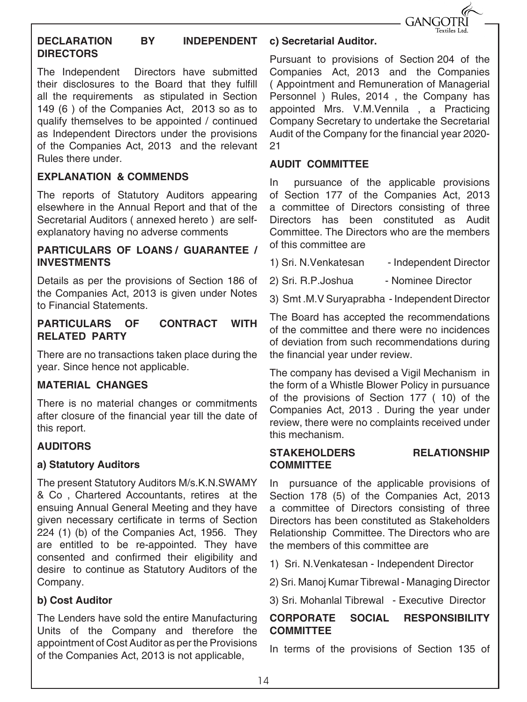

#### **DECLARATION BY INDEPENDENT DIRECTORS**

The Independent Directors have submitted their disclosures to the Board that they fulfill all the requirements as stipulated in Section 149 (6 ) of the Companies Act, 2013 so as to qualify themselves to be appointed / continued as Independent Directors under the provisions of the Companies Act, 2013 and the relevant Rules there under.

#### **EXPLANATION & COMMENDS**

The reports of Statutory Auditors appearing elsewhere in the Annual Report and that of the Secretarial Auditors ( annexed hereto ) are selfexplanatory having no adverse comments

#### **PARTICULARS OF LOANS / GUARANTEE / INVESTMENTS**

Details as per the provisions of Section 186 of the Companies Act, 2013 is given under Notes to Financial Statements.

#### **PARTICULARS OF CONTRACT WITH RELATED PARTY**

There are no transactions taken place during the year. Since hence not applicable.

#### **MATERIAL CHANGES**

There is no material changes or commitments after closure of the financial year till the date of this report.

#### **AUDITORS**

#### **a) Statutory Auditors**

The present Statutory Auditors M/s.K.N.SWAMY & Co , Chartered Accountants, retires at the ensuing Annual General Meeting and they have given necessary certificate in terms of Section 224 (1) (b) of the Companies Act, 1956. They are entitled to be re-appointed. They have consented and confirmed their eligibility and desire to continue as Statutory Auditors of the Company.

#### **b) Cost Auditor**

The Lenders have sold the entire Manufacturing Units of the Company and therefore the appointment of Cost Auditor as per the Provisions of the Companies Act, 2013 is not applicable,

#### **c) Secretarial Auditor.**

Pursuant to provisions of Section 204 of the Companies Act, 2013 and the Companies ( Appointment and Remuneration of Managerial Personnel ) Rules, 2014 , the Company has appointed Mrs. V.M.Vennila , a Practicing Company Secretary to undertake the Secretarial Audit of the Company for the financial year 2020- 21

#### **AUDIT COMMITTEE**

In pursuance of the applicable provisions of Section 177 of the Companies Act, 2013 a committee of Directors consisting of three Directors has been constituted as Audit Committee. The Directors who are the members of this committee are

- 1) Sri. N. Venkatesan Independent Director
- 2) Sri. R.P. Joshua Nominee Director
- 3) Smt .M.V Suryaprabha Independent Director

The Board has accepted the recommendations of the committee and there were no incidences of deviation from such recommendations during the financial year under review.

The company has devised a Vigil Mechanism in the form of a Whistle Blower Policy in pursuance of the provisions of Section 177 ( 10) of the Companies Act, 2013 . During the year under review, there were no complaints received under this mechanism.

#### **STAKEHOLDERS RELATIONSHIP COMMITTEE**

In pursuance of the applicable provisions of Section 178 (5) of the Companies Act, 2013 a committee of Directors consisting of three Directors has been constituted as Stakeholders Relationship Committee. The Directors who are the members of this committee are

1) Sri. N.Venkatesan - Independent Director

2) Sri. Manoj Kumar Tibrewal - Managing Director

3) Sri. Mohanlal Tibrewal - Executive Director

#### **CORPORATE SOCIAL RESPONSIBILITY COMMITTEE**

In terms of the provisions of Section 135 of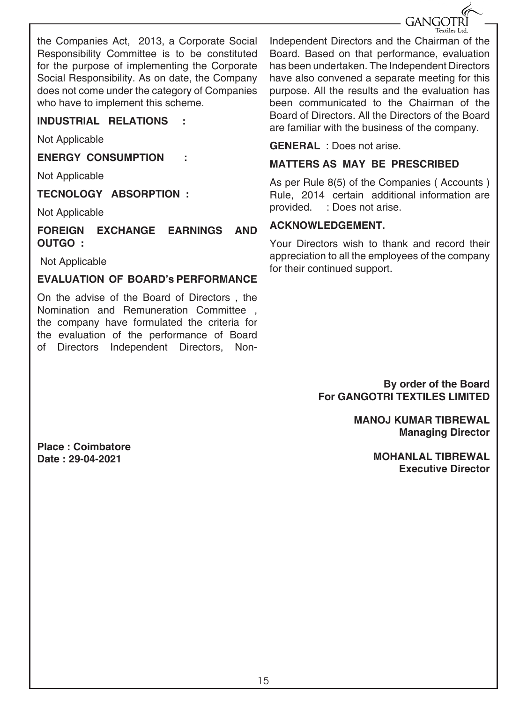

the Companies Act, 2013, a Corporate Social Responsibility Committee is to be constituted for the purpose of implementing the Corporate Social Responsibility. As on date, the Company does not come under the category of Companies who have to implement this scheme.

#### **INDUSTRIAL RELATIONS :**

Not Applicable

**ENERGY CONSUMPTION :**

Not Applicable

**TECNOLOGY ABSORPTION :**

Not Applicable

**FOREIGN EXCHANGE EARNINGS AND OUTGO :**

Not Applicable

#### **EVALUATION OF BOARD's PERFORMANCE**

On the advise of the Board of Directors , the Nomination and Remuneration Committee , the company have formulated the criteria for the evaluation of the performance of Board of Directors Independent Directors, NonIndependent Directors and the Chairman of the Board. Based on that performance, evaluation has been undertaken. The Independent Directors have also convened a separate meeting for this purpose. All the results and the evaluation has been communicated to the Chairman of the Board of Directors. All the Directors of the Board are familiar with the business of the company.

#### **GENERAL** : Does not arise.

#### **MATTERS AS MAY BE PRESCRIBED**

As per Rule 8(5) of the Companies ( Accounts ) Rule, 2014 certain additional information are provided. : Does not arise.

#### **ACKNOWLEDGEMENT.**

Your Directors wish to thank and record their appreciation to all the employees of the company for their continued support.

> **By order of the Board For GANGOTRI TEXTILES LIMITED**

> > **MANOJ KUMAR TIBREWAL Managing Director**

> > > **MOHANLAL TIBREWAL Executive Director**

**Place : Coimbatore Date : 29-04-2021**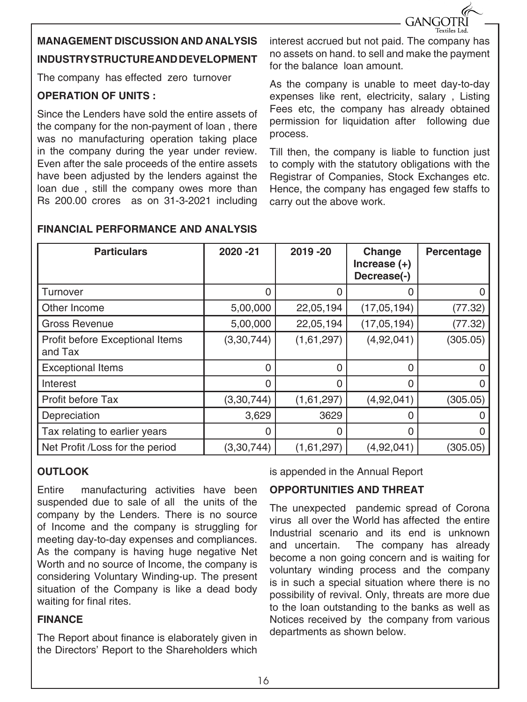

### **MANAGEMENT DISCUSSION AND ANALYSIS INDUSTRY STRUCTURE AND DEVELOPMENT**

The company has effected zero turnover

#### **OPERATION OF UNITS :**

Since the Lenders have sold the entire assets of the company for the non-payment of loan , there was no manufacturing operation taking place in the company during the year under review. Even after the sale proceeds of the entire assets have been adjusted by the lenders against the loan due , still the company owes more than Rs 200.00 crores as on 31-3-2021 including

interest accrued but not paid. The company has no assets on hand. to sell and make the payment for the balance loan amount.

As the company is unable to meet day-to-day expenses like rent, electricity, salary , Listing Fees etc, the company has already obtained permission for liquidation after following due process.

Till then, the company is liable to function just to comply with the statutory obligations with the Registrar of Companies, Stock Exchanges etc. Hence, the company has engaged few staffs to carry out the above work.

| <b>Particulars</b>                         | 2020 - 21    | 2019-20    | Change<br>Increase $(+)$<br>Decrease(-) | Percentage   |
|--------------------------------------------|--------------|------------|-----------------------------------------|--------------|
| Turnover                                   | 0            | 0          | 0                                       | $\Omega$     |
| Other Income                               | 5,00,000     | 22,05,194  | (17,05,194)                             | (77.32)      |
| Gross Revenue                              | 5,00,000     | 22,05,194  | (17, 05, 194)                           | (77.32)      |
| Profit before Exceptional Items<br>and Tax | (3, 30, 744) | (1,61,297) | (4,92,041)                              | (305.05)     |
| <b>Exceptional Items</b>                   | 0            | $\Omega$   | 0                                       | $\mathbf{I}$ |
| Interest                                   | 0            | $\Omega$   | 0                                       | 0            |
| Profit before Tax                          | (3, 30, 744) | (1,61,297) | (4,92,041)                              | (305.05)     |
| Depreciation                               | 3,629        | 3629       | Ω                                       |              |
| Tax relating to earlier years              | $\Omega$     | $\Omega$   | 0                                       |              |
| Net Profit /Loss for the period            | (3, 30, 744) | (1,61,297) | (4,92,041)                              | (305.05)     |

#### **FINANCIAL PERFORMANCE AND ANALYSIS**

#### **OUTLOOK**

Entire manufacturing activities have been suspended due to sale of all the units of the company by the Lenders. There is no source of Income and the company is struggling for meeting day-to-day expenses and compliances. As the company is having huge negative Net Worth and no source of Income, the company is considering Voluntary Winding-up. The present situation of the Company is like a dead body waiting for final rites.

#### **FINANCE**

The Report about finance is elaborately given in the Directors' Report to the Shareholders which

is appended in the Annual Report

#### **OPPORTUNITIES AND THREAT**

The unexpected pandemic spread of Corona virus all over the World has affected the entire Industrial scenario and its end is unknown and uncertain. The company has already become a non going concern and is waiting for voluntary winding process and the company is in such a special situation where there is no possibility of revival. Only, threats are more due to the loan outstanding to the banks as well as Notices received by the company from various departments as shown below.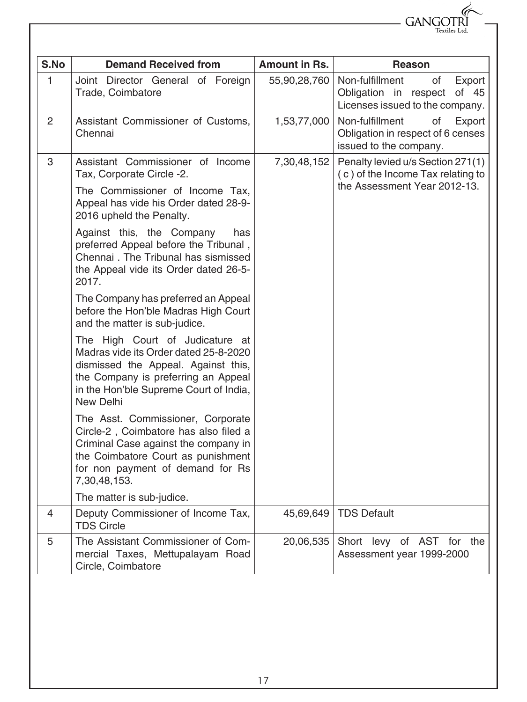| GANGOTRI<br>Textiles Ltd. |
|---------------------------|
|                           |

| S.No           | <b>Demand Received from</b>                                                                                                                                                                                   | <b>Amount in Rs.</b> | Reason                                                                                                 |
|----------------|---------------------------------------------------------------------------------------------------------------------------------------------------------------------------------------------------------------|----------------------|--------------------------------------------------------------------------------------------------------|
| 1              | Joint Director General of Foreign<br>Trade, Coimbatore                                                                                                                                                        | 55,90,28,760         | Non-fulfillment<br>of<br>Export<br>Obligation in respect of 45<br>Licenses issued to the company.      |
| $\overline{2}$ | Assistant Commissioner of Customs,<br>Chennai                                                                                                                                                                 | 1,53,77,000          | Non-fulfillment<br>οf<br>Export<br>Obligation in respect of 6 censes<br>issued to the company.         |
| 3              | Assistant Commissioner of Income<br>Tax, Corporate Circle -2.                                                                                                                                                 | 7,30,48,152          | Penalty levied u/s Section 271(1)<br>(c) of the Income Tax relating to<br>the Assessment Year 2012-13. |
|                | The Commissioner of Income Tax.<br>Appeal has vide his Order dated 28-9-<br>2016 upheld the Penalty.                                                                                                          |                      |                                                                                                        |
|                | Against this, the Company<br>has<br>preferred Appeal before the Tribunal,<br>Chennai. The Tribunal has sismissed<br>the Appeal vide its Order dated 26-5-<br>2017.                                            |                      |                                                                                                        |
|                | The Company has preferred an Appeal<br>before the Hon'ble Madras High Court<br>and the matter is sub-judice.                                                                                                  |                      |                                                                                                        |
|                | The High Court of Judicature at<br>Madras vide its Order dated 25-8-2020<br>dismissed the Appeal. Against this,<br>the Company is preferring an Appeal<br>in the Hon'ble Supreme Court of India,<br>New Delhi |                      |                                                                                                        |
|                | The Asst. Commissioner, Corporate<br>Circle-2, Coimbatore has also filed a<br>Criminal Case against the company in<br>the Coimbatore Court as punishment<br>for non payment of demand for Rs<br>7,30,48,153.  |                      |                                                                                                        |
|                | The matter is sub-judice.                                                                                                                                                                                     |                      |                                                                                                        |
| 4              | Deputy Commissioner of Income Tax,<br><b>TDS Circle</b>                                                                                                                                                       | 45,69,649            | <b>TDS Default</b>                                                                                     |
| 5              | The Assistant Commissioner of Com-<br>mercial Taxes, Mettupalayam Road<br>Circle, Coimbatore                                                                                                                  | 20,06,535            | Short levy of AST for the<br>Assessment year 1999-2000                                                 |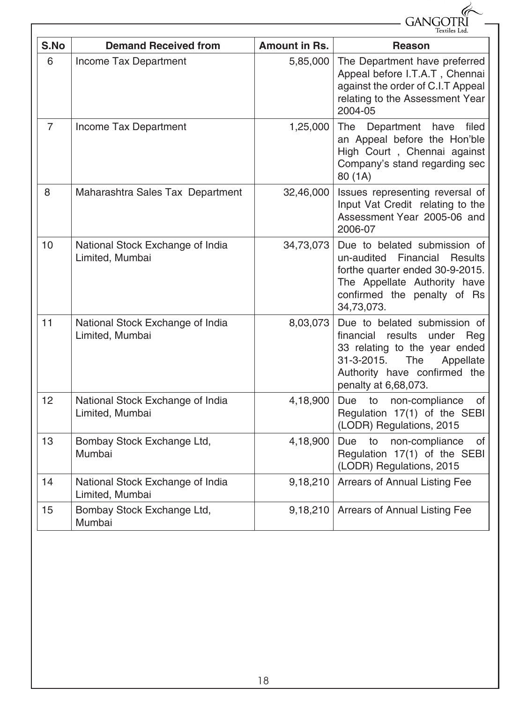|                |                                                     |                      | GANGC                                                                                                                                                                                     |
|----------------|-----------------------------------------------------|----------------------|-------------------------------------------------------------------------------------------------------------------------------------------------------------------------------------------|
| S.No           | <b>Demand Received from</b>                         | <b>Amount in Rs.</b> | Textiles Ltd<br><b>Reason</b>                                                                                                                                                             |
| 6              | Income Tax Department                               | 5,85,000             | The Department have preferred<br>Appeal before I.T.A.T, Chennai<br>against the order of C.I.T Appeal<br>relating to the Assessment Year<br>2004-05                                        |
| $\overline{7}$ | Income Tax Department                               | 1,25,000             | Department have<br>The<br>filed<br>an Appeal before the Hon'ble<br>High Court, Chennai against<br>Company's stand regarding sec<br>80 (1A)                                                |
| 8              | Maharashtra Sales Tax Department                    | 32,46,000            | Issues representing reversal of<br>Input Vat Credit relating to the<br>Assessment Year 2005-06 and<br>2006-07                                                                             |
| 10             | National Stock Exchange of India<br>Limited, Mumbai | 34,73,073            | Due to belated submission of<br>un-audited Financial<br><b>Results</b><br>forthe quarter ended 30-9-2015.<br>The Appellate Authority have<br>confirmed the penalty of Rs<br>34,73,073.    |
| 11             | National Stock Exchange of India<br>Limited, Mumbai | 8,03,073             | Due to belated submission of<br>financial results<br>under Reg<br>33 relating to the year ended<br>31-3-2015.<br>The<br>Appellate<br>Authority have confirmed the<br>penalty at 6,68,073. |
| 12             | National Stock Exchange of India<br>Limited, Mumbai | 4,18,900             | Due<br>to<br>non-compliance<br>of<br>Regulation 17(1) of the SEBI<br>(LODR) Regulations, 2015                                                                                             |
| 13             | Bombay Stock Exchange Ltd,<br>Mumbai                | 4,18,900             | Due<br>to<br>non-compliance<br>of<br>Regulation 17(1) of the SEBI<br>(LODR) Regulations, 2015                                                                                             |
| 14             | National Stock Exchange of India<br>Limited, Mumbai | 9,18,210             | Arrears of Annual Listing Fee                                                                                                                                                             |
| 15             | Bombay Stock Exchange Ltd,<br>Mumbai                | 9,18,210             | Arrears of Annual Listing Fee                                                                                                                                                             |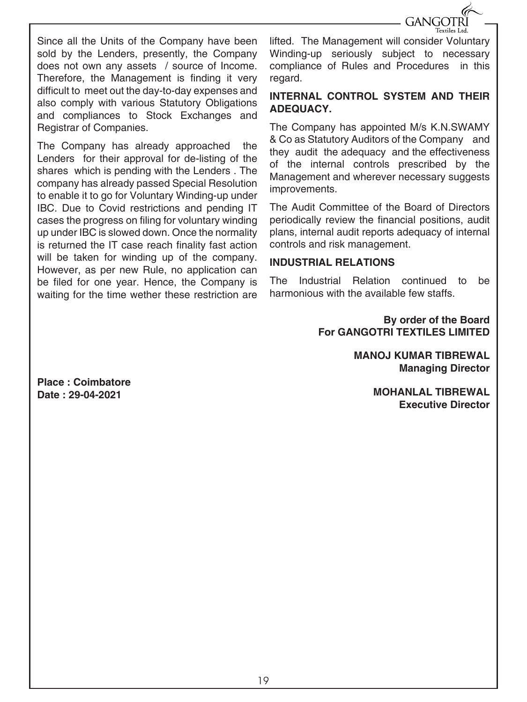

Since all the Units of the Company have been sold by the Lenders, presently, the Company does not own any assets / source of Income. Therefore, the Management is finding it very difficult to meet out the day-to-day expenses and also comply with various Statutory Obligations and compliances to Stock Exchanges and Registrar of Companies.

The Company has already approached the Lenders for their approval for de-listing of the shares which is pending with the Lenders . The company has already passed Special Resolution to enable it to go for Voluntary Winding-up under IBC. Due to Covid restrictions and pending IT cases the progress on filing for voluntary winding up under IBC is slowed down. Once the normality is returned the IT case reach finality fast action will be taken for winding up of the company. However, as per new Rule, no application can be filed for one year. Hence, the Company is waiting for the time wether these restriction are

lifted. The Management will consider Voluntary Winding-up seriously subject to necessary compliance of Rules and Procedures in this regard.

#### **INTERNAL CONTROL SYSTEM AND THEIR ADEQUACY.**

The Company has appointed M/s K.N.SWAMY & Co as Statutory Auditors of the Company and they audit the adequacy and the effectiveness of the internal controls prescribed by the Management and wherever necessary suggests improvements.

The Audit Committee of the Board of Directors periodically review the financial positions, audit plans, internal audit reports adequacy of internal controls and risk management.

#### **INDUSTRIAL RELATIONS**

The Industrial Relation continued to be harmonious with the available few staffs.

> **By order of the Board For GANGOTRI TEXTILES LIMITED**

> > **MANOJ KUMAR TIBREWAL Managing Director**

> > > **MOHANLAL TIBREWAL Executive Director**

**Place : Coimbatore Date : 29-04-2021**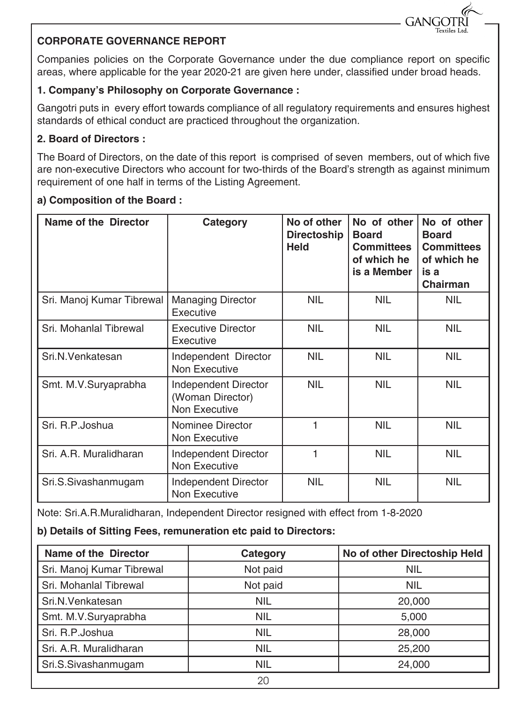#### **CORPORATE GOVERNANCE REPORT**

Companies policies on the Corporate Governance under the due compliance report on specific areas, where applicable for the year 2020-21 are given here under, classified under broad heads.

**GANG** 

#### **1. Company's Philosophy on Corporate Governance :**

Gangotri puts in every effort towards compliance of all regulatory requirements and ensures highest standards of ethical conduct are practiced throughout the organization.

#### **2. Board of Directors :**

The Board of Directors, on the date of this report is comprised of seven members, out of which five are non-executive Directors who account for two-thirds of the Board's strength as against minimum requirement of one half in terms of the Listing Agreement.

#### **a) Composition of the Board :**

| Name of the Director      | Category                                                  | No of other<br><b>Directoship</b><br><b>Held</b> | No of other<br><b>Board</b><br><b>Committees</b><br>of which he<br>is a Member | No of other<br><b>Board</b><br><b>Committees</b><br>of which he<br>is a<br>Chairman |
|---------------------------|-----------------------------------------------------------|--------------------------------------------------|--------------------------------------------------------------------------------|-------------------------------------------------------------------------------------|
| Sri. Manoj Kumar Tibrewal | <b>Managing Director</b><br>Executive                     | NIL                                              | <b>NIL</b>                                                                     | NIL                                                                                 |
| Sri. Mohanlal Tibrewal    | <b>Executive Director</b><br>Executive                    | <b>NIL</b>                                       | <b>NIL</b>                                                                     | <b>NIL</b>                                                                          |
| Sri.N.Venkatesan          | Independent Director<br>Non Executive                     | <b>NIL</b>                                       | <b>NIL</b>                                                                     | <b>NIL</b>                                                                          |
| Smt. M.V.Suryaprabha      | Independent Director<br>(Woman Director)<br>Non Executive | <b>NIL</b>                                       | <b>NIL</b>                                                                     | <b>NIL</b>                                                                          |
| Sri. R.P. Joshua          | Nominee Director<br>Non Executive                         | 1                                                | <b>NIL</b>                                                                     | <b>NIL</b>                                                                          |
| Sri, A.R. Muralidharan    | Independent Director<br>Non Executive                     |                                                  | <b>NIL</b>                                                                     | <b>NIL</b>                                                                          |
| Sri.S.Sivashanmugam       | Independent Director<br>Non Executive                     | NIL                                              | <b>NIL</b>                                                                     | <b>NIL</b>                                                                          |

Note: Sri.A.R.Muralidharan, Independent Director resigned with effect from 1-8-2020

#### **b) Details of Sitting Fees, remuneration etc paid to Directors:**

| Name of the Director      | Category   | No of other Directoship Held |
|---------------------------|------------|------------------------------|
| Sri. Manoj Kumar Tibrewal | Not paid   | <b>NIL</b>                   |
| Sri. Mohanlal Tibrewal    | Not paid   | <b>NIL</b>                   |
| Sri.N.Venkatesan          | <b>NIL</b> | 20,000                       |
| Smt. M.V.Suryaprabha      | <b>NIL</b> | 5,000                        |
| Sri. R.P.Joshua           | <b>NIL</b> | 28,000                       |
| Sri. A.R. Muralidharan    | <b>NIL</b> | 25,200                       |
| Sri.S.Sivashanmugam       | <b>NIL</b> | 24,000                       |
|                           | 20         |                              |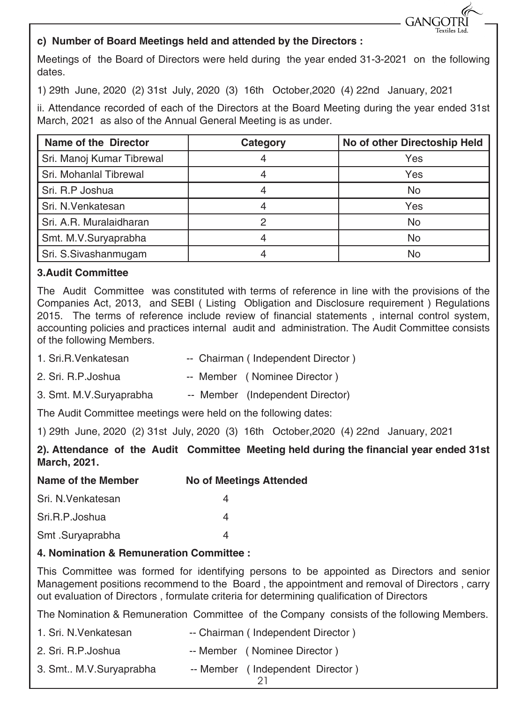

#### **c) Number of Board Meetings held and attended by the Directors :**

Meetings of the Board of Directors were held during the year ended 31-3-2021 on the following dates.

1) 29th June, 2020 (2) 31st July, 2020 (3) 16th October,2020 (4) 22nd January, 2021

ii. Attendance recorded of each of the Directors at the Board Meeting during the year ended 31st March, 2021 as also of the Annual General Meeting is as under.

| Name of the Director      | Category | No of other Directoship Held |
|---------------------------|----------|------------------------------|
| Sri. Manoj Kumar Tibrewal |          | Yes                          |
| Sri. Mohanlal Tibrewal    |          | Yes                          |
| Sri. R.P Joshua           |          | No                           |
| Sri. N. Venkatesan        |          | Yes                          |
| Sri. A.R. Muralaidharan   |          | No                           |
| Smt. M.V.Suryaprabha      |          | No                           |
| Sri. S.Sivashanmugam      |          | No                           |

#### **3.Audit Committee**

The Audit Committee was constituted with terms of reference in line with the provisions of the Companies Act, 2013, and SEBI ( Listing Obligation and Disclosure requirement ) Regulations 2015. The terms of reference include review of financial statements , internal control system, accounting policies and practices internal audit and administration. The Audit Committee consists of the following Members.

- 1. Sri.R.Venkatesan -- Chairman (Independent Director)
- 2. Sri. R.P. Joshua -- Member ( Nominee Director )
- 3. Smt. M.V.Suryaprabha -- Member (Independent Director)

The Audit Committee meetings were held on the following dates:

1) 29th June, 2020 (2) 31st July, 2020 (3) 16th October,2020 (4) 22nd January, 2021

**2). Attendance of the Audit Committee Meeting held during the financial year ended 31st March, 2021.**

| Name of the Member | <b>No of Meetings Attended</b> |
|--------------------|--------------------------------|
| Sri. N. Venkatesan |                                |
| Sri.R.P.Joshua     |                                |
| Smt .Suryaprabha   |                                |

#### **4. Nomination & Remuneration Committee :**

This Committee was formed for identifying persons to be appointed as Directors and senior Management positions recommend to the Board , the appointment and removal of Directors , carry out evaluation of Directors , formulate criteria for determining qualification of Directors

The Nomination & Remuneration Committee of the Company consists of the following Members.

- 1. Sri. N.Venkatesan -- Chairman (Independent Director)
- 2. Sri. R.P. Joshua -- Member ( Nominee Director )
- 3. Smt.. M.V.Survaprabha -- Member (Independent Director)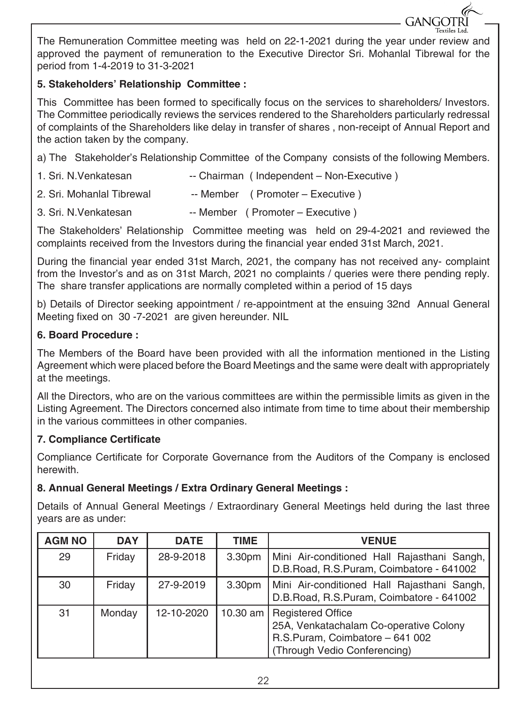The Remuneration Committee meeting was held on 22-1-2021 during the year under review and approved the payment of remuneration to the Executive Director Sri. Mohanlal Tibrewal for the period from 1-4-2019 to 31-3-2021

**GANGOTRI** 

#### **5. Stakeholders' Relationship Committee :**

This Committee has been formed to specifically focus on the services to shareholders/ Investors. The Committee periodically reviews the services rendered to the Shareholders particularly redressal of complaints of the Shareholders like delay in transfer of shares , non-receipt of Annual Report and the action taken by the company.

a) The Stakeholder's Relationship Committee of the Company consists of the following Members.

- 1. Sri. N.Venkatesan -- Chairman (Independent Non-Executive )
- 2. Sri. Mohanlal Tibrewal -- Member ( Promoter Executive )
- 3. Sri. N.Venkatesan -- Member ( Promoter Executive )

The Stakeholders' Relationship Committee meeting was held on 29-4-2021 and reviewed the complaints received from the Investors during the financial year ended 31st March, 2021.

During the financial year ended 31st March, 2021, the company has not received any- complaint from the Investor's and as on 31st March, 2021 no complaints / queries were there pending reply. The share transfer applications are normally completed within a period of 15 days

b) Details of Director seeking appointment / re-appointment at the ensuing 32nd Annual General Meeting fixed on 30 -7-2021 are given hereunder. NIL

#### **6. Board Procedure :**

The Members of the Board have been provided with all the information mentioned in the Listing Agreement which were placed before the Board Meetings and the same were dealt with appropriately at the meetings.

All the Directors, who are on the various committees are within the permissible limits as given in the Listing Agreement. The Directors concerned also intimate from time to time about their membership in the various committees in other companies.

#### **7. Compliance Certificate**

Compliance Certificate for Corporate Governance from the Auditors of the Company is enclosed herewith.

#### **8. Annual General Meetings / Extra Ordinary General Meetings :**

Details of Annual General Meetings / Extraordinary General Meetings held during the last three years are as under:

| <b>AGM NO</b> | <b>DAY</b> | <b>DATE</b> | TIME               | <b>VENUE</b>                                                                                                                          |
|---------------|------------|-------------|--------------------|---------------------------------------------------------------------------------------------------------------------------------------|
| 29            | Friday     | 28-9-2018   | 3.30pm             | Mini Air-conditioned Hall Rajasthani Sangh,<br>D.B.Road, R.S.Puram, Coimbatore - 641002                                               |
| 30            | Friday     | 27-9-2019   | 3.30 <sub>pm</sub> | Mini Air-conditioned Hall Rajasthani Sangh,<br>D.B.Road, R.S.Puram, Coimbatore - 641002                                               |
| 31            | Monday     | 12-10-2020  | 10.30 am $\vert$   | <b>Registered Office</b><br>25A, Venkatachalam Co-operative Colony<br>R.S.Puram, Coimbatore - 641 002<br>(Through Vedio Conferencing) |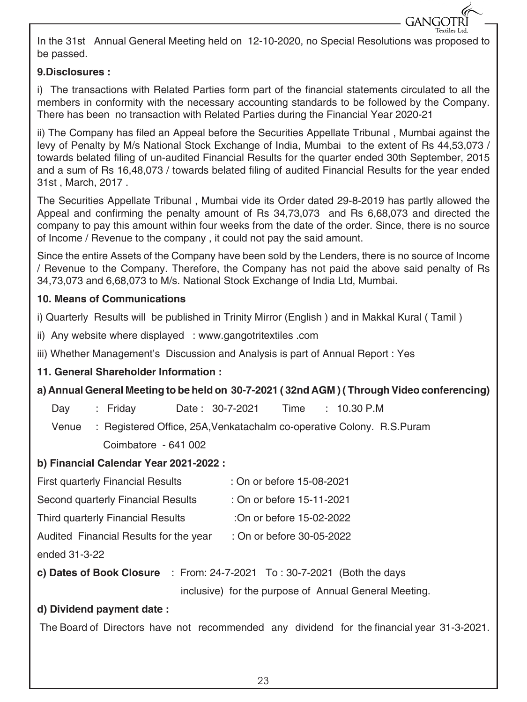In the 31st Annual General Meeting held on 12-10-2020, no Special Resolutions was proposed to be passed.

**GANGOTRI** 

#### **9.Disclosures :**

i) The transactions with Related Parties form part of the financial statements circulated to all the members in conformity with the necessary accounting standards to be followed by the Company. There has been no transaction with Related Parties during the Financial Year 2020-21

ii) The Company has filed an Appeal before the Securities Appellate Tribunal , Mumbai against the levy of Penalty by M/s National Stock Exchange of India, Mumbai to the extent of Rs 44,53,073 / towards belated filing of un-audited Financial Results for the quarter ended 30th September, 2015 and a sum of Rs 16,48,073 / towards belated filing of audited Financial Results for the year ended 31st , March, 2017 .

The Securities Appellate Tribunal , Mumbai vide its Order dated 29-8-2019 has partly allowed the Appeal and confirming the penalty amount of Rs 34,73,073 and Rs 6,68,073 and directed the company to pay this amount within four weeks from the date of the order. Since, there is no source of Income / Revenue to the company , it could not pay the said amount.

Since the entire Assets of the Company have been sold by the Lenders, there is no source of Income / Revenue to the Company. Therefore, the Company has not paid the above said penalty of Rs 34,73,073 and 6,68,073 to M/s. National Stock Exchange of India Ltd, Mumbai.

#### **10. Means of Communications**

i) Quarterly Results will be published in Trinity Mirror (English ) and in Makkal Kural ( Tamil )

ii) Any website where displayed : www.gangotritextiles .com

iii) Whether Management's Discussion and Analysis is part of Annual Report : Yes

#### **11. General Shareholder Information :**

#### **a) Annual General Meeting to be held on 30-7-2021 ( 32nd AGM ) ( Through Video conferencing)**

Day : Friday Date : 30-7-2021 Time : 10.30 P.M

 Venue : Registered Office, 25A,Venkatachalm co-operative Colony. R.S.Puram Coimbatore - 641 002

#### **b) Financial Calendar Year 2021-2022 :**

- First quarterly Financial Results : On or before 15-08-2021
- Second quarterly Financial Results : On or before 15-11-2021
- Third quarterly Financial Results :On or before 15-02-2022
- Audited Financial Results for the year : On or before 30-05-2022

ended 31-3-22

**c) Dates of Book Closure** : From: 24-7-2021 To : 30-7-2021 (Both the days

inclusive) for the purpose of Annual General Meeting.

#### **d) Dividend payment date :**

The Board of Directors have not recommended any dividend for the financial year 31-3-2021.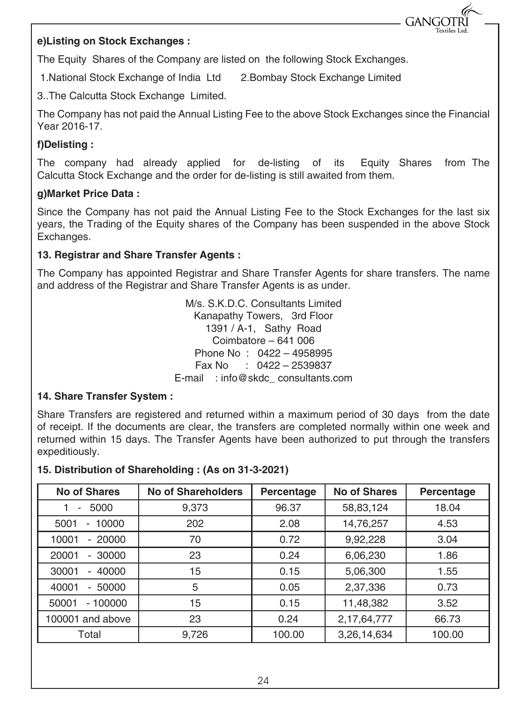#### **e)Listing on Stock Exchanges :**

The Equity Shares of the Company are listed on the following Stock Exchanges.

1.National Stock Exchange of India Ltd 2.Bombay Stock Exchange Limited

3..The Calcutta Stock Exchange Limited.

The Company has not paid the Annual Listing Fee to the above Stock Exchanges since the Financial Year 2016-17.

**GANGO** 

#### **f)Delisting :**

The company had already applied for de-listing of its Equity Shares from The Calcutta Stock Exchange and the order for de-listing is still awaited from them.

#### **g)Market Price Data :**

Since the Company has not paid the Annual Listing Fee to the Stock Exchanges for the last six years, the Trading of the Equity shares of the Company has been suspended in the above Stock Exchanges.

#### **13. Registrar and Share Transfer Agents :**

The Company has appointed Registrar and Share Transfer Agents for share transfers. The name and address of the Registrar and Share Transfer Agents is as under.

> M/s. S.K.D.C. Consultants Limited Kanapathy Towers, 3rd Floor 1391 / A-1, Sathy Road Coimbatore – 641 006 Phone No : 0422 – 4958995 Fax No : 0422 – 2539837 E-mail : info@skdc\_ consultants.com

#### **14. Share Transfer System :**

Share Transfers are registered and returned within a maximum period of 30 days from the date of receipt. If the documents are clear, the transfers are completed normally within one week and returned within 15 days. The Transfer Agents have been authorized to put through the transfers expeditiously.

#### **15. Distribution of Shareholding : (As on 31-3-2021)**

| <b>No of Shares</b>      | <b>No of Shareholders</b> | Percentage | <b>No of Shares</b> | Percentage |
|--------------------------|---------------------------|------------|---------------------|------------|
| 5000<br>-                | 9,373                     | 96.37      | 58,83,124           | 18.04      |
| 10000<br>5001<br>٠       | 202                       | 2.08       | 14,76,257           | 4.53       |
| 20000<br>10001<br>٠      | 70                        | 0.72       | 9,92,228            | 3.04       |
| 20001<br>30000<br>۰.     | 23                        | 0.24       | 6,06,230            | 1.86       |
| 40000<br>30001<br>$\sim$ | 15                        | 0.15       | 5,06,300            | 1.55       |
| 50000<br>40001<br>٠      | 5                         | 0.05       | 2,37,336            | 0.73       |
| $-100000$<br>50001       | 15                        | 0.15       | 11,48,382           | 3.52       |
| 100001 and above         | 23                        | 0.24       | 2, 17, 64, 777      | 66.73      |
| Total                    | 9,726                     | 100.00     | 3,26,14,634         | 100.00     |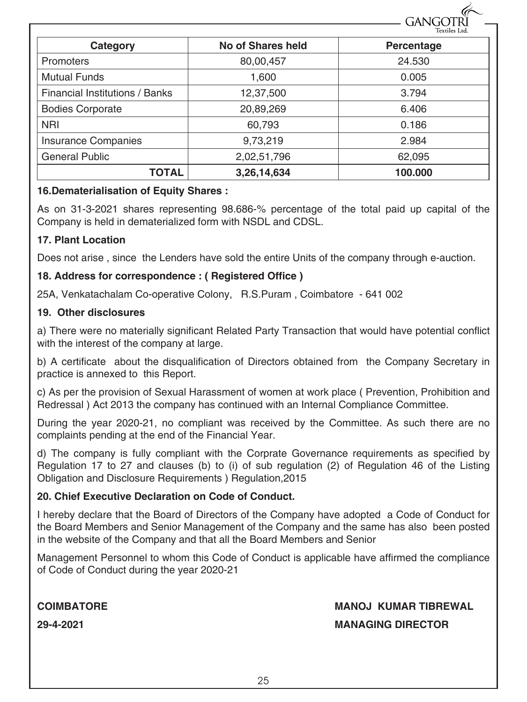|                                |                          | Textiles Ltd. |
|--------------------------------|--------------------------|---------------|
| Category                       | <b>No of Shares held</b> | Percentage    |
| Promoters                      | 80,00,457                | 24.530        |
| <b>Mutual Funds</b>            | 1.600                    | 0.005         |
| Financial Institutions / Banks | 12,37,500                | 3.794         |
| <b>Bodies Corporate</b>        | 20,89,269                | 6.406         |
| <b>NRI</b>                     | 60,793                   | 0.186         |
| <b>Insurance Companies</b>     | 9,73,219                 | 2.984         |
| <b>General Public</b>          | 2,02,51,796              | 62,095        |
| <b>TOTAL</b>                   | 3,26,14,634              | 100.000       |

#### **16.Dematerialisation of Equity Shares :**

As on 31-3-2021 shares representing 98.686-% percentage of the total paid up capital of the Company is held in dematerialized form with NSDL and CDSL.

#### **17. Plant Location**

Does not arise , since the Lenders have sold the entire Units of the company through e-auction.

#### **18. Address for correspondence : ( Registered Office )**

25A, Venkatachalam Co-operative Colony, R.S.Puram , Coimbatore - 641 002

#### **19. Other disclosures**

a) There were no materially significant Related Party Transaction that would have potential conflict with the interest of the company at large.

b) A certificate about the disqualification of Directors obtained from the Company Secretary in practice is annexed to this Report.

c) As per the provision of Sexual Harassment of women at work place ( Prevention, Prohibition and Redressal ) Act 2013 the company has continued with an Internal Compliance Committee.

During the year 2020-21, no compliant was received by the Committee. As such there are no complaints pending at the end of the Financial Year.

d) The company is fully compliant with the Corprate Governance requirements as specified by Regulation 17 to 27 and clauses (b) to (i) of sub regulation (2) of Regulation 46 of the Listing Obligation and Disclosure Requirements ) Regulation,2015

#### **20. Chief Executive Declaration on Code of Conduct.**

I hereby declare that the Board of Directors of the Company have adopted a Code of Conduct for the Board Members and Senior Management of the Company and the same has also been posted in the website of the Company and that all the Board Members and Senior

Management Personnel to whom this Code of Conduct is applicable have affirmed the compliance of Code of Conduct during the year 2020-21

#### **COIMBATORE MANOJ KUMAR TIBREWAL**

**GANGOTE** 

**29-4-2021 MANAGING DIRECTOR**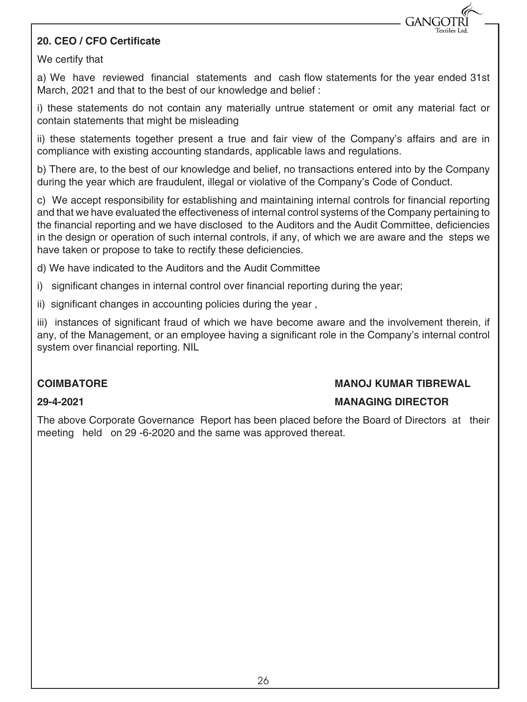#### **20. CEO / CFO Certificate**

We certify that

a) We have reviewed financial statements and cash flow statements for the year ended 31st March, 2021 and that to the best of our knowledge and belief :

i) these statements do not contain any materially untrue statement or omit any material fact or contain statements that might be misleading

ii) these statements together present a true and fair view of the Company's affairs and are in compliance with existing accounting standards, applicable laws and regulations.

b) There are, to the best of our knowledge and belief, no transactions entered into by the Company during the year which are fraudulent, illegal or violative of the Company's Code of Conduct.

c) We accept responsibility for establishing and maintaining internal controls for financial reporting and that we have evaluated the effectiveness of internal control systems of the Company pertaining to the financial reporting and we have disclosed to the Auditors and the Audit Committee, deficiencies in the design or operation of such internal controls, if any, of which we are aware and the steps we have taken or propose to take to rectify these deficiencies.

d) We have indicated to the Auditors and the Audit Committee

- i) significant changes in internal control over financial reporting during the year;
- ii) significant changes in accounting policies during the year ,

iii) instances of significant fraud of which we have become aware and the involvement therein, if any, of the Management, or an employee having a significant role in the Company's internal control system over financial reporting. NIL

#### **COIMBATORE MANOJ KUMAR TIBREWAL**

**GANG** 

#### **29-4-2021 MANAGING DIRECTOR**

The above Corporate Governance Report has been placed before the Board of Directors at their meeting held on 29 -6-2020 and the same was approved thereat.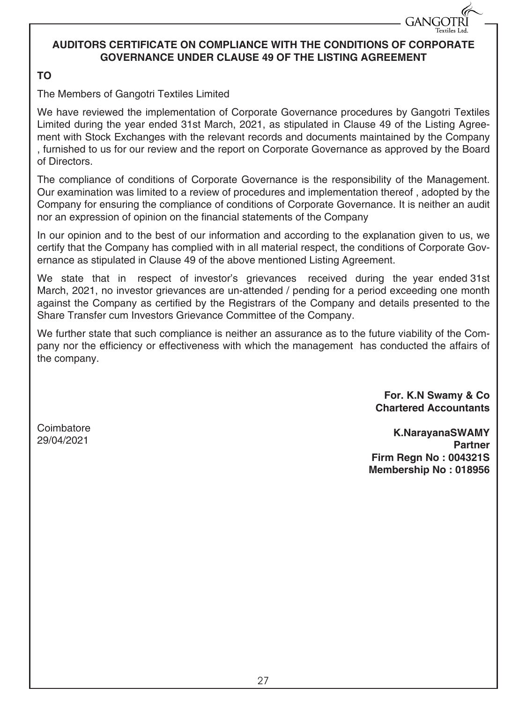#### **AUDITORS CERTIFICATE ON COMPLIANCE WITH THE CONDITIONS OF CORPORATE GOVERNANCE UNDER CLAUSE 49 OF THE LISTING AGREEMENT**

#### **TO**

The Members of Gangotri Textiles Limited

We have reviewed the implementation of Corporate Governance procedures by Gangotri Textiles Limited during the year ended 31st March, 2021, as stipulated in Clause 49 of the Listing Agreement with Stock Exchanges with the relevant records and documents maintained by the Company , furnished to us for our review and the report on Corporate Governance as approved by the Board of Directors.

The compliance of conditions of Corporate Governance is the responsibility of the Management. Our examination was limited to a review of procedures and implementation thereof , adopted by the Company for ensuring the compliance of conditions of Corporate Governance. It is neither an audit nor an expression of opinion on the financial statements of the Company

In our opinion and to the best of our information and according to the explanation given to us, we certify that the Company has complied with in all material respect, the conditions of Corporate Governance as stipulated in Clause 49 of the above mentioned Listing Agreement.

We state that in respect of investor's grievances received during the year ended 31st March, 2021, no investor grievances are un-attended / pending for a period exceeding one month against the Company as certified by the Registrars of the Company and details presented to the Share Transfer cum Investors Grievance Committee of the Company.

We further state that such compliance is neither an assurance as to the future viability of the Company nor the efficiency or effectiveness with which the management has conducted the affairs of the company.

> **For. K.N Swamy & Co Chartered Accountants**

**GANGOTR** 

**Coimbatore** 29/04/2021

**K.NarayanaSWAMY Partner Firm Regn No : 004321S Membership No : 018956**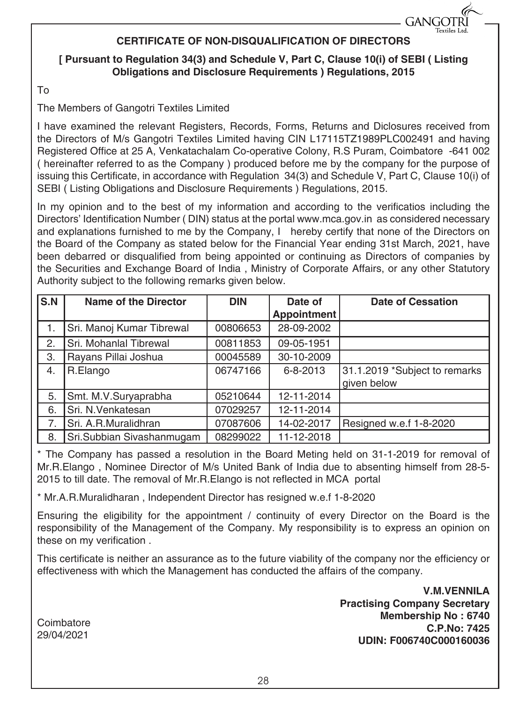#### **CERTIFICATE OF NON-DISQUALIFICATION OF DIRECTORS**

#### **[ Pursuant to Regulation 34(3) and Schedule V, Part C, Clause 10(i) of SEBI ( Listing Obligations and Disclosure Requirements ) Regulations, 2015**

To

The Members of Gangotri Textiles Limited

I have examined the relevant Registers, Records, Forms, Returns and Diclosures received from the Directors of M/s Gangotri Textiles Limited having CIN L17115TZ1989PLC002491 and having Registered Office at 25 A, Venkatachalam Co-operative Colony, R.S Puram, Coimbatore -641 002 ( hereinafter referred to as the Company ) produced before me by the company for the purpose of issuing this Certificate, in accordance with Regulation 34(3) and Schedule V, Part C, Clause 10(i) of SEBI ( Listing Obligations and Disclosure Requirements ) Regulations, 2015.

In my opinion and to the best of my information and according to the verificatios including the Directors' Identification Number ( DIN) status at the portal www.mca.gov.in as considered necessary and explanations furnished to me by the Company, I hereby certify that none of the Directors on the Board of the Company as stated below for the Financial Year ending 31st March, 2021, have been debarred or disqualified from being appointed or continuing as Directors of companies by the Securities and Exchange Board of India , Ministry of Corporate Affairs, or any other Statutory Authority subject to the following remarks given below.

| $\overline{\text{S.N}}$ | <b>Name of the Director</b> | <b>DIN</b> | Date of            | <b>Date of Cessation</b>                     |
|-------------------------|-----------------------------|------------|--------------------|----------------------------------------------|
|                         |                             |            | <b>Appointment</b> |                                              |
| 1.                      | Sri. Manoj Kumar Tibrewal   | 00806653   | 28-09-2002         |                                              |
| 2.                      | Sri. Mohanlal Tibrewal      | 00811853   | 09-05-1951         |                                              |
| 3.                      | Rayans Pillai Joshua        | 00045589   | 30-10-2009         |                                              |
| 4.                      | R.Elango                    | 06747166   | 6-8-2013           | 31.1.2019 *Subject to remarks<br>given below |
| 5.                      | Smt. M.V.Suryaprabha        | 05210644   | 12-11-2014         |                                              |
| 6.                      | Sri. N.Venkatesan           | 07029257   | 12-11-2014         |                                              |
| 7.                      | Sri. A.R.Muralidhran        | 07087606   | 14-02-2017         | Resigned w.e.f 1-8-2020                      |
| 8.                      | Sri.Subbian Sivashanmugam   | 08299022   | 11-12-2018         |                                              |

\* The Company has passed a resolution in the Board Meting held on 31-1-2019 for removal of Mr.R.Elango , Nominee Director of M/s United Bank of India due to absenting himself from 28-5- 2015 to till date. The removal of Mr.R.Elango is not reflected in MCA portal

\* Mr.A.R.Muralidharan , Independent Director has resigned w.e.f 1-8-2020

Ensuring the eligibility for the appointment / continuity of every Director on the Board is the responsibility of the Management of the Company. My responsibility is to express an opinion on these on my verification .

This certificate is neither an assurance as to the future viability of the company nor the efficiency or effectiveness with which the Management has conducted the affairs of the company.

> **V.M.VENNILA Practising Company Secretary Membership No : 6740 C.P.No: 7425 UDIN: F006740C000160036**

**GANGOTR** 

**Coimbatore** 29/04/2021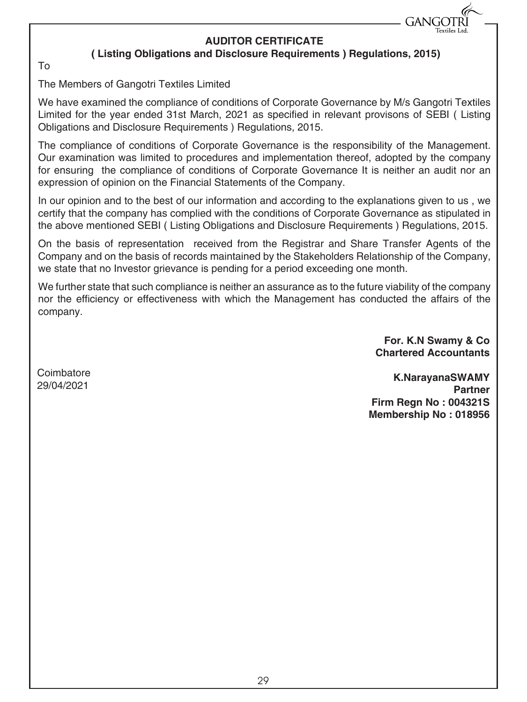

#### **AUDITOR CERTIFICATE**

#### **( Listing Obligations and Disclosure Requirements ) Regulations, 2015)**

To

The Members of Gangotri Textiles Limited

We have examined the compliance of conditions of Corporate Governance by M/s Gangotri Textiles Limited for the year ended 31st March, 2021 as specified in relevant provisons of SEBI ( Listing Obligations and Disclosure Requirements ) Regulations, 2015.

The compliance of conditions of Corporate Governance is the responsibility of the Management. Our examination was limited to procedures and implementation thereof, adopted by the company for ensuring the compliance of conditions of Corporate Governance It is neither an audit nor an expression of opinion on the Financial Statements of the Company.

In our opinion and to the best of our information and according to the explanations given to us , we certify that the company has complied with the conditions of Corporate Governance as stipulated in the above mentioned SEBI ( Listing Obligations and Disclosure Requirements ) Regulations, 2015.

On the basis of representation received from the Registrar and Share Transfer Agents of the Company and on the basis of records maintained by the Stakeholders Relationship of the Company, we state that no Investor grievance is pending for a period exceeding one month.

We further state that such compliance is neither an assurance as to the future viability of the company nor the efficiency or effectiveness with which the Management has conducted the affairs of the company.

> **For. K.N Swamy & Co Chartered Accountants**

**Coimbatore** 29/04/2021

**K.NarayanaSWAMY Partner Firm Regn No : 004321S Membership No : 018956**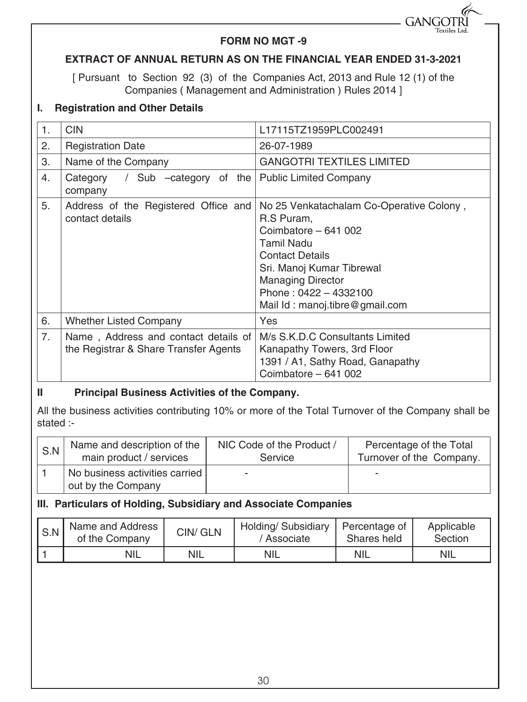

#### **FORM NO MGT -9**

#### **EXTRACT OF ANNUAL RETURN AS ON THE FINANCIAL YEAR ENDED 31-3-2021**

[ Pursuant to Section 92 (3) of the Companies Act, 2013 and Rule 12 (1) of the Companies ( Management and Administration ) Rules 2014 ]

#### **I. Registration and Other Details**

| 1. | <b>CIN</b>                                                                    | L17115TZ1959PLC002491                                                                                                                                                                                                                        |  |  |
|----|-------------------------------------------------------------------------------|----------------------------------------------------------------------------------------------------------------------------------------------------------------------------------------------------------------------------------------------|--|--|
| 2. | <b>Registration Date</b>                                                      | 26-07-1989                                                                                                                                                                                                                                   |  |  |
| 3. | Name of the Company                                                           | <b>GANGOTRI TEXTILES LIMITED</b>                                                                                                                                                                                                             |  |  |
| 4. | Category / Sub -category of the   Public Limited Company<br>company           |                                                                                                                                                                                                                                              |  |  |
| 5. | Address of the Registered Office and<br>contact details                       | No 25 Venkatachalam Co-Operative Colony,<br>R.S Puram,<br>Coimbatore - 641 002<br>Tamil Nadu<br><b>Contact Details</b><br>Sri. Manoj Kumar Tibrewal<br><b>Managing Director</b><br>Phone: $0422 - 4332100$<br>Mail Id: manoj.tibre@gmail.com |  |  |
| 6. | <b>Whether Listed Company</b>                                                 | Yes                                                                                                                                                                                                                                          |  |  |
| 7. | Name, Address and contact details of<br>the Registrar & Share Transfer Agents | M/s S.K.D.C Consultants Limited<br>Kanapathy Towers, 3rd Floor<br>1391 / A1, Sathy Road, Ganapathy<br>Coimbatore - 641 002                                                                                                                   |  |  |

#### **II Principal Business Activities of the Company.**

All the business activities contributing 10% or more of the Total Turnover of the Company shall be stated :-

| S.N | Name and description of the                          | NIC Code of the Product / | Percentage of the Total  |
|-----|------------------------------------------------------|---------------------------|--------------------------|
|     | main product / services                              | Service                   | Turnover of the Company. |
|     | No business activities carried<br>out by the Company | -                         |                          |

#### **III. Particulars of Holding, Subsidiary and Associate Companies**

| S.N | Name and Address<br>of the Company | CIN/ GLN   | Holding/ Subsidiary<br>' Associate | Percentage of<br>Shares held | Applicable<br>Section |
|-----|------------------------------------|------------|------------------------------------|------------------------------|-----------------------|
|     | <b>NIL</b>                         | <b>NIL</b> | <b>NIL</b>                         | <b>NIL</b>                   | <b>NIL</b>            |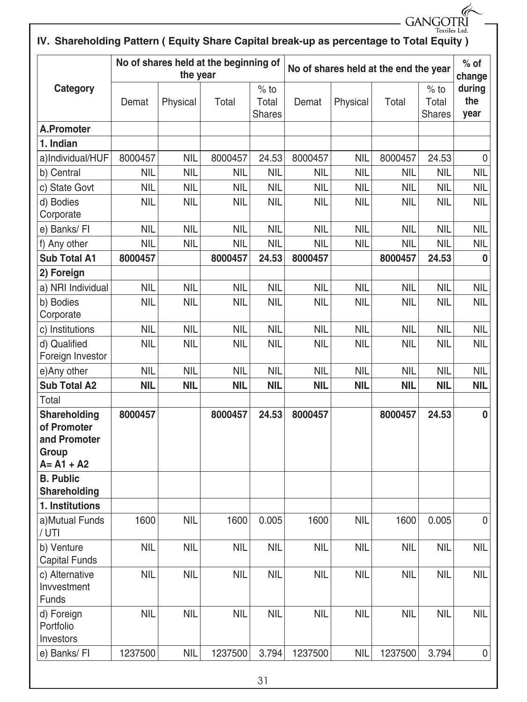|                                                                                        |            |            |                                       |                                  |            |                                       |            | GANGOTRI                         |                       |
|----------------------------------------------------------------------------------------|------------|------------|---------------------------------------|----------------------------------|------------|---------------------------------------|------------|----------------------------------|-----------------------|
| IV. Shareholding Pattern (Equity Share Capital break-up as percentage to Total Equity) |            |            |                                       |                                  |            |                                       |            | Textiles Ltd.                    |                       |
|                                                                                        |            | the year   | No of shares held at the beginning of |                                  |            | No of shares held at the end the year |            | $%$ of<br>change                 |                       |
| Category                                                                               | Demat      | Physical   | Total                                 | $%$ to<br>Total<br><b>Shares</b> | Demat      | Physical                              | Total      | $%$ to<br>Total<br><b>Shares</b> | during<br>the<br>year |
| <b>A.Promoter</b>                                                                      |            |            |                                       |                                  |            |                                       |            |                                  |                       |
| 1. Indian                                                                              |            |            |                                       |                                  |            |                                       |            |                                  |                       |
| a)Individual/HUF                                                                       | 8000457    | NIL        | 8000457                               | 24.53                            | 8000457    | <b>NIL</b>                            | 8000457    | 24.53                            | 0                     |
| b) Central                                                                             | <b>NIL</b> | <b>NIL</b> | <b>NIL</b>                            | <b>NIL</b>                       | <b>NIL</b> | <b>NIL</b>                            | <b>NIL</b> | <b>NIL</b>                       | <b>NIL</b>            |
| c) State Govt                                                                          | <b>NIL</b> | <b>NIL</b> | <b>NIL</b>                            | <b>NIL</b>                       | <b>NIL</b> | <b>NIL</b>                            | <b>NIL</b> | <b>NIL</b>                       | <b>NIL</b>            |
| d) Bodies<br>Corporate                                                                 | <b>NIL</b> | <b>NIL</b> | NIL                                   | <b>NIL</b>                       | <b>NIL</b> | <b>NIL</b>                            | <b>NIL</b> | <b>NIL</b>                       | <b>NIL</b>            |
| e) Banks/ Fl                                                                           | <b>NIL</b> | <b>NIL</b> | <b>NIL</b>                            | <b>NIL</b>                       | <b>NIL</b> | <b>NIL</b>                            | <b>NIL</b> | <b>NIL</b>                       | <b>NIL</b>            |
| f) Any other                                                                           | <b>NIL</b> | <b>NIL</b> | <b>NIL</b>                            | <b>NIL</b>                       | <b>NIL</b> | <b>NIL</b>                            | <b>NIL</b> | <b>NIL</b>                       | <b>NIL</b>            |
| <b>Sub Total A1</b>                                                                    | 8000457    |            | 8000457                               | 24.53                            | 8000457    |                                       | 8000457    | 24.53                            | 0                     |
| 2) Foreign                                                                             |            |            |                                       |                                  |            |                                       |            |                                  |                       |
| a) NRI Individual                                                                      | <b>NIL</b> | <b>NIL</b> | <b>NIL</b>                            | <b>NIL</b>                       | <b>NIL</b> | <b>NIL</b>                            | <b>NIL</b> | <b>NIL</b>                       | <b>NIL</b>            |
| b) Bodies<br>Corporate                                                                 | <b>NIL</b> | <b>NIL</b> | <b>NIL</b>                            | <b>NIL</b>                       | <b>NIL</b> | <b>NIL</b>                            | <b>NIL</b> | <b>NIL</b>                       | <b>NIL</b>            |
| c) Institutions                                                                        | <b>NIL</b> | <b>NIL</b> | <b>NIL</b>                            | <b>NIL</b>                       | <b>NIL</b> | <b>NIL</b>                            | <b>NIL</b> | <b>NIL</b>                       | <b>NIL</b>            |
| d) Qualified<br>Foreign Investor                                                       | <b>NIL</b> | <b>NIL</b> | <b>NIL</b>                            | <b>NIL</b>                       | <b>NIL</b> | <b>NIL</b>                            | <b>NIL</b> | <b>NIL</b>                       | <b>NIL</b>            |
| e)Any other                                                                            | <b>NIL</b> | <b>NIL</b> | <b>NIL</b>                            | <b>NIL</b>                       | <b>NIL</b> | <b>NIL</b>                            | <b>NIL</b> | <b>NIL</b>                       | <b>NIL</b>            |
| <b>Sub Total A2</b>                                                                    | <b>NIL</b> | <b>NIL</b> | <b>NIL</b>                            | <b>NIL</b>                       | <b>NIL</b> | <b>NIL</b>                            | <b>NIL</b> | <b>NIL</b>                       | <b>NIL</b>            |
| Total                                                                                  |            |            |                                       |                                  |            |                                       |            |                                  |                       |
| Shareholding<br>of Promoter<br>and Promoter<br>Group<br>$A = A1 + A2$                  | 8000457    |            | 8000457                               | 24.53                            | 8000457    |                                       | 8000457    | 24.53                            | $\bf{0}$              |
| <b>B. Public</b><br>Shareholding                                                       |            |            |                                       |                                  |            |                                       |            |                                  |                       |
| 1. Institutions                                                                        |            |            |                                       |                                  |            |                                       |            |                                  |                       |
| a)Mutual Funds<br>/ UTI                                                                | 1600       | <b>NIL</b> | 1600                                  | 0.005                            | 1600       | <b>NIL</b>                            | 1600       | 0.005                            | $\mathbf 0$           |
| b) Venture<br>Capital Funds                                                            | <b>NIL</b> | <b>NIL</b> | <b>NIL</b>                            | <b>NIL</b>                       | <b>NIL</b> | <b>NIL</b>                            | <b>NIL</b> | <b>NIL</b>                       | <b>NIL</b>            |
| c) Alternative<br>Invvestment<br>Funds                                                 | <b>NIL</b> | <b>NIL</b> | <b>NIL</b>                            | <b>NIL</b>                       | <b>NIL</b> | <b>NIL</b>                            | <b>NIL</b> | <b>NIL</b>                       | <b>NIL</b>            |
| d) Foreign<br>Portfolio<br>Investors                                                   | <b>NIL</b> | <b>NIL</b> | <b>NIL</b>                            | <b>NIL</b>                       | <b>NIL</b> | <b>NIL</b>                            | <b>NIL</b> | <b>NIL</b>                       | <b>NIL</b>            |
| e) Banks/FI                                                                            | 1237500    | <b>NIL</b> | 1237500                               | 3.794                            | 1237500    | <b>NIL</b>                            | 1237500    | 3.794                            | 0                     |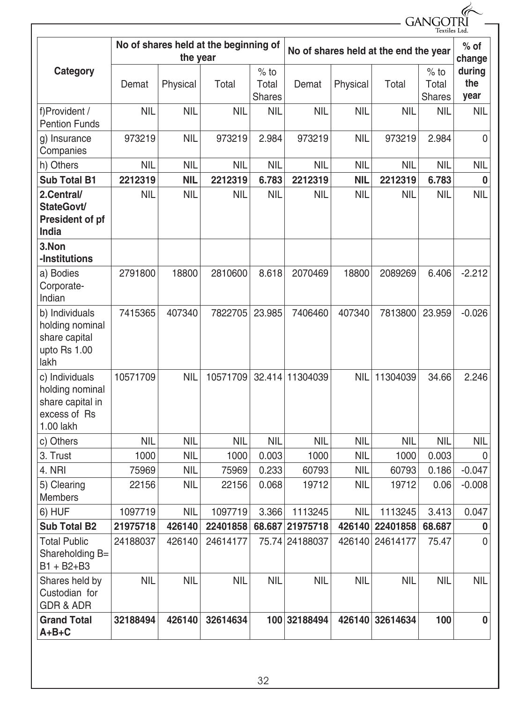|                                                                                    |                                                   |            |            |                           |                 |            |                                       | GANGOT<br>Textiles Ltd           |                       |
|------------------------------------------------------------------------------------|---------------------------------------------------|------------|------------|---------------------------|-----------------|------------|---------------------------------------|----------------------------------|-----------------------|
|                                                                                    | No of shares held at the beginning of<br>the year |            |            |                           |                 |            | No of shares held at the end the year |                                  | $%$ of<br>change      |
| Category                                                                           | Demat                                             | Physical   | Total      | $%$ to<br>Total<br>Shares | Demat           | Physical   | Total                                 | $%$ to<br>Total<br><b>Shares</b> | during<br>the<br>year |
| f)Provident /<br><b>Pention Funds</b>                                              | <b>NIL</b>                                        | NIL        | <b>NIL</b> | <b>NIL</b>                | <b>NIL</b>      | NIL        | <b>NIL</b>                            | <b>NIL</b>                       | <b>NIL</b>            |
| g) Insurance<br>Companies                                                          | 973219                                            | <b>NIL</b> | 973219     | 2.984                     | 973219          | <b>NIL</b> | 973219                                | 2.984                            | $\mathbf{0}$          |
| h) Others                                                                          | <b>NIL</b>                                        | <b>NIL</b> | <b>NIL</b> | <b>NIL</b>                | <b>NIL</b>      | <b>NIL</b> | <b>NIL</b>                            | <b>NIL</b>                       | <b>NIL</b>            |
| <b>Sub Total B1</b>                                                                | 2212319                                           | <b>NIL</b> | 2212319    | 6.783                     | 2212319         | <b>NIL</b> | 2212319                               | 6.783                            | $\bf{0}$              |
| 2.Central/<br>StateGovt/<br>President of pf<br>India                               | <b>NIL</b>                                        | <b>NIL</b> | <b>NIL</b> | <b>NIL</b>                | <b>NIL</b>      | <b>NIL</b> | <b>NIL</b>                            | <b>NIL</b>                       | <b>NIL</b>            |
| 3.Non<br>-Institutions                                                             |                                                   |            |            |                           |                 |            |                                       |                                  |                       |
| a) Bodies<br>Corporate-<br>Indian                                                  | 2791800                                           | 18800      | 2810600    | 8.618                     | 2070469         | 18800      | 2089269                               | 6.406                            | $-2.212$              |
| b) Individuals<br>holding nominal<br>share capital<br>upto Rs 1.00<br>lakh         | 7415365                                           | 407340     | 7822705    | 23.985                    | 7406460         | 407340     | 7813800                               | 23.959                           | $-0.026$              |
| c) Individuals<br>holding nominal<br>share capital in<br>excess of Rs<br>1.00 lakh | 10571709                                          | <b>NIL</b> | 10571709   | 32.414                    | 11304039        | <b>NIL</b> | 11304039                              | 34.66                            | 2.246                 |
| c) Others                                                                          | <b>NIL</b>                                        | <b>NIL</b> | <b>NIL</b> | <b>NIL</b>                | <b>NIL</b>      | <b>NIL</b> | <b>NIL</b>                            | <b>NIL</b>                       | <b>NIL</b>            |
| 3. Trust                                                                           | 1000                                              | <b>NIL</b> | 1000       | 0.003                     | 1000            | <b>NIL</b> | 1000                                  | 0.003                            | 0                     |
| 4. NRI                                                                             | 75969                                             | <b>NIL</b> | 75969      | 0.233                     | 60793           | <b>NIL</b> | 60793                                 | 0.186                            | $-0.047$              |
| 5) Clearing<br>Members                                                             | 22156                                             | <b>NIL</b> | 22156      | 0.068                     | 19712           | <b>NIL</b> | 19712                                 | 0.06                             | $-0.008$              |
| 6) HUF                                                                             | 1097719                                           | <b>NIL</b> | 1097719    | 3.366                     | 1113245         | <b>NIL</b> | 1113245                               | 3.413                            | 0.047                 |
| <b>Sub Total B2</b>                                                                | 21975718                                          | 426140     | 22401858   |                           | 68.687 21975718 | 426140     | 22401858                              | 68.687                           | $\bf{0}$              |
| <b>Total Public</b><br>Shareholding B=<br>$B1 + B2 + B3$                           | 24188037                                          | 426140     | 24614177   |                           | 75.74 24188037  | 426140     | 24614177                              | 75.47                            | $\mathbf{0}$          |
| Shares held by<br>Custodian for<br><b>GDR &amp; ADR</b>                            | <b>NIL</b>                                        | <b>NIL</b> | <b>NIL</b> | <b>NIL</b>                | <b>NIL</b>      | <b>NIL</b> | <b>NIL</b>                            | <b>NIL</b>                       | <b>NIL</b>            |
| <b>Grand Total</b><br>$A+B+C$                                                      | 32188494                                          | 426140     | 32614634   |                           | 100 32188494    | 426140     | 32614634                              | 100                              | $\bf{0}$              |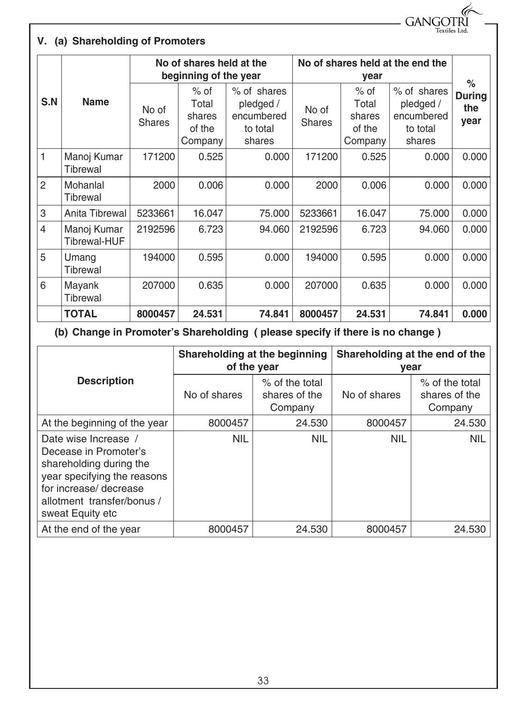**GANGOTR Textiles** Ltd

#### **V. (a) Shareholding of Promoters**

|                |                             | No of shares held at the<br>beginning of the year |                                                |                                                              | No of shares held at the end the | $\%$                                           |                                                              |                              |
|----------------|-----------------------------|---------------------------------------------------|------------------------------------------------|--------------------------------------------------------------|----------------------------------|------------------------------------------------|--------------------------------------------------------------|------------------------------|
| S.N            | <b>Name</b>                 | No of<br><b>Shares</b>                            | $%$ of<br>Total<br>shares<br>of the<br>Company | % of shares<br>pledged /<br>encumbered<br>to total<br>shares | No of<br><b>Shares</b>           | $%$ of<br>Total<br>shares<br>of the<br>Company | % of shares<br>pledged /<br>encumbered<br>to total<br>shares | <b>During</b><br>the<br>year |
| 1              | Manoj Kumar<br>Tibrewal     | 171200                                            | 0.525                                          | 0.000                                                        | 171200                           | 0.525                                          | 0.000                                                        | 0.000                        |
| 2              | Mohanlal<br>Tibrewal        | 2000                                              | 0.006                                          | 0.000                                                        | 2000                             | 0.006                                          | 0.000                                                        | 0.000                        |
| 3              | Anita Tibrewal              | 5233661                                           | 16.047                                         | 75.000                                                       | 5233661                          | 16.047                                         | 75.000                                                       | 0.000                        |
| $\overline{4}$ | Manoj Kumar<br>Tibrewal-HUF | 2192596                                           | 6.723                                          | 94.060                                                       | 2192596                          | 6.723                                          | 94.060                                                       | 0.000                        |
| 5              | Umang<br>Tibrewal           | 194000                                            | 0.595                                          | 0.000                                                        | 194000                           | 0.595                                          | 0.000                                                        | 0.000                        |
| 6              | Mayank<br>Tibrewal          | 207000                                            | 0.635                                          | 0.000                                                        | 207000                           | 0.635                                          | 0.000                                                        | 0.000                        |
|                | <b>TOTAL</b>                | 8000457                                           | 24.531                                         | 74.841                                                       | 8000457                          | 24.531                                         | 74.841                                                       | 0.000                        |

**(b) Change in Promoter's Shareholding ( please specify if there is no change )** 

|                                                                                                                                                                                     | Shareholding at the beginning<br>of the year |                                              | Shareholding at the end of the<br>year |                                            |  |
|-------------------------------------------------------------------------------------------------------------------------------------------------------------------------------------|----------------------------------------------|----------------------------------------------|----------------------------------------|--------------------------------------------|--|
| <b>Description</b>                                                                                                                                                                  | No of shares                                 | $%$ of the total<br>shares of the<br>Company | No of shares                           | % of the total<br>shares of the<br>Company |  |
| At the beginning of the year                                                                                                                                                        | 8000457                                      | 24.530                                       | 8000457                                | 24.530                                     |  |
| Date wise Increase /<br>Decease in Promoter's<br>shareholding during the<br>year specifying the reasons<br>for increase/ decrease<br>allotment transfer/bonus /<br>sweat Equity etc | <b>NIL</b>                                   | <b>NIL</b>                                   | <b>NIL</b>                             | <b>NIL</b>                                 |  |
| At the end of the year                                                                                                                                                              | 8000457                                      | 24.530                                       | 8000457                                | 24.530                                     |  |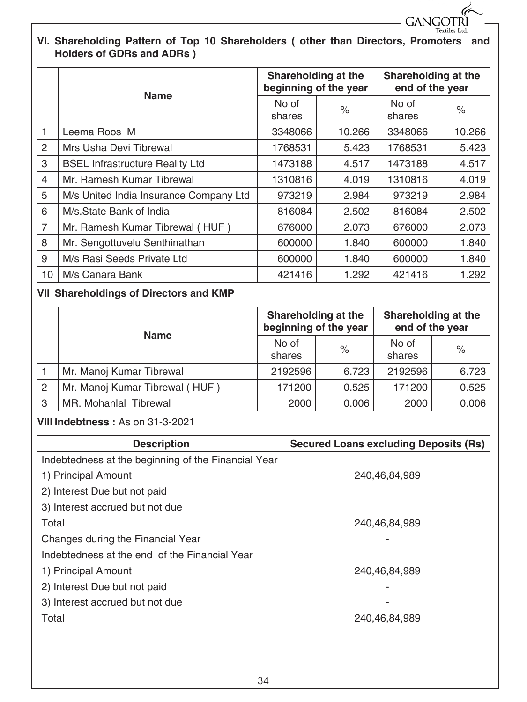

#### **VI. Shareholding Pattern of Top 10 Shareholders ( other than Directors, Promoters and Holders of GDRs and ADRs )**

|                | <b>Name</b>                            | Shareholding at the<br>beginning of the year |        | Shareholding at the<br>end of the year |        |
|----------------|----------------------------------------|----------------------------------------------|--------|----------------------------------------|--------|
|                |                                        | No of<br>shares                              | $\%$   | No of<br>shares                        | $\%$   |
| 1              | Leema Roos M                           | 3348066                                      | 10.266 | 3348066                                | 10.266 |
| $\overline{2}$ | Mrs Usha Devi Tibrewal                 | 1768531                                      | 5.423  | 1768531                                | 5.423  |
| 3              | <b>BSEL Infrastructure Reality Ltd</b> | 1473188                                      | 4.517  | 1473188                                | 4.517  |
| 4              | Mr. Ramesh Kumar Tibrewal              | 1310816                                      | 4.019  | 1310816                                | 4.019  |
| 5              | M/s United India Insurance Company Ltd | 973219                                       | 2.984  | 973219                                 | 2.984  |
| 6              | M/s.State Bank of India                | 816084                                       | 2.502  | 816084                                 | 2.502  |
| $\overline{7}$ | Mr. Ramesh Kumar Tibrewal (HUF)        | 676000                                       | 2.073  | 676000                                 | 2.073  |
| 8              | Mr. Sengottuvelu Senthinathan          | 600000                                       | 1.840  | 600000                                 | 1.840  |
| 9              | M/s Rasi Seeds Private Ltd             | 600000                                       | 1.840  | 600000                                 | 1.840  |
| 10             | M/s Canara Bank                        | 421416                                       | 1.292  | 421416                                 | 1.292  |

#### **VII Shareholdings of Directors and KMP**

|   | <b>Name</b>                    | Shareholding at the<br>beginning of the year |       | Shareholding at the<br>end of the year |       |
|---|--------------------------------|----------------------------------------------|-------|----------------------------------------|-------|
|   |                                | No of                                        | $\%$  | No of                                  | $\%$  |
|   |                                | shares                                       |       | shares                                 |       |
|   | Mr. Manoj Kumar Tibrewal       | 2192596                                      | 6.723 | 2192596                                | 6.723 |
| 2 | Mr. Manoj Kumar Tibrewal (HUF) | 171200                                       | 0.525 | 171200                                 | 0.525 |
| 3 | MR. Mohanlal Tibrewal          | 2000                                         | 0.006 | 2000                                   | 0.006 |

### **VIII Indebtness :** As on 31-3-2021

| <b>Description</b>                                  | <b>Secured Loans excluding Deposits (Rs)</b> |
|-----------------------------------------------------|----------------------------------------------|
| Indebtedness at the beginning of the Financial Year |                                              |
| 1) Principal Amount                                 | 240,46,84,989                                |
| 2) Interest Due but not paid                        |                                              |
| 3) Interest accrued but not due                     |                                              |
| Total                                               | 240,46,84,989                                |
| Changes during the Financial Year                   |                                              |
| Indebtedness at the end of the Financial Year       |                                              |
| 1) Principal Amount                                 | 240.46.84.989                                |
| 2) Interest Due but not paid                        |                                              |
| 3) Interest accrued but not due                     |                                              |
| Total                                               | 240,46,84,989                                |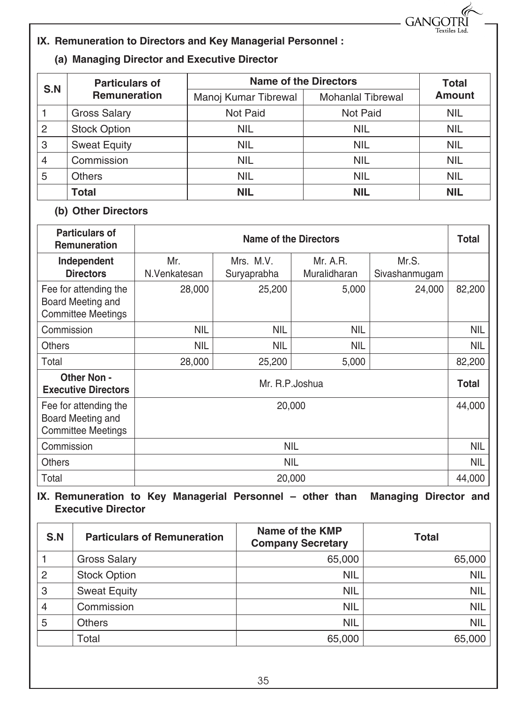**GANGOTR Textiles** Ltd

#### **IX. Remuneration to Directors and Key Managerial Personnel :**

#### **(a) Managing Director and Executive Director**

| S.N            | <b>Particulars of</b> | <b>Name of the Directors</b> | <b>Total</b>             |               |
|----------------|-----------------------|------------------------------|--------------------------|---------------|
|                | <b>Remuneration</b>   | Manoj Kumar Tibrewal         | <b>Mohanlal Tibrewal</b> | <b>Amount</b> |
|                | <b>Gross Salary</b>   | Not Paid                     | Not Paid                 | <b>NIL</b>    |
| $\overline{2}$ | <b>Stock Option</b>   | <b>NIL</b>                   | <b>NIL</b>               | <b>NIL</b>    |
| 3              | <b>Sweat Equity</b>   | <b>NIL</b>                   | <b>NIL</b>               | <b>NIL</b>    |
| 4              | Commission            | <b>NIL</b>                   | <b>NIL</b>               | <b>NIL</b>    |
| 5              | <b>Others</b>         | <b>NIL</b>                   | <b>NIL</b>               | <b>NIL</b>    |
|                | <b>Total</b>          | <b>NIL</b>                   | <b>NIL</b>               | <b>NIL</b>    |

#### **(b) Other Directors**

| <b>Particulars of</b><br><b>Remuneration</b>                            |                     | Name of the Directors    |                          |                        |              |  |
|-------------------------------------------------------------------------|---------------------|--------------------------|--------------------------|------------------------|--------------|--|
| Independent<br><b>Directors</b>                                         | Mr.<br>N.Venkatesan | Mrs. M.V.<br>Suryaprabha | Mr. A.R.<br>Muralidharan | Mr.S.<br>Sivashanmugam |              |  |
| Fee for attending the<br>Board Meeting and<br><b>Committee Meetings</b> | 28,000              | 25,200                   | 5,000                    | 24,000                 | 82,200       |  |
| Commission                                                              | <b>NIL</b>          | NIL                      | <b>NIL</b>               |                        | NIL          |  |
| <b>Others</b>                                                           | <b>NIL</b>          | NIL                      | <b>NIL</b>               |                        | NIL          |  |
| Total                                                                   | 28,000              | 25,200                   | 5,000                    |                        | 82,200       |  |
| <b>Other Non-</b><br><b>Executive Directors</b>                         | Mr. R.P. Joshua     |                          |                          |                        | <b>Total</b> |  |
| Fee for attending the<br>Board Meeting and<br><b>Committee Meetings</b> | 44,000<br>20,000    |                          |                          |                        |              |  |
| Commission                                                              | NIL                 |                          |                          |                        | NIL          |  |
| <b>Others</b>                                                           |                     | <b>NIL</b>               |                          |                        |              |  |
| Total                                                                   |                     | 20,000                   |                          |                        | 44,000       |  |

#### **IX. Remuneration to Key Managerial Personnel – other than Managing Director and Executive Director**

| S.N            | <b>Particulars of Remuneration</b> | Name of the KMP<br><b>Company Secretary</b> | <b>Total</b> |
|----------------|------------------------------------|---------------------------------------------|--------------|
|                | <b>Gross Salary</b>                | 65,000                                      | 65,000       |
| $\overline{2}$ | <b>Stock Option</b>                | <b>NIL</b>                                  | <b>NIL</b>   |
| 3              | <b>Sweat Equity</b>                | <b>NIL</b>                                  | <b>NIL</b>   |
| $\overline{4}$ | Commission                         | <b>NIL</b>                                  | <b>NIL</b>   |
| 5              | <b>Others</b>                      | <b>NIL</b>                                  | <b>NIL</b>   |
|                | Total                              | 65,000                                      | 65,000       |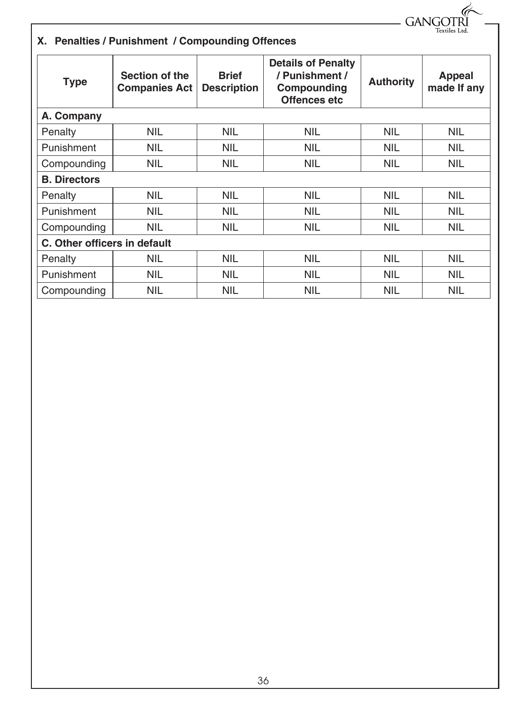$-$  GANGOTRI

### **X. Penalties / Punishment / Compounding Offences**

| Section of the<br><b>Type</b><br><b>Companies Act</b> |            | <b>Brief</b><br><b>Description</b> | <b>Details of Penalty</b><br>/ Punishment /<br>Compounding<br>Offences etc | <b>Authority</b> | <b>Appeal</b><br>made If any |
|-------------------------------------------------------|------------|------------------------------------|----------------------------------------------------------------------------|------------------|------------------------------|
| A. Company                                            |            |                                    |                                                                            |                  |                              |
| Penalty                                               | <b>NIL</b> | <b>NIL</b>                         | <b>NIL</b>                                                                 | <b>NIL</b>       | <b>NIL</b>                   |
| Punishment                                            | <b>NIL</b> | <b>NIL</b>                         | <b>NIL</b>                                                                 | <b>NIL</b>       | <b>NIL</b>                   |
| Compounding                                           | <b>NIL</b> | <b>NIL</b>                         | <b>NIL</b>                                                                 | <b>NIL</b>       | <b>NIL</b>                   |
| <b>B. Directors</b>                                   |            |                                    |                                                                            |                  |                              |
| Penalty                                               | <b>NIL</b> | <b>NIL</b>                         | <b>NIL</b>                                                                 | <b>NIL</b>       | NIL.                         |
| Punishment                                            | <b>NIL</b> | <b>NIL</b>                         | <b>NIL</b>                                                                 | <b>NIL</b>       | NIL.                         |
| Compounding                                           | <b>NIL</b> | NIL                                | <b>NIL</b>                                                                 | <b>NIL</b>       | NIL                          |
| C. Other officers in default                          |            |                                    |                                                                            |                  |                              |
| Penalty                                               | <b>NIL</b> | <b>NIL</b>                         | <b>NIL</b>                                                                 | <b>NIL</b>       | <b>NIL</b>                   |
| Punishment                                            | <b>NIL</b> | <b>NIL</b>                         | <b>NIL</b>                                                                 | NIL              | NIL.                         |
| Compounding                                           | <b>NIL</b> | <b>NIL</b>                         | <b>NIL</b>                                                                 | <b>NIL</b>       | <b>NIL</b>                   |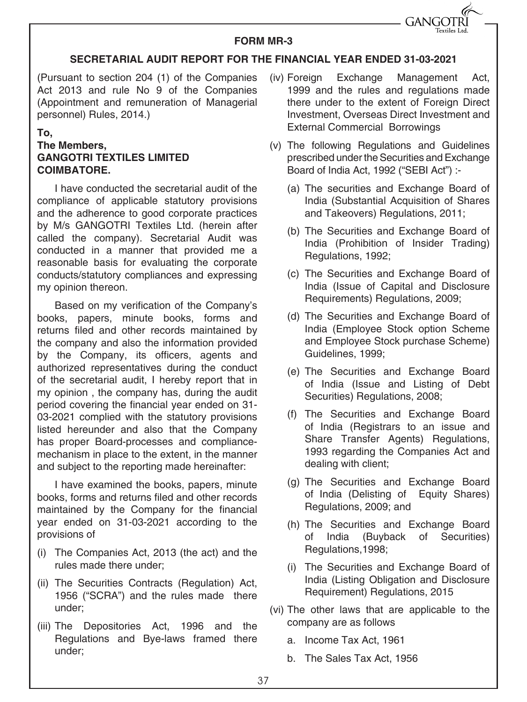

#### **FORM MR-3**

#### **SECRETARIAL AUDIT REPORT FOR THE FINANCIAL YEAR ENDED 31-03-2021**

(Pursuant to section 204 (1) of the Companies Act 2013 and rule No 9 of the Companies (Appointment and remuneration of Managerial personnel) Rules, 2014.)

#### **To,**

#### **The Members, GANGOTRI TEXTILES LIMITED COIMBATORE.**

I have conducted the secretarial audit of the compliance of applicable statutory provisions and the adherence to good corporate practices by M/s GANGOTRI Textiles Ltd. (herein after called the company). Secretarial Audit was conducted in a manner that provided me a reasonable basis for evaluating the corporate conducts/statutory compliances and expressing my opinion thereon.

Based on my verification of the Company's books, papers, minute books, forms and returns filed and other records maintained by the company and also the information provided by the Company, its officers, agents and authorized representatives during the conduct of the secretarial audit, I hereby report that in my opinion , the company has, during the audit period covering the financial year ended on 31- 03-2021 complied with the statutory provisions listed hereunder and also that the Company has proper Board-processes and compliancemechanism in place to the extent, in the manner and subject to the reporting made hereinafter:

I have examined the books, papers, minute books, forms and returns filed and other records maintained by the Company for the financial year ended on 31-03-2021 according to the provisions of

- (i) The Companies Act, 2013 (the act) and the rules made there under;
- (ii) The Securities Contracts (Regulation) Act, 1956 ("SCRA") and the rules made there under;
- (iii) The Depositories Act, 1996 and the Regulations and Bye-laws framed there under;
- (iv) Foreign Exchange Management Act, 1999 and the rules and regulations made there under to the extent of Foreign Direct Investment, Overseas Direct Investment and External Commercial Borrowings
- (v) The following Regulations and Guidelines prescribed under the Securities and Exchange Board of India Act, 1992 ("SEBI Act") :-
	- (a) The securities and Exchange Board of India (Substantial Acquisition of Shares and Takeovers) Regulations, 2011;
	- (b) The Securities and Exchange Board of India (Prohibition of Insider Trading) Regulations, 1992;
	- (c) The Securities and Exchange Board of India (Issue of Capital and Disclosure Requirements) Regulations, 2009;
	- (d) The Securities and Exchange Board of India (Employee Stock option Scheme and Employee Stock purchase Scheme) Guidelines, 1999;
	- (e) The Securities and Exchange Board of India (Issue and Listing of Debt Securities) Regulations, 2008;
	- (f) The Securities and Exchange Board of India (Registrars to an issue and Share Transfer Agents) Regulations, 1993 regarding the Companies Act and dealing with client;
	- (g) The Securities and Exchange Board of India (Delisting of Equity Shares) Regulations, 2009; and
	- (h) The Securities and Exchange Board of India (Buyback of Securities) Regulations,1998;
	- (i) The Securities and Exchange Board of India (Listing Obligation and Disclosure Requirement) Regulations, 2015
- (vi) The other laws that are applicable to the company are as follows
	- a. Income Tax Act, 1961
	- b. The Sales Tax Act, 1956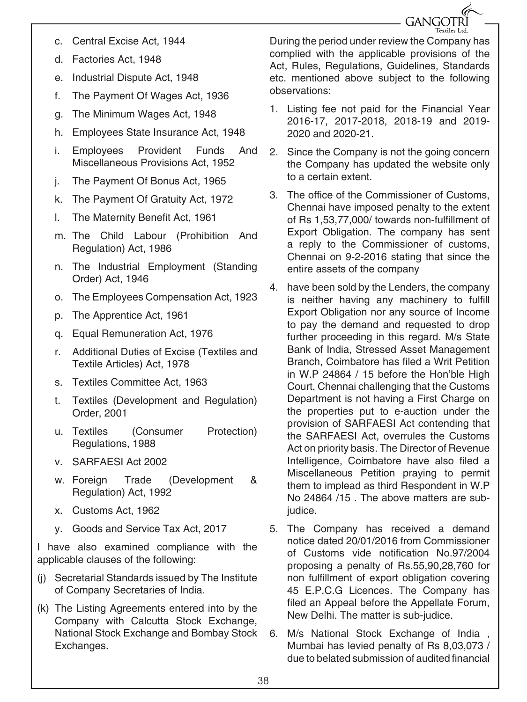**GANGOTRI** 

- c. Central Excise Act, 1944
- d. Factories Act, 1948
- e. Industrial Dispute Act, 1948
- f. The Payment Of Wages Act, 1936
- g. The Minimum Wages Act, 1948
- h. Employees State Insurance Act, 1948
- i. Employees Provident Funds And Miscellaneous Provisions Act, 1952
- j. The Payment Of Bonus Act, 1965
- k. The Payment Of Gratuity Act, 1972
- l. The Maternity Benefit Act, 1961
- m. The Child Labour (Prohibition And Regulation) Act, 1986
- n. The Industrial Employment (Standing Order) Act, 1946
- o. The Employees Compensation Act, 1923
- p. The Apprentice Act, 1961
- q. Equal Remuneration Act, 1976
- r. Additional Duties of Excise (Textiles and Textile Articles) Act, 1978
- s. Textiles Committee Act, 1963
- t. Textiles (Development and Regulation) Order, 2001
- u. Textiles (Consumer Protection) Regulations, 1988
- v. SARFAESI Act 2002
- w. Foreign Trade (Development & Regulation) Act, 1992
- x. Customs Act, 1962
- y. Goods and Service Tax Act, 2017

I have also examined compliance with the applicable clauses of the following:

- (j) Secretarial Standards issued by The Institute of Company Secretaries of India.
- (k) The Listing Agreements entered into by the Company with Calcutta Stock Exchange, National Stock Exchange and Bombay Stock Exchanges.

During the period under review the Company has complied with the applicable provisions of the Act, Rules, Regulations, Guidelines, Standards etc. mentioned above subject to the following observations:

- 1. Listing fee not paid for the Financial Year 2016-17, 2017-2018, 2018-19 and 2019- 2020 and 2020-21.
- 2. Since the Company is not the going concern the Company has updated the website only to a certain extent.
- 3. The office of the Commissioner of Customs, Chennai have imposed penalty to the extent of Rs 1,53,77,000/ towards non-fulfillment of Export Obligation. The company has sent a reply to the Commissioner of customs, Chennai on 9-2-2016 stating that since the entire assets of the company
- 4. have been sold by the Lenders, the company is neither having any machinery to fulfill Export Obligation nor any source of Income to pay the demand and requested to drop further proceeding in this regard. M/s State Bank of India, Stressed Asset Management Branch, Coimbatore has filed a Writ Petition in W.P 24864 / 15 before the Hon'ble High Court, Chennai challenging that the Customs Department is not having a First Charge on the properties put to e-auction under the provision of SARFAESI Act contending that the SARFAESI Act, overrules the Customs Act on priority basis. The Director of Revenue Intelligence, Coimbatore have also filed a Miscellaneous Petition praying to permit them to implead as third Respondent in W.P No 24864 /15 . The above matters are subjudice.
- 5. The Company has received a demand notice dated 20/01/2016 from Commissioner of Customs vide notification No.97/2004 proposing a penalty of Rs.55,90,28,760 for non fulfillment of export obligation covering 45 E.P.C.G Licences. The Company has filed an Appeal before the Appellate Forum, New Delhi. The matter is sub-judice.
- 6. M/s National Stock Exchange of India , Mumbai has levied penalty of Rs 8,03,073 / due to belated submission of audited financial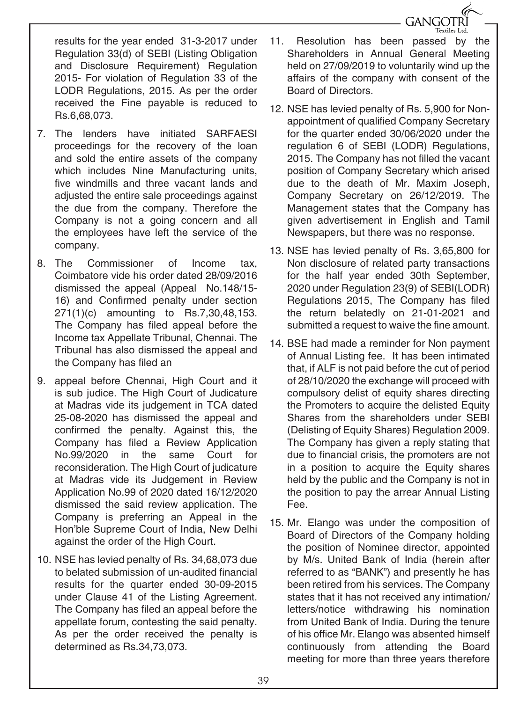results for the year ended 31-3-2017 under Regulation 33(d) of SEBI (Listing Obligation and Disclosure Requirement) Regulation 2015- For violation of Regulation 33 of the LODR Regulations, 2015. As per the order received the Fine payable is reduced to Rs.6,68,073.

- 7. The lenders have initiated SARFAESI proceedings for the recovery of the loan and sold the entire assets of the company which includes Nine Manufacturing units, five windmills and three vacant lands and adjusted the entire sale proceedings against the due from the company. Therefore the Company is not a going concern and all the employees have left the service of the company.
- 8. The Commissioner of Income tax, Coimbatore vide his order dated 28/09/2016 dismissed the appeal (Appeal No.148/15- 16) and Confirmed penalty under section 271(1)(c) amounting to Rs.7,30,48,153. The Company has filed appeal before the Income tax Appellate Tribunal, Chennai. The Tribunal has also dismissed the appeal and the Company has filed an
- 9. appeal before Chennai, High Court and it is sub judice. The High Court of Judicature at Madras vide its judgement in TCA dated 25-08-2020 has dismissed the appeal and confirmed the penalty. Against this, the Company has filed a Review Application No.99/2020 in the same Court for reconsideration. The High Court of judicature at Madras vide its Judgement in Review Application No.99 of 2020 dated 16/12/2020 dismissed the said review application. The Company is preferring an Appeal in the Hon'ble Supreme Court of India, New Delhi against the order of the High Court.
- 10. NSE has levied penalty of Rs. 34,68,073 due to belated submission of un-audited financial results for the quarter ended 30-09-2015 under Clause 41 of the Listing Agreement. The Company has filed an appeal before the appellate forum, contesting the said penalty. As per the order received the penalty is determined as Rs.34,73,073.

11. Resolution has been passed by the Shareholders in Annual General Meeting held on 27/09/2019 to voluntarily wind up the affairs of the company with consent of the Board of Directors.

**GANGOTRI** Textiles Ltd.

- 12. NSE has levied penalty of Rs. 5,900 for Nonappointment of qualified Company Secretary for the quarter ended 30/06/2020 under the regulation 6 of SEBI (LODR) Regulations, 2015. The Company has not filled the vacant position of Company Secretary which arised due to the death of Mr. Maxim Joseph, Company Secretary on 26/12/2019. The Management states that the Company has given advertisement in English and Tamil Newspapers, but there was no response.
- 13. NSE has levied penalty of Rs. 3,65,800 for Non disclosure of related party transactions for the half year ended 30th September, 2020 under Regulation 23(9) of SEBI(LODR) Regulations 2015, The Company has filed the return belatedly on 21-01-2021 and submitted a request to waive the fine amount.
- 14. BSE had made a reminder for Non payment of Annual Listing fee. It has been intimated that, if ALF is not paid before the cut of period of 28/10/2020 the exchange will proceed with compulsory delist of equity shares directing the Promoters to acquire the delisted Equity Shares from the shareholders under SEBI (Delisting of Equity Shares) Regulation 2009. The Company has given a reply stating that due to financial crisis, the promoters are not in a position to acquire the Equity shares held by the public and the Company is not in the position to pay the arrear Annual Listing Fee.
- 15. Mr. Elango was under the composition of Board of Directors of the Company holding the position of Nominee director, appointed by M/s. United Bank of India (herein after referred to as "BANK") and presently he has been retired from his services. The Company states that it has not received any intimation/ letters/notice withdrawing his nomination from United Bank of India. During the tenure of his office Mr. Elango was absented himself continuously from attending the Board meeting for more than three years therefore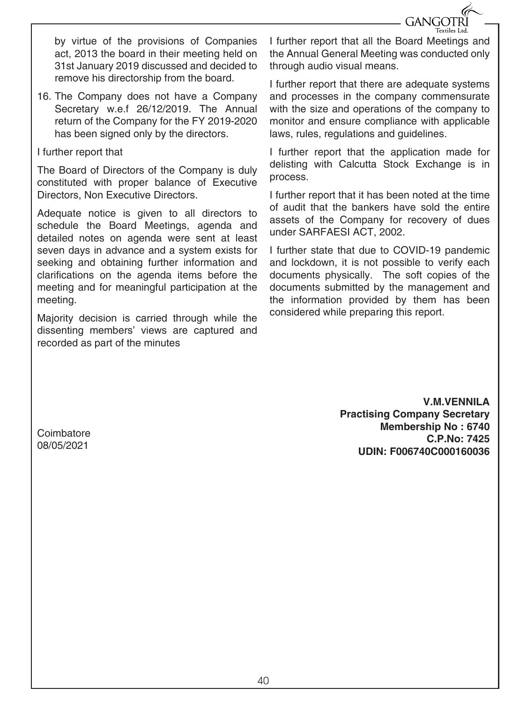

by virtue of the provisions of Companies act, 2013 the board in their meeting held on 31st January 2019 discussed and decided to remove his directorship from the board.

16. The Company does not have a Company Secretary w.e.f 26/12/2019. The Annual return of the Company for the FY 2019-2020 has been signed only by the directors.

#### I further report that

The Board of Directors of the Company is duly constituted with proper balance of Executive Directors, Non Executive Directors.

Adequate notice is given to all directors to schedule the Board Meetings, agenda and detailed notes on agenda were sent at least seven days in advance and a system exists for seeking and obtaining further information and clarifications on the agenda items before the meeting and for meaningful participation at the meeting.

Majority decision is carried through while the dissenting members' views are captured and recorded as part of the minutes

I further report that all the Board Meetings and the Annual General Meeting was conducted only through audio visual means.

I further report that there are adequate systems and processes in the company commensurate with the size and operations of the company to monitor and ensure compliance with applicable laws, rules, regulations and guidelines.

I further report that the application made for delisting with Calcutta Stock Exchange is in process.

I further report that it has been noted at the time of audit that the bankers have sold the entire assets of the Company for recovery of dues under SARFAESI ACT, 2002.

I further state that due to COVID-19 pandemic and lockdown, it is not possible to verify each documents physically. The soft copies of the documents submitted by the management and the information provided by them has been considered while preparing this report.

> **V.M.VENNILA Practising Company Secretary Membership No : 6740 C.P.No: 7425 UDIN: F006740C000160036**

**Coimbatore** 08/05/2021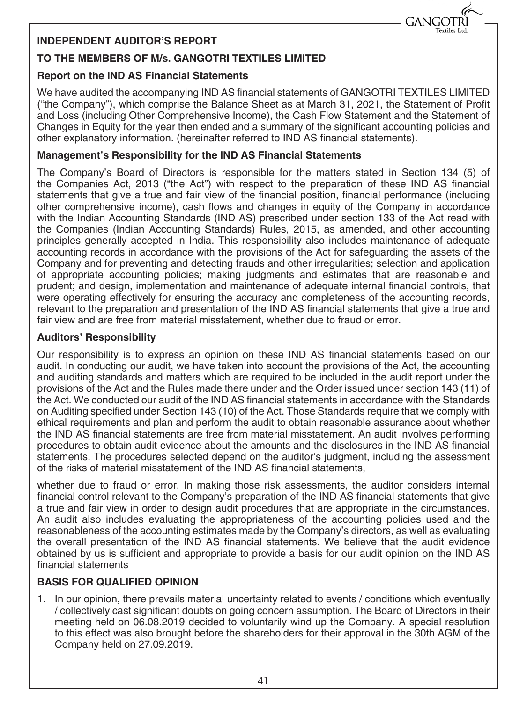

#### **INDEPENDENT AUDITOR'S REPORT**

#### **TO THE MEMBERS OF M/s. GANGOTRI TEXTILES LIMITED**

#### **Report on the IND AS Financial Statements**

We have audited the accompanying IND AS financial statements of GANGOTRI TEXTILES LIMITED ("the Company"), which comprise the Balance Sheet as at March 31, 2021, the Statement of Profit and Loss (including Other Comprehensive Income), the Cash Flow Statement and the Statement of Changes in Equity for the year then ended and a summary of the significant accounting policies and other explanatory information. (hereinafter referred to IND AS financial statements).

#### **Management's Responsibility for the IND AS Financial Statements**

The Company's Board of Directors is responsible for the matters stated in Section 134 (5) of the Companies Act, 2013 ("the Act") with respect to the preparation of these IND AS financial statements that give a true and fair view of the financial position, financial performance (including other comprehensive income), cash flows and changes in equity of the Company in accordance with the Indian Accounting Standards (IND AS) prescribed under section 133 of the Act read with the Companies (Indian Accounting Standards) Rules, 2015, as amended, and other accounting principles generally accepted in India. This responsibility also includes maintenance of adequate accounting records in accordance with the provisions of the Act for safeguarding the assets of the Company and for preventing and detecting frauds and other irregularities; selection and application of appropriate accounting policies; making judgments and estimates that are reasonable and prudent; and design, implementation and maintenance of adequate internal financial controls, that were operating effectively for ensuring the accuracy and completeness of the accounting records, relevant to the preparation and presentation of the IND AS financial statements that give a true and fair view and are free from material misstatement, whether due to fraud or error.

#### **Auditors' Responsibility**

Our responsibility is to express an opinion on these IND AS financial statements based on our audit. In conducting our audit, we have taken into account the provisions of the Act, the accounting and auditing standards and matters which are required to be included in the audit report under the provisions of the Act and the Rules made there under and the Order issued under section 143 (11) of the Act. We conducted our audit of the IND AS financial statements in accordance with the Standards on Auditing specified under Section 143 (10) of the Act. Those Standards require that we comply with ethical requirements and plan and perform the audit to obtain reasonable assurance about whether the IND AS financial statements are free from material misstatement. An audit involves performing procedures to obtain audit evidence about the amounts and the disclosures in the IND AS financial statements. The procedures selected depend on the auditor's judgment, including the assessment of the risks of material misstatement of the IND AS financial statements,

whether due to fraud or error. In making those risk assessments, the auditor considers internal financial control relevant to the Company's preparation of the IND AS financial statements that give a true and fair view in order to design audit procedures that are appropriate in the circumstances. An audit also includes evaluating the appropriateness of the accounting policies used and the reasonableness of the accounting estimates made by the Company's directors, as well as evaluating the overall presentation of the IND AS financial statements. We believe that the audit evidence obtained by us is sufficient and appropriate to provide a basis for our audit opinion on the IND AS financial statements

#### **BASIS FOR QUALIFIED OPINION**

1. In our opinion, there prevails material uncertainty related to events / conditions which eventually / collectively cast significant doubts on going concern assumption. The Board of Directors in their meeting held on 06.08.2019 decided to voluntarily wind up the Company. A special resolution to this effect was also brought before the shareholders for their approval in the 30th AGM of the Company held on 27.09.2019.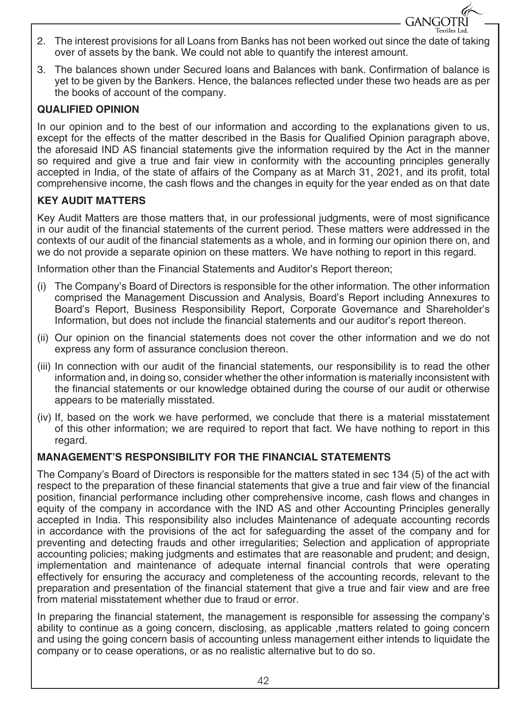2. The interest provisions for all Loans from Banks has not been worked out since the date of taking over of assets by the bank. We could not able to quantify the interest amount.

**GANGOTRI** extiles Ltd.

3. The balances shown under Secured loans and Balances with bank. Confirmation of balance is yet to be given by the Bankers. Hence, the balances reflected under these two heads are as per the books of account of the company.

#### **QUALIFIED OPINION**

In our opinion and to the best of our information and according to the explanations given to us, except for the effects of the matter described in the Basis for Qualified Opinion paragraph above, the aforesaid IND AS financial statements give the information required by the Act in the manner so required and give a true and fair view in conformity with the accounting principles generally accepted in India, of the state of affairs of the Company as at March 31, 2021, and its profit, total comprehensive income, the cash flows and the changes in equity for the year ended as on that date

#### **KEY AUDIT MATTERS**

Key Audit Matters are those matters that, in our professional judgments, were of most significance in our audit of the financial statements of the current period. These matters were addressed in the contexts of our audit of the financial statements as a whole, and in forming our opinion there on, and we do not provide a separate opinion on these matters. We have nothing to report in this regard.

Information other than the Financial Statements and Auditor's Report thereon;

- (i) The Company's Board of Directors is responsible for the other information. The other information comprised the Management Discussion and Analysis, Board's Report including Annexures to Board's Report, Business Responsibility Report, Corporate Governance and Shareholder's Information, but does not include the financial statements and our auditor's report thereon.
- (ii) Our opinion on the financial statements does not cover the other information and we do not express any form of assurance conclusion thereon.
- (iii) In connection with our audit of the financial statements, our responsibility is to read the other information and, in doing so, consider whether the other information is materially inconsistent with the financial statements or our knowledge obtained during the course of our audit or otherwise appears to be materially misstated.
- (iv) If, based on the work we have performed, we conclude that there is a material misstatement of this other information; we are required to report that fact. We have nothing to report in this regard.

#### **MANAGEMENT'S RESPONSIBILITY FOR THE FINANCIAL STATEMENTS**

The Company's Board of Directors is responsible for the matters stated in sec 134 (5) of the act with respect to the preparation of these financial statements that give a true and fair view of the financial position, financial performance including other comprehensive income, cash flows and changes in equity of the company in accordance with the IND AS and other Accounting Principles generally accepted in India. This responsibility also includes Maintenance of adequate accounting records in accordance with the provisions of the act for safeguarding the asset of the company and for preventing and detecting frauds and other irregularities; Selection and application of appropriate accounting policies; making judgments and estimates that are reasonable and prudent; and design, implementation and maintenance of adequate internal financial controls that were operating effectively for ensuring the accuracy and completeness of the accounting records, relevant to the preparation and presentation of the financial statement that give a true and fair view and are free from material misstatement whether due to fraud or error.

In preparing the financial statement, the management is responsible for assessing the company's ability to continue as a going concern, disclosing, as applicable ,matters related to going concern and using the going concern basis of accounting unless management either intends to liquidate the company or to cease operations, or as no realistic alternative but to do so.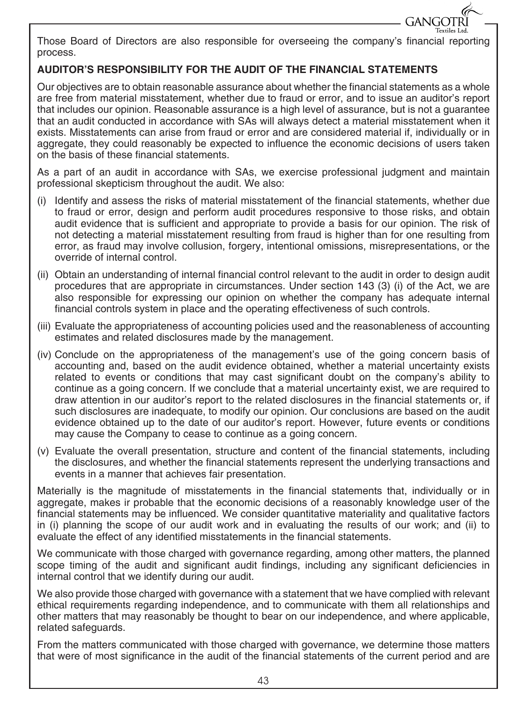Those Board of Directors are also responsible for overseeing the company's financial reporting process.

GANGOTRI Textiles Ltd.

#### **AUDITOR'S RESPONSIBILITY FOR THE AUDIT OF THE FINANCIAL STATEMENTS**

Our objectives are to obtain reasonable assurance about whether the financial statements as a whole are free from material misstatement, whether due to fraud or error, and to issue an auditor's report that includes our opinion. Reasonable assurance is a high level of assurance, but is not a guarantee that an audit conducted in accordance with SAs will always detect a material misstatement when it exists. Misstatements can arise from fraud or error and are considered material if, individually or in aggregate, they could reasonably be expected to influence the economic decisions of users taken on the basis of these financial statements.

As a part of an audit in accordance with SAs, we exercise professional judgment and maintain professional skepticism throughout the audit. We also:

- (i) Identify and assess the risks of material misstatement of the financial statements, whether due to fraud or error, design and perform audit procedures responsive to those risks, and obtain audit evidence that is sufficient and appropriate to provide a basis for our opinion. The risk of not detecting a material misstatement resulting from fraud is higher than for one resulting from error, as fraud may involve collusion, forgery, intentional omissions, misrepresentations, or the override of internal control.
- (ii) Obtain an understanding of internal financial control relevant to the audit in order to design audit procedures that are appropriate in circumstances. Under section 143 (3) (i) of the Act, we are also responsible for expressing our opinion on whether the company has adequate internal financial controls system in place and the operating effectiveness of such controls.
- (iii) Evaluate the appropriateness of accounting policies used and the reasonableness of accounting estimates and related disclosures made by the management.
- (iv) Conclude on the appropriateness of the management's use of the going concern basis of accounting and, based on the audit evidence obtained, whether a material uncertainty exists related to events or conditions that may cast significant doubt on the company's ability to continue as a going concern. If we conclude that a material uncertainty exist, we are required to draw attention in our auditor's report to the related disclosures in the financial statements or, if such disclosures are inadequate, to modify our opinion. Our conclusions are based on the audit evidence obtained up to the date of our auditor's report. However, future events or conditions may cause the Company to cease to continue as a going concern.
- (v) Evaluate the overall presentation, structure and content of the financial statements, including the disclosures, and whether the financial statements represent the underlying transactions and events in a manner that achieves fair presentation.

Materially is the magnitude of misstatements in the financial statements that, individually or in aggregate, makes ir probable that the economic decisions of a reasonably knowledge user of the financial statements may be influenced. We consider quantitative materiality and qualitative factors in (i) planning the scope of our audit work and in evaluating the results of our work; and (ii) to evaluate the effect of any identified misstatements in the financial statements.

We communicate with those charged with governance regarding, among other matters, the planned scope timing of the audit and significant audit findings, including any significant deficiencies in internal control that we identify during our audit.

We also provide those charged with governance with a statement that we have complied with relevant ethical requirements regarding independence, and to communicate with them all relationships and other matters that may reasonably be thought to bear on our independence, and where applicable, related safeguards.

From the matters communicated with those charged with governance, we determine those matters that were of most significance in the audit of the financial statements of the current period and are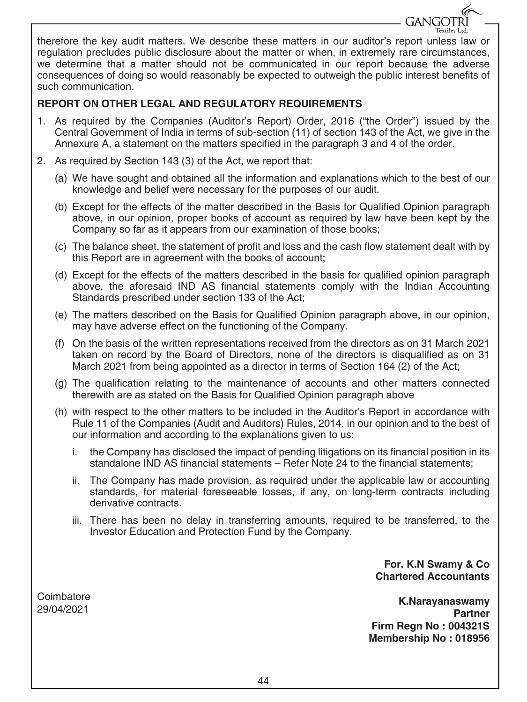therefore the key audit matters. We describe these matters in our auditor's report unless law or regulation precludes public disclosure about the matter or when, in extremely rare circumstances, we determine that a matter should not be communicated in our report because the adverse consequences of doing so would reasonably be expected to outweigh the public interest benefits of such communication.

#### **REPORT ON OTHER LEGAL AND REGULATORY REQUIREMENTS**

- 1. As required by the Companies (Auditor's Report) Order, 2016 ("the Order") issued by the Central Government of India in terms of sub-section (11) of section 143 of the Act, we give in the Annexure A, a statement on the matters specified in the paragraph 3 and 4 of the order.
- 2. As required by Section 143 (3) of the Act, we report that:
	- (a) We have sought and obtained all the information and explanations which to the best of our knowledge and belief were necessary for the purposes of our audit.
	- (b) Except for the effects of the matter described in the Basis for Qualified Opinion paragraph above, in our opinion, proper books of account as required by law have been kept by the Company so far as it appears from our examination of those books;
	- (c) The balance sheet, the statement of profit and loss and the cash flow statement dealt with by this Report are in agreement with the books of account;
	- (d) Except for the effects of the matters described in the basis for qualified opinion paragraph above, the aforesaid IND AS financial statements comply with the Indian Accounting Standards prescribed under section 133 of the Act;
	- (e) The matters described on the Basis for Qualified Opinion paragraph above, in our opinion, may have adverse effect on the functioning of the Company.
	- (f) On the basis of the written representations received from the directors as on 31 March 2021 taken on record by the Board of Directors, none of the directors is disqualified as on 31 March 2021 from being appointed as a director in terms of Section 164 (2) of the Act;
	- (g) The qualification relating to the maintenance of accounts and other matters connected therewith are as stated on the Basis for Qualified Opinion paragraph above
	- (h) with respect to the other matters to be included in the Auditor's Report in accordance with Rule 11 of the Companies (Audit and Auditors) Rules, 2014, in our opinion and to the best of our information and according to the explanations given to us:
		- i. the Company has disclosed the impact of pending litigations on its financial position in its standalone IND AS financial statements – Refer Note 24 to the financial statements;
		- ii. The Company has made provision, as required under the applicable law or accounting standards, for material foreseeable losses, if any, on long-term contracts including derivative contracts.
		- iii. There has been no delay in transferring amounts, required to be transferred, to the Investor Education and Protection Fund by the Company.

**For. K.N Swamy & Co Chartered Accountants** 

GANGOTRI

**K.Narayanaswamy Partner Firm Regn No : 004321S Membership No : 018956**

**Coimbatore** 29/04/2021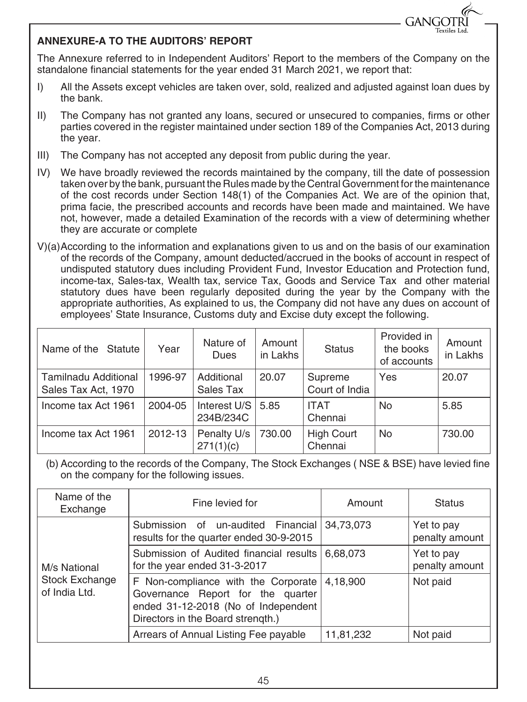

#### **ANNEXURE-A TO THE AUDITORS' REPORT**

The Annexure referred to in Independent Auditors' Report to the members of the Company on the standalone financial statements for the year ended 31 March 2021, we report that:

- I) All the Assets except vehicles are taken over, sold, realized and adjusted against loan dues by the bank.
- II) The Company has not granted any loans, secured or unsecured to companies, firms or other parties covered in the register maintained under section 189 of the Companies Act, 2013 during the year.
- III) The Company has not accepted any deposit from public during the year.
- IV) We have broadly reviewed the records maintained by the company, till the date of possession taken over by the bank, pursuant the Rules made by the Central Government for the maintenance of the cost records under Section 148(1) of the Companies Act. We are of the opinion that, prima facie, the prescribed accounts and records have been made and maintained. We have not, however, made a detailed Examination of the records with a view of determining whether they are accurate or complete
- V)(a)According to the information and explanations given to us and on the basis of our examination of the records of the Company, amount deducted/accrued in the books of account in respect of undisputed statutory dues including Provident Fund, Investor Education and Protection fund, income-tax, Sales-tax, Wealth tax, service Tax, Goods and Service Tax and other material statutory dues have been regularly deposited during the year by the Company with the appropriate authorities, As explained to us, the Company did not have any dues on account of employees' State Insurance, Customs duty and Excise duty except the following.

| Name of the Statute                                | Year    | Nature of<br><b>Dues</b>  | Amount<br>in Lakhs | <b>Status</b>                | Provided in<br>the books<br>of accounts | Amount<br>in Lakhs |
|----------------------------------------------------|---------|---------------------------|--------------------|------------------------------|-----------------------------------------|--------------------|
| <b>Tamilnadu Additional</b><br>Sales Tax Act, 1970 | 1996-97 | Additional<br>Sales Tax   | 20.07              | Supreme<br>Court of India    | Yes                                     | 20.07              |
| Income tax Act 1961                                | 2004-05 | Interest U/S<br>234B/234C | 5.85               | <b>ITAT</b><br>Chennai       | No                                      | 5.85               |
| Income tax Act 1961                                | 2012-13 | Penalty U/s<br>271(1)(c)  | 730.00             | <b>High Court</b><br>Chennai | No                                      | 730.00             |

(b) According to the records of the Company, The Stock Exchanges ( NSE & BSE) have levied fine on the company for the following issues.

| Name of the<br>Exchange         | Fine levied for                                                                                                                                      | Amount    | <b>Status</b>                |
|---------------------------------|------------------------------------------------------------------------------------------------------------------------------------------------------|-----------|------------------------------|
|                                 | Submission of un-audited Financial<br>results for the quarter ended 30-9-2015                                                                        | 34,73,073 | Yet to pay<br>penalty amount |
| M/s National                    | Submission of Audited financial results<br>for the year ended 31-3-2017                                                                              | 6,68,073  | Yet to pay<br>penalty amount |
| Stock Exchange<br>of India Ltd. | F Non-compliance with the Corporate<br>Governance Report for the quarter<br>ended 31-12-2018 (No of Independent<br>Directors in the Board strength.) | 4,18,900  | Not paid                     |
|                                 | Arrears of Annual Listing Fee payable                                                                                                                | 11,81,232 | Not paid                     |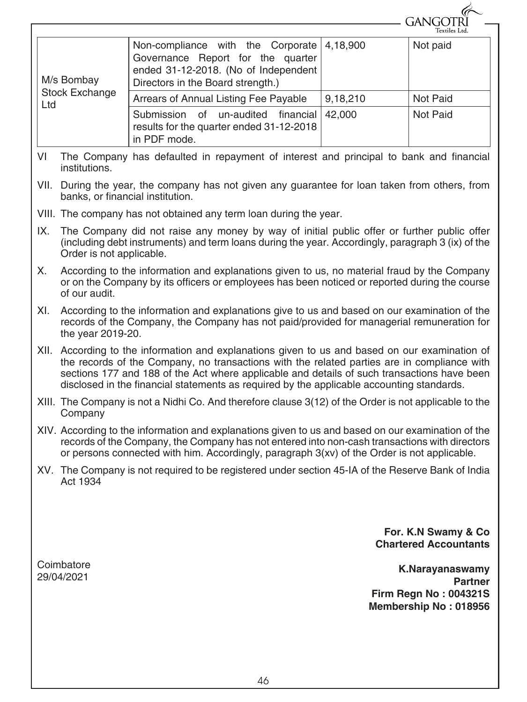|                       |                                                                                                                                                     |          | GANGORI<br>Textiles Ltd. |
|-----------------------|-----------------------------------------------------------------------------------------------------------------------------------------------------|----------|--------------------------|
| M/s Bombay            | Non-compliance with the Corporate<br>Governance Report for the quarter<br>ended 31-12-2018. (No of Independent<br>Directors in the Board strength.) | 4,18,900 | Not paid                 |
| Stock Exchange<br>Ltd | Arrears of Annual Listing Fee Payable                                                                                                               | 9,18,210 | Not Paid                 |
|                       | Submission of un-audited<br>financial<br>results for the quarter ended 31-12-2018<br>in PDF mode.                                                   | 42,000   | Not Paid                 |

- VI The Company has defaulted in repayment of interest and principal to bank and financial institutions.
- VII. During the year, the company has not given any guarantee for loan taken from others, from banks, or financial institution.
- VIII. The company has not obtained any term loan during the year.
- IX. The Company did not raise any money by way of initial public offer or further public offer (including debt instruments) and term loans during the year. Accordingly, paragraph 3 (ix) of the Order is not applicable.
- X. According to the information and explanations given to us, no material fraud by the Company or on the Company by its officers or employees has been noticed or reported during the course of our audit.
- XI. According to the information and explanations give to us and based on our examination of the records of the Company, the Company has not paid/provided for managerial remuneration for the year 2019-20.
- XII. According to the information and explanations given to us and based on our examination of the records of the Company, no transactions with the related parties are in compliance with sections 177 and 188 of the Act where applicable and details of such transactions have been disclosed in the financial statements as required by the applicable accounting standards.
- XIII. The Company is not a Nidhi Co. And therefore clause 3(12) of the Order is not applicable to the **Company**
- XIV. According to the information and explanations given to us and based on our examination of the records of the Company, the Company has not entered into non-cash transactions with directors or persons connected with him. Accordingly, paragraph 3(xv) of the Order is not applicable.
- XV. The Company is not required to be registered under section 45-IA of the Reserve Bank of India Act 1934

**For. K.N Swamy & Co Chartered Accountants** 

G

**Coimbatore** 29/04/2021

**K.Narayanaswamy Partner Firm Regn No : 004321S Membership No : 018956**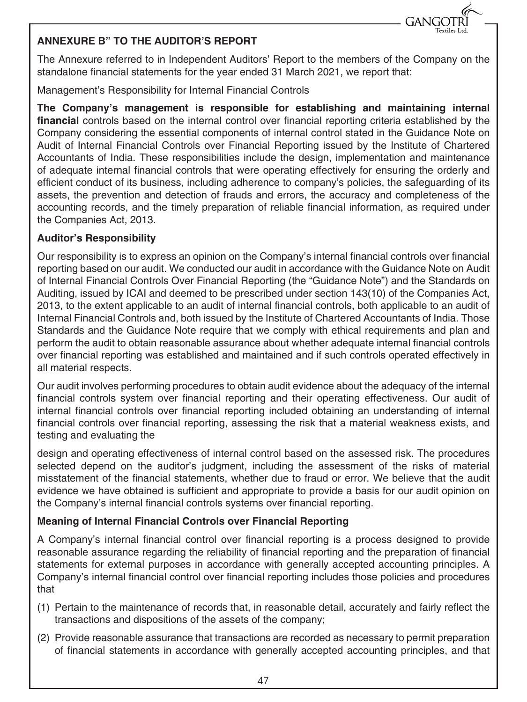

#### **ANNEXURE B" TO THE AUDITOR'S REPORT**

The Annexure referred to in Independent Auditors' Report to the members of the Company on the standalone financial statements for the year ended 31 March 2021, we report that:

Management's Responsibility for Internal Financial Controls

**The Company's management is responsible for establishing and maintaining internal financial** controls based on the internal control over financial reporting criteria established by the Company considering the essential components of internal control stated in the Guidance Note on Audit of Internal Financial Controls over Financial Reporting issued by the Institute of Chartered Accountants of India. These responsibilities include the design, implementation and maintenance of adequate internal financial controls that were operating effectively for ensuring the orderly and efficient conduct of its business, including adherence to company's policies, the safeguarding of its assets, the prevention and detection of frauds and errors, the accuracy and completeness of the accounting records, and the timely preparation of reliable financial information, as required under the Companies Act, 2013.

#### **Auditor's Responsibility**

Our responsibility is to express an opinion on the Company's internal financial controls over financial reporting based on our audit. We conducted our audit in accordance with the Guidance Note on Audit of Internal Financial Controls Over Financial Reporting (the "Guidance Note") and the Standards on Auditing, issued by ICAI and deemed to be prescribed under section 143(10) of the Companies Act, 2013, to the extent applicable to an audit of internal financial controls, both applicable to an audit of Internal Financial Controls and, both issued by the Institute of Chartered Accountants of India. Those Standards and the Guidance Note require that we comply with ethical requirements and plan and perform the audit to obtain reasonable assurance about whether adequate internal financial controls over financial reporting was established and maintained and if such controls operated effectively in all material respects.

Our audit involves performing procedures to obtain audit evidence about the adequacy of the internal financial controls system over financial reporting and their operating effectiveness. Our audit of internal financial controls over financial reporting included obtaining an understanding of internal financial controls over financial reporting, assessing the risk that a material weakness exists, and testing and evaluating the

design and operating effectiveness of internal control based on the assessed risk. The procedures selected depend on the auditor's judgment, including the assessment of the risks of material misstatement of the financial statements, whether due to fraud or error. We believe that the audit evidence we have obtained is sufficient and appropriate to provide a basis for our audit opinion on the Company's internal financial controls systems over financial reporting.

#### **Meaning of Internal Financial Controls over Financial Reporting**

A Company's internal financial control over financial reporting is a process designed to provide reasonable assurance regarding the reliability of financial reporting and the preparation of financial statements for external purposes in accordance with generally accepted accounting principles. A Company's internal financial control over financial reporting includes those policies and procedures that

- (1) Pertain to the maintenance of records that, in reasonable detail, accurately and fairly reflect the transactions and dispositions of the assets of the company;
- (2) Provide reasonable assurance that transactions are recorded as necessary to permit preparation of financial statements in accordance with generally accepted accounting principles, and that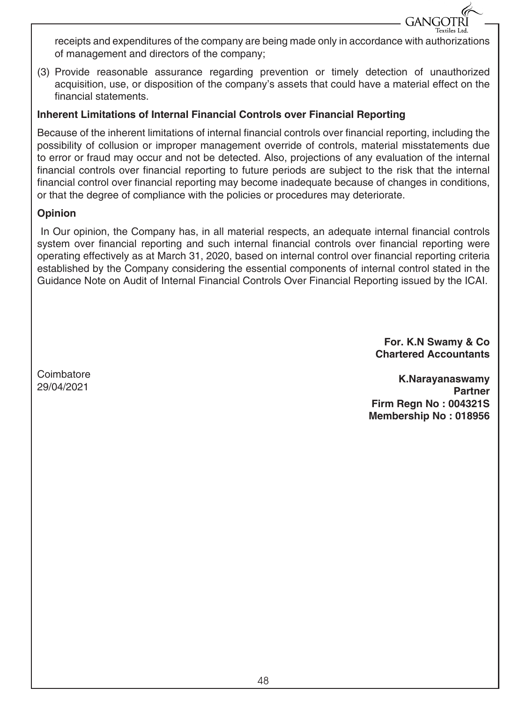receipts and expenditures of the company are being made only in accordance with authorizations of management and directors of the company;

(3) Provide reasonable assurance regarding prevention or timely detection of unauthorized acquisition, use, or disposition of the company's assets that could have a material effect on the financial statements.

#### **Inherent Limitations of Internal Financial Controls over Financial Reporting**

Because of the inherent limitations of internal financial controls over financial reporting, including the possibility of collusion or improper management override of controls, material misstatements due to error or fraud may occur and not be detected. Also, projections of any evaluation of the internal financial controls over financial reporting to future periods are subject to the risk that the internal financial control over financial reporting may become inadequate because of changes in conditions, or that the degree of compliance with the policies or procedures may deteriorate.

#### **Opinion**

 In Our opinion, the Company has, in all material respects, an adequate internal financial controls system over financial reporting and such internal financial controls over financial reporting were operating effectively as at March 31, 2020, based on internal control over financial reporting criteria established by the Company considering the essential components of internal control stated in the Guidance Note on Audit of Internal Financial Controls Over Financial Reporting issued by the ICAI.

> **For. K.N Swamy & Co Chartered Accountants**

**GANGOTR** 

**Coimbatore** 29/04/2021

**K.Narayanaswamy Partner Firm Regn No : 004321S Membership No : 018956**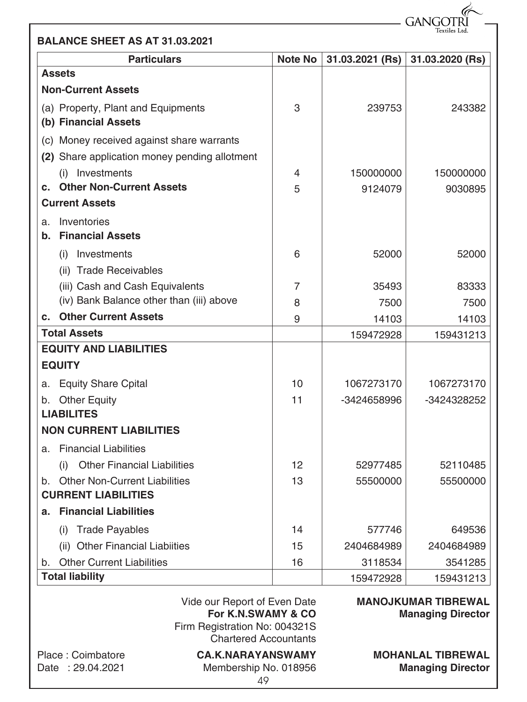GANGOTR Textiles Ltd.

|  |  |  |  |  | <b>BALANCE SHEET AS AT 31.03.2021</b> |
|--|--|--|--|--|---------------------------------------|
|--|--|--|--|--|---------------------------------------|

| <b>Particulars</b>                            | <b>Note No</b> | 31.03.2021 (Rs) | 31.03.2020 (Rs) |
|-----------------------------------------------|----------------|-----------------|-----------------|
| <b>Assets</b>                                 |                |                 |                 |
| <b>Non-Current Assets</b>                     |                |                 |                 |
| (a) Property, Plant and Equipments            | 3              | 239753          | 243382          |
| (b) Financial Assets                          |                |                 |                 |
| (c) Money received against share warrants     |                |                 |                 |
| (2) Share application money pending allotment |                |                 |                 |
| (i) Investments                               | 4              | 150000000       | 150000000       |
| <b>Other Non-Current Assets</b><br>C.         | 5              | 9124079         | 9030895         |
| <b>Current Assets</b>                         |                |                 |                 |
| Inventories<br>a.                             |                |                 |                 |
| <b>Financial Assets</b><br>b.                 |                |                 |                 |
| Investments<br>(i)                            | 6              | 52000           | 52000           |
| (ii) Trade Receivables                        |                |                 |                 |
| (iii) Cash and Cash Equivalents               | 7              | 35493           | 83333           |
| (iv) Bank Balance other than (iii) above      | 8              | 7500            | 7500            |
| <b>Other Current Assets</b><br>C.             | 9              | 14103           | 14103           |
| <b>Total Assets</b>                           |                | 159472928       | 159431213       |
| <b>EQUITY AND LIABILITIES</b>                 |                |                 |                 |
| <b>EQUITY</b>                                 |                |                 |                 |
| <b>Equity Share Cpital</b><br>a.              | 10             | 1067273170      | 1067273170      |
| <b>Other Equity</b><br>b.                     | 11             | -3424658996     | -3424328252     |
| <b>LIABILITES</b>                             |                |                 |                 |
| <b>NON CURRENT LIABILITIES</b>                |                |                 |                 |
| <b>Financial Liabilities</b><br>a.            |                |                 |                 |
| <b>Other Financial Liabilities</b><br>(i)     | 12             | 52977485        | 52110485        |
| b. Other Non-Current Liabilities              | 13             | 55500000        | 55500000        |
| <b>CURRENT LIABILITIES</b>                    |                |                 |                 |
| <b>Financial Liabilities</b><br>а.            |                |                 |                 |
| <b>Trade Payables</b><br>(i)                  | 14             | 577746          | 649536          |
| <b>Other Financial Liabiities</b><br>(ii)     | 15             | 2404684989      | 2404684989      |
| <b>Other Current Liabilities</b><br>b.        | 16             | 3118534         | 3541285         |
| <b>Total liability</b>                        |                | 159472928       | 159431213       |

Vide our Report of Even Date **For K.N.SWAMY & CO** Firm Registration No: 004321S Chartered Accountants

Place : Coimbatore Date : 29.04.2021

**CA.K.NARAYANSWAMY** Membership No. 018956 **MOHANLAL TIBREWAL Managing Director**

**Managing Director**

**MANOJKUMAR TIBREWAL**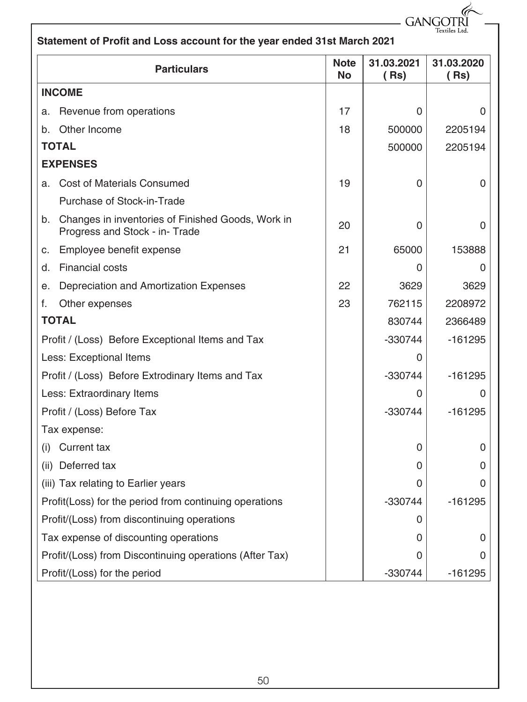## **Statement of Profit and Loss account for the year ended 31st March 2021** GANGOTRI

| <b>Particulars</b>                                                                        | <b>Note</b><br><b>No</b> | 31.03.2021<br>(Rs) | 31.03.2020<br>(Rs) |
|-------------------------------------------------------------------------------------------|--------------------------|--------------------|--------------------|
| <b>INCOME</b>                                                                             |                          |                    |                    |
| Revenue from operations<br>a.                                                             | 17                       | 0                  | 0                  |
| Other Income<br>b.                                                                        | 18                       | 500000             | 2205194            |
| <b>TOTAL</b>                                                                              |                          | 500000             | 2205194            |
| <b>EXPENSES</b>                                                                           |                          |                    |                    |
| <b>Cost of Materials Consumed</b><br>a.                                                   | 19                       | 0                  | 0                  |
| Purchase of Stock-in-Trade                                                                |                          |                    |                    |
| Changes in inventories of Finished Goods, Work in<br>b.<br>Progress and Stock - in- Trade | 20                       | 0                  | 0                  |
| Employee benefit expense<br>c.                                                            | 21                       | 65000              | 153888             |
| <b>Financial costs</b><br>d.                                                              |                          | 0                  | 0                  |
| Depreciation and Amortization Expenses<br>е.                                              | 22                       | 3629               | 3629               |
| f.<br>Other expenses                                                                      | 23                       | 762115             | 2208972            |
| <b>TOTAL</b>                                                                              |                          | 830744             | 2366489            |
| Profit / (Loss) Before Exceptional Items and Tax                                          |                          | -330744            | -161295            |
| Less: Exceptional Items                                                                   |                          | 0                  |                    |
| Profit / (Loss) Before Extrodinary Items and Tax                                          |                          | $-330744$          | -161295            |
| Less: Extraordinary Items                                                                 |                          | 0                  | 0                  |
| Profit / (Loss) Before Tax                                                                |                          | -330744            | $-161295$          |
| Tax expense:                                                                              |                          |                    |                    |
| Current tax<br>(i)                                                                        |                          | 0                  | 0                  |
| (ii) Deferred tax                                                                         |                          | 0                  | 0                  |
| (iii) Tax relating to Earlier years                                                       |                          | O                  | O                  |
| Profit(Loss) for the period from continuing operations                                    |                          | $-330744$          | -161295            |
| Profit/(Loss) from discontinuing operations                                               |                          | 0                  |                    |
| Tax expense of discounting operations                                                     |                          | 0                  | 0                  |
| Profit/(Loss) from Discontinuing operations (After Tax)                                   |                          | 0                  | U                  |
| Profit/(Loss) for the period                                                              |                          | -330744            | $-161295$          |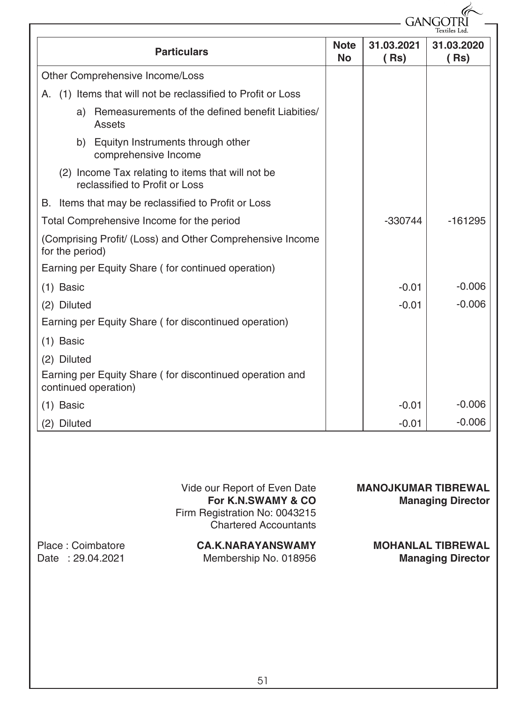|                                                                                     |                          | GANG               |                    |
|-------------------------------------------------------------------------------------|--------------------------|--------------------|--------------------|
| <b>Particulars</b>                                                                  | <b>Note</b><br><b>No</b> | 31.03.2021<br>(Rs) | 31.03.2020<br>(Rs) |
| Other Comprehensive Income/Loss                                                     |                          |                    |                    |
| A. (1) Items that will not be reclassified to Profit or Loss                        |                          |                    |                    |
| a) Remeasurements of the defined benefit Liabities/<br>Assets                       |                          |                    |                    |
| b) Equityn Instruments through other<br>comprehensive Income                        |                          |                    |                    |
| (2) Income Tax relating to items that will not be<br>reclassified to Profit or Loss |                          |                    |                    |
| B. Items that may be reclassified to Profit or Loss                                 |                          |                    |                    |
| Total Comprehensive Income for the period                                           |                          | $-330744$          | $-161295$          |
| (Comprising Profit/ (Loss) and Other Comprehensive Income<br>for the period)        |                          |                    |                    |
| Earning per Equity Share (for continued operation)                                  |                          |                    |                    |
| $(1)$ Basic                                                                         |                          | $-0.01$            | $-0.006$           |
| (2) Diluted                                                                         |                          | $-0.01$            | $-0.006$           |
| Earning per Equity Share (for discontinued operation)                               |                          |                    |                    |
| $(1)$ Basic                                                                         |                          |                    |                    |
| (2) Diluted                                                                         |                          |                    |                    |
| Earning per Equity Share (for discontinued operation and<br>continued operation)    |                          |                    |                    |
| $(1)$ Basic                                                                         |                          | $-0.01$            | $-0.006$           |
| (2) Diluted                                                                         |                          | $-0.01$            | $-0.006$           |

| Vide our Report of Even Date  |
|-------------------------------|
| For K.N.SWAMY & CO            |
| Firm Registration No: 0043215 |
| <b>Chartered Accountants</b>  |

| Place: Coimbatore | <b>CA.K.NARAYANSWAMY</b> | <b>MOHANLAL TIBREWAL</b> |
|-------------------|--------------------------|--------------------------|
| Date: 29.04.2021  | Membership No. 018956    | <b>Managing Director</b> |

**MANOJKUMAR TIBREWAL**

**Managing Director**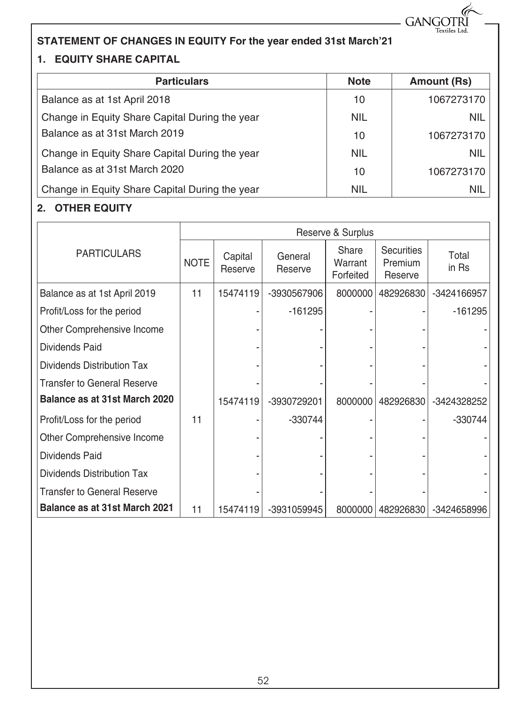

### **STATEMENT OF CHANGES IN EQUITY For the year ended 31st March'21**

#### **1. EQUITY SHARE CAPITAL**

| <b>Particulars</b>                             | <b>Note</b> | <b>Amount (Rs)</b> |
|------------------------------------------------|-------------|--------------------|
| Balance as at 1st April 2018                   | 10          | 1067273170         |
| Change in Equity Share Capital During the year | <b>NIL</b>  | <b>NIL</b>         |
| Balance as at 31st March 2019                  | 10          | 1067273170         |
| Change in Equity Share Capital During the year | <b>NIL</b>  | <b>NIL</b>         |
| Balance as at 31st March 2020                  | 10          | 1067273170         |
| Change in Equity Share Capital During the year | <b>NIL</b>  | <b>NIL</b>         |

#### **2. OTHER EQUITY**

|                                    | Reserve & Surplus |                    |                    |                               |                                                |                |
|------------------------------------|-------------------|--------------------|--------------------|-------------------------------|------------------------------------------------|----------------|
| <b>PARTICULARS</b>                 | <b>NOTE</b>       | Capital<br>Reserve | General<br>Reserve | Share<br>Warrant<br>Forfeited | <b>Securities</b><br><b>Premium</b><br>Reserve | Total<br>in Rs |
| Balance as at 1st April 2019       | 11                | 15474119           | -3930567906        | 8000000                       | 482926830                                      | -3424166957    |
| Profit/Loss for the period         |                   |                    | $-161295$          |                               |                                                | $-161295$      |
| Other Comprehensive Income         |                   |                    |                    |                               |                                                |                |
| Dividends Paid                     |                   |                    |                    |                               |                                                |                |
| Dividends Distribution Tax         |                   |                    |                    |                               |                                                |                |
| Transfer to General Reserve        |                   |                    |                    |                               |                                                |                |
| Balance as at 31st March 2020      |                   | 15474119           | -3930729201        | 8000000                       | 482926830                                      | -3424328252    |
| Profit/Loss for the period         | 11                |                    | -330744            |                               |                                                | -330744        |
| Other Comprehensive Income         |                   |                    |                    |                               |                                                |                |
| Dividends Paid                     |                   |                    |                    |                               |                                                |                |
| Dividends Distribution Tax         |                   |                    |                    |                               |                                                |                |
| <b>Transfer to General Reserve</b> |                   |                    |                    |                               |                                                |                |
| Balance as at 31st March 2021      | 11                | 15474119           | -3931059945        | 8000000                       | 482926830                                      | -3424658996    |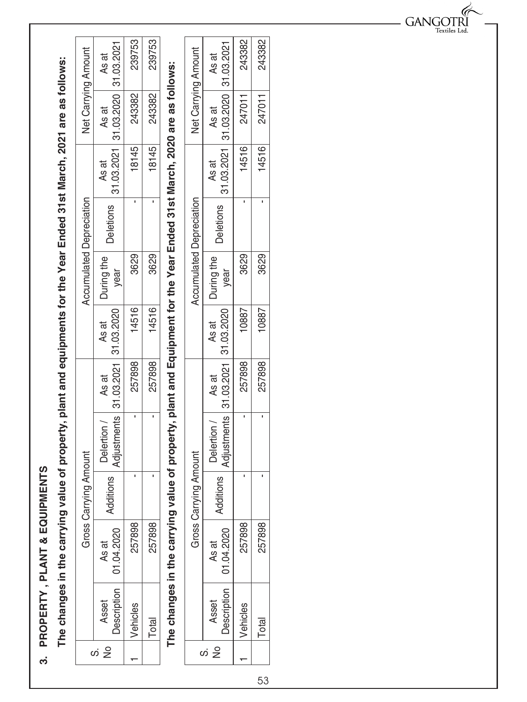PROPERTY, PLANT & EQUIPMENTS **3. PROPERTY , PLANT & EQUIPMENTS** က

The changes in the carrying value of property, plant and equipments for the Year Ended 31st March, 2021 are as follows: **The changes in the carrying value of property, plant and equipments for the Year Ended 31st March, 2021 are as follows:**

| <b>Net Carrying Amount</b>      | As at                                           | 239753  | 239753 |
|---------------------------------|-------------------------------------------------|---------|--------|
|                                 | As at                                           | 243382  | 243382 |
|                                 | $31.03.2021$   31.03.2020   31.03.2021<br>As at | 8145    | 18145  |
| <b>Accumulated Depreciation</b> | <b>Deletions</b>                                |         |        |
|                                 | Turing the<br>year                              | 3629    | 3629   |
|                                 | As at                                           | 14516   | 14516  |
|                                 | Adjustments   31.03.2021   31.03.2020<br>As at  | 257898  | 257898 |
|                                 | Delertion                                       |         |        |
| Tying Amount                    | ditions                                         |         |        |
| Gross Carr                      | 01.04.2020<br>As at                             | 257898  | 257898 |
|                                 | escription<br>Asset                             | ehicles | Total  |
|                                 | $\frac{\circ}{\mathbb{Z}}$<br>co                |         |        |

**The changes in the carrying value of property, plant and Equipment for the Year Ended 31st March, 2020 are as follows:**

The changes in the carrying value of property, plant and Equipment for the Year Ended 31st March, 2020 are as follows:

| <b>Net Carrying Amount</b>      | As at                                         | 243382       | 243382 |
|---------------------------------|-----------------------------------------------|--------------|--------|
|                                 | As at                                         | 14516 247011 | 247011 |
|                                 | 31.03.2021   31.03.2020   31.03.2021<br>As at |              | 14516  |
| <b>Accumulated Depreciation</b> | <b>Deletions</b>                              |              |        |
|                                 | Puring the<br>vear                            | 3629         | 3629   |
|                                 | As at                                         | 10887        | 10887  |
|                                 | \djustments 31.03.2021 31.03.2020<br>As at    | 257898       | 257898 |
|                                 | Delertion /                                   |              |        |
| rying Amount                    | ditions                                       |              |        |
| Gross Carr                      | 01.04.2020<br>As at                           | 257898       | 257898 |
|                                 | escription<br>Asset                           | enicles      | Total  |
|                                 | 是<br>တဲ                                       |              |        |

 $\operatorname*{GANGOTRI}_{\operatorname*{Textiles}\operatorname{Ltd}}$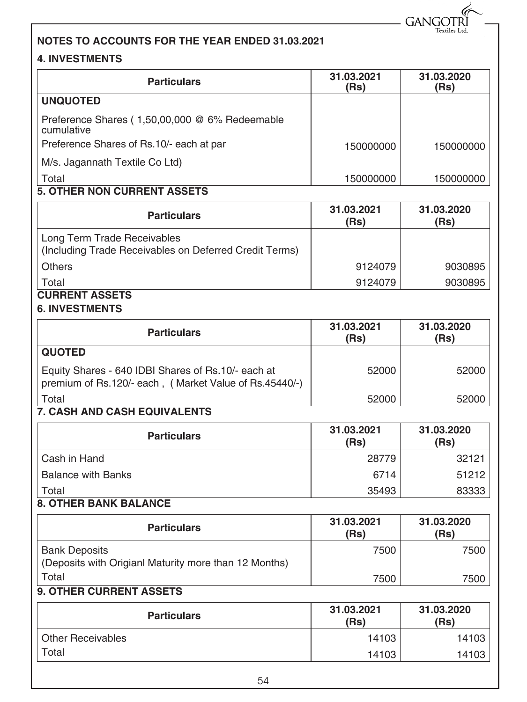$-$  GANGOTRI

#### **NOTES TO ACCOUNTS FOR THE YEAR ENDED 31.03.2021**

#### **4. INVESTMENTS**

| <b>Particulars</b>                                                                                           | 31.03.2021<br>(Rs) | 31.03.2020<br>(Rs) |
|--------------------------------------------------------------------------------------------------------------|--------------------|--------------------|
| <b>UNQUOTED</b>                                                                                              |                    |                    |
| Preference Shares (1,50,00,000 @ 6% Redeemable<br>cumulative                                                 |                    |                    |
| Preference Shares of Rs.10/- each at par                                                                     | 150000000          | 150000000          |
| M/s. Jagannath Textile Co Ltd)                                                                               |                    |                    |
| Total                                                                                                        | 150000000          | 150000000          |
| <b>5. OTHER NON CURRENT ASSETS</b>                                                                           |                    |                    |
| <b>Particulars</b>                                                                                           | 31.03.2021<br>(Rs) | 31.03.2020<br>(Rs) |
| Long Term Trade Receivables<br>(Including Trade Receivables on Deferred Credit Terms)                        |                    |                    |
| <b>Others</b>                                                                                                | 9124079            | 9030895            |
| Total                                                                                                        | 9124079            | 9030895            |
| <b>CURRENT ASSETS</b><br><b>6. INVESTMENTS</b>                                                               |                    |                    |
| <b>Particulars</b>                                                                                           | 31.03.2021<br>(Rs) | 31.03.2020<br>(Rs) |
| <b>QUOTED</b>                                                                                                |                    |                    |
| Equity Shares - 640 IDBI Shares of Rs.10/- each at<br>premium of Rs.120/- each, (Market Value of Rs.45440/-) | 52000              | 52000              |
| Total                                                                                                        | 52000              | 52000              |
| 7. CASH AND CASH EQUIVALENTS                                                                                 |                    |                    |
| <b>Particulars</b>                                                                                           | 31.03.2021<br>(Rs) | 31.03.2020<br>(Rs) |
| Cash in Hand                                                                                                 | 28779              | 32121              |
| <b>Balance with Banks</b>                                                                                    | 6714               | 51212              |
| Total                                                                                                        | 35493              | 83333              |
| <b>8. OTHER BANK BALANCE</b>                                                                                 |                    |                    |
| <b>Particulars</b>                                                                                           | 31.03.2021<br>(Rs) | 31.03.2020<br>(Rs) |
| <b>Bank Deposits</b><br>(Deposits with Origianl Maturity more than 12 Months)                                | 7500               | 7500               |
| Total                                                                                                        | 7500               | 7500               |
| 9. OTHER CURRENT ASSETS                                                                                      |                    |                    |
| <b>Particulars</b>                                                                                           | 31.03.2021<br>(Rs) | 31.03.2020<br>(Rs) |
| <b>Other Receivables</b>                                                                                     | 14103              | 14103              |
| Total                                                                                                        | 14103              | 14103              |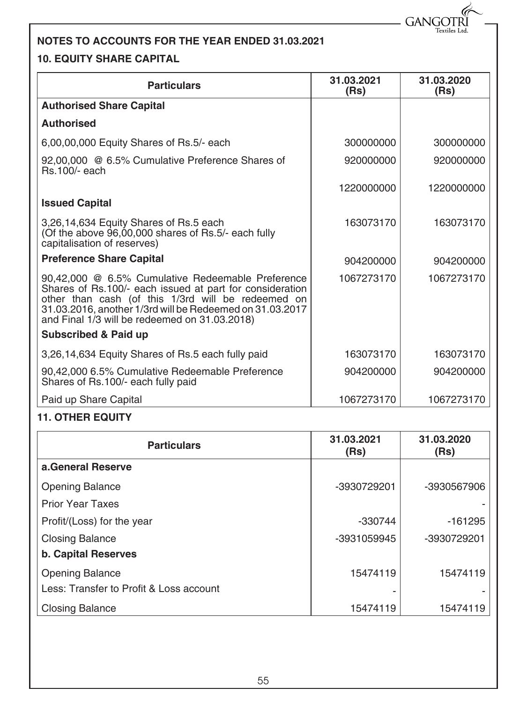- GANGOTRÌ Textiles Ltd.

#### **NOTES TO ACCOUNTS FOR THE YEAR ENDED 31.03.2021**

#### **10. EQUITY SHARE CAPITAL**

| <b>Particulars</b>                                                                                                                                                                                                                                                               | 31.03.2021<br>(Rs) | 31.03.2020<br>(Rs) |
|----------------------------------------------------------------------------------------------------------------------------------------------------------------------------------------------------------------------------------------------------------------------------------|--------------------|--------------------|
| <b>Authorised Share Capital</b>                                                                                                                                                                                                                                                  |                    |                    |
| <b>Authorised</b>                                                                                                                                                                                                                                                                |                    |                    |
| 6,00,00,000 Equity Shares of Rs.5/- each                                                                                                                                                                                                                                         | 300000000          | 300000000          |
| 92,00,000 @ 6.5% Cumulative Preference Shares of<br><b>Rs.100/- each</b>                                                                                                                                                                                                         | 920000000          | 920000000          |
|                                                                                                                                                                                                                                                                                  | 1220000000         | 1220000000         |
| <b>Issued Capital</b>                                                                                                                                                                                                                                                            |                    |                    |
| 3,26,14,634 Equity Shares of Rs.5 each<br>(Of the above 96,00,000 shares of Rs.5/- each fully<br>capitalisation of reserves)                                                                                                                                                     | 163073170          | 163073170          |
| <b>Preference Share Capital</b>                                                                                                                                                                                                                                                  | 904200000          | 904200000          |
| 90,42,000 @ 6.5% Cumulative Redeemable Preference<br>Shares of Rs.100/- each issued at part for consideration<br>other than cash (of this 1/3rd will be redeemed on<br>31.03.2016, another 1/3rd will be Redeemed on 31.03.2017<br>and Final 1/3 will be redeemed on 31.03.2018) | 1067273170         | 1067273170         |
| <b>Subscribed &amp; Paid up</b>                                                                                                                                                                                                                                                  |                    |                    |
| 3,26,14,634 Equity Shares of Rs.5 each fully paid                                                                                                                                                                                                                                | 163073170          | 163073170          |
| 90,42,000 6.5% Cumulative Redeemable Preference<br>Shares of Rs.100/- each fully paid                                                                                                                                                                                            | 904200000          | 904200000          |
| Paid up Share Capital                                                                                                                                                                                                                                                            | 1067273170         | 1067273170         |

#### **11. OTHER EQUITY**

| <b>Particulars</b>                      | 31.03.2021<br>(Rs) | 31.03.2020<br>(Rs) |
|-----------------------------------------|--------------------|--------------------|
| a.General Reserve                       |                    |                    |
| <b>Opening Balance</b>                  | -3930729201        | -3930567906        |
| <b>Prior Year Taxes</b>                 |                    |                    |
| Profit/(Loss) for the year              | $-330744$          | $-161295$          |
| <b>Closing Balance</b>                  | -3931059945        | -3930729201        |
| <b>b. Capital Reserves</b>              |                    |                    |
| <b>Opening Balance</b>                  | 15474119           | 15474119           |
| Less: Transfer to Profit & Loss account |                    |                    |
| <b>Closing Balance</b>                  | 15474119           | 15474119           |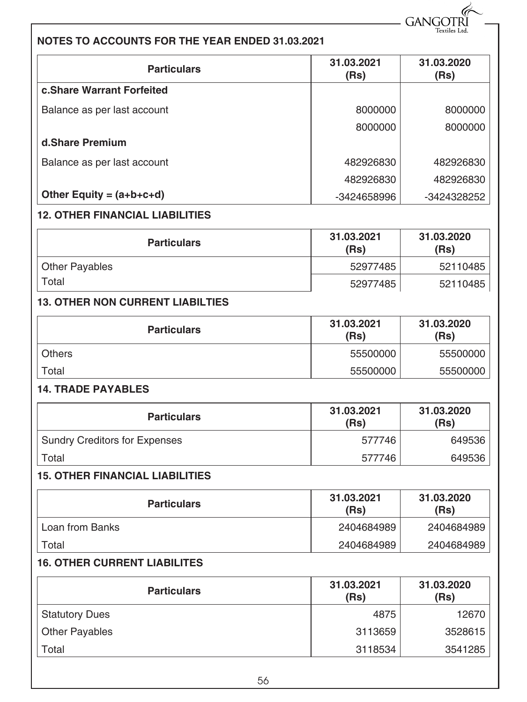- GANGOTR **Textiles Ltd** 

#### **NOTES TO ACCOUNTS FOR THE YEAR ENDED 31.03.2021**

| <b>Particulars</b>                     | 31.03.2021<br>(Rs) | 31.03.2020<br>(Rs) |
|----------------------------------------|--------------------|--------------------|
| c.Share Warrant Forfeited              |                    |                    |
| Balance as per last account            | 8000000            | 8000000            |
|                                        | 8000000            | 8000000            |
| d.Share Premium                        |                    |                    |
| Balance as per last account            | 482926830          | 482926830          |
|                                        | 482926830          | 482926830          |
| Other Equity = $(a+b+c+d)$             | -3424658996        | -3424328252        |
| <b>12. OTHER FINANCIAL LIABILITIES</b> |                    |                    |

| <b>Particulars</b> | 31.03.2021<br>(Rs) | 31.03.2020<br>(Rs) |
|--------------------|--------------------|--------------------|
| Other Payables     | 52977485           | 52110485           |
| Total              | 52977485           | 52110485           |

#### **13. OTHER NON CURRENT LIABILTIES**

| <b>Particulars</b> | 31.03.2021<br>(Rs) | 31.03.2020<br>(Rs) |
|--------------------|--------------------|--------------------|
| <b>Others</b>      | 55500000           | 55500000           |
| Total              | 55500000           | 55500000           |

#### **14. TRADE PAYABLES**

| <b>Particulars</b>            | 31.03.2021<br>(Rs) | 31.03.2020<br>(Rs) |
|-------------------------------|--------------------|--------------------|
| Sundry Creditors for Expenses | 577746             | 649536             |
| Total                         | 577746             | 649536             |

#### **15. OTHER FINANCIAL LIABILITIES**

| <b>Particulars</b> | 31.03.2021<br>(Rs) | 31.03.2020<br>(Rs) |
|--------------------|--------------------|--------------------|
| Loan from Banks    | 2404684989         | 2404684989         |
| Total              | 2404684989         | 2404684989         |

#### **16. OTHER CURRENT LIABILITES**

| <b>Particulars</b>    | 31.03.2021<br>(Rs) | 31.03.2020<br>(Rs) |
|-----------------------|--------------------|--------------------|
| <b>Statutory Dues</b> | 4875               | 12670              |
| Other Payables        | 3113659            | 3528615            |
| Total                 | 3118534            | 3541285            |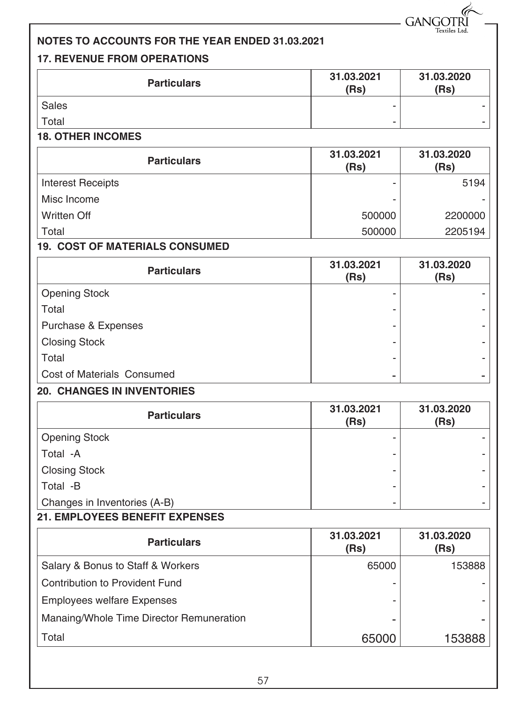- GANGOTR extiles l

#### **NOTES TO ACCOUNTS FOR THE YEAR ENDED 31.03.2021**

#### **17. REVENUE FROM OPERATIONS**

| <b>Particulars</b> | 31.03.2021<br>(Rs) | 31.03.2020<br>(Rs) |
|--------------------|--------------------|--------------------|
| Sales              | -                  | -                  |
| Total              |                    |                    |

#### **18. OTHER INCOMES**

| <b>Particulars</b>       | 31.03.2021<br>(Rs) | 31.03.2020<br>(Rs) |
|--------------------------|--------------------|--------------------|
| <b>Interest Receipts</b> |                    | 5194               |
| Misc Income              |                    |                    |
| <b>Written Off</b>       | 500000             | 2200000            |
| Total                    | 500000             | 2205194            |

#### **19. COST OF MATERIALS CONSUMED**

| <b>Particulars</b>         | 31.03.2021<br>(Rs) | 31.03.2020<br>(Rs) |
|----------------------------|--------------------|--------------------|
| <b>Opening Stock</b>       | ۰                  |                    |
| Total                      |                    |                    |
| Purchase & Expenses        |                    |                    |
| <b>Closing Stock</b>       | -                  |                    |
| Total                      |                    |                    |
| Cost of Materials Consumed |                    |                    |

#### **20. CHANGES IN INVENTORIES**

| <b>Particulars</b>           | 31.03.2021<br>(Rs) | 31.03.2020<br>(Rs) |
|------------------------------|--------------------|--------------------|
| <b>Opening Stock</b>         |                    |                    |
| Total -A                     |                    | -                  |
| <b>Closing Stock</b>         |                    |                    |
| Total -B                     |                    |                    |
| Changes in Inventories (A-B) |                    | ۰                  |

#### **21. EMPLOYEES BENEFIT EXPENSES**

| <b>Particulars</b>                       | 31.03.2021<br>(Rs) | 31.03.2020<br>(Rs) |
|------------------------------------------|--------------------|--------------------|
| Salary & Bonus to Staff & Workers        | 65000              | 153888             |
| Contribution to Provident Fund           |                    |                    |
| <b>Employees welfare Expenses</b>        |                    |                    |
| Manaing/Whole Time Director Remuneration |                    |                    |
| Total                                    | 65000              | 153888             |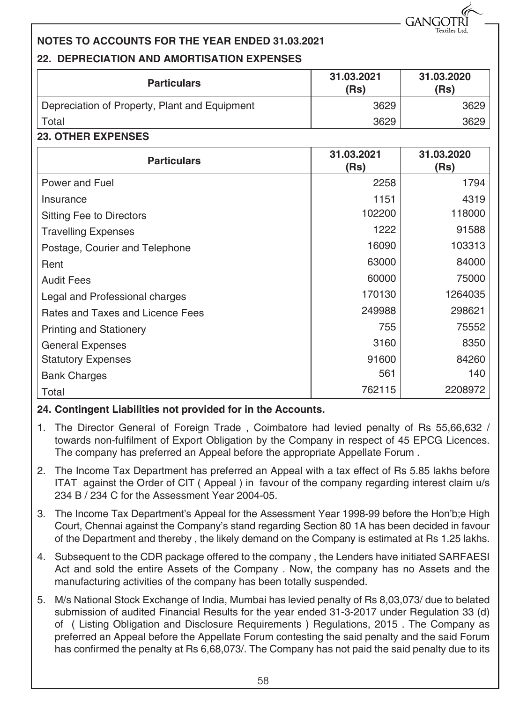**GANGO** 

#### **NOTES TO ACCOUNTS FOR THE YEAR ENDED 31.03.2021 22. DEPRECIATION AND AMORTISATION EXPENSES**

| <b>Particulars</b>                            | 31.03.2021<br>(Rs) | 31.03.2020<br>(Rs) |
|-----------------------------------------------|--------------------|--------------------|
| Depreciation of Property, Plant and Equipment | 3629               | 3629               |
| Total                                         | 3629               | 3629               |

#### **23. OTHER EXPENSES**

| <b>Particulars</b>               | 31.03.2021<br>(Rs) | 31.03.2020<br>(Rs) |
|----------------------------------|--------------------|--------------------|
| Power and Fuel                   | 2258               | 1794               |
| Insurance                        | 1151               | 4319               |
| <b>Sitting Fee to Directors</b>  | 102200             | 118000             |
| <b>Travelling Expenses</b>       | 1222               | 91588              |
| Postage, Courier and Telephone   | 16090              | 103313             |
| Rent                             | 63000              | 84000              |
| <b>Audit Fees</b>                | 60000              | 75000              |
| Legal and Professional charges   | 170130             | 1264035            |
| Rates and Taxes and Licence Fees | 249988             | 298621             |
| <b>Printing and Stationery</b>   | 755                | 75552              |
| <b>General Expenses</b>          | 3160               | 8350               |
| <b>Statutory Expenses</b>        | 91600              | 84260              |
| <b>Bank Charges</b>              | 561                | 140                |
| Total                            | 762115             | 2208972            |

#### **24. Contingent Liabilities not provided for in the Accounts.**

- 1. The Director General of Foreign Trade , Coimbatore had levied penalty of Rs 55,66,632 / towards non-fulfilment of Export Obligation by the Company in respect of 45 EPCG Licences. The company has preferred an Appeal before the appropriate Appellate Forum .
- 2. The Income Tax Department has preferred an Appeal with a tax effect of Rs 5.85 lakhs before ITAT against the Order of CIT ( Appeal ) in favour of the company regarding interest claim u/s 234 B / 234 C for the Assessment Year 2004-05.
- 3. The Income Tax Department's Appeal for the Assessment Year 1998-99 before the Hon'b;e High Court, Chennai against the Company's stand regarding Section 80 1A has been decided in favour of the Department and thereby , the likely demand on the Company is estimated at Rs 1.25 lakhs.
- 4. Subsequent to the CDR package offered to the company , the Lenders have initiated SARFAESI Act and sold the entire Assets of the Company . Now, the company has no Assets and the manufacturing activities of the company has been totally suspended.
- 5. M/s National Stock Exchange of India, Mumbai has levied penalty of Rs 8,03,073/ due to belated submission of audited Financial Results for the year ended 31-3-2017 under Regulation 33 (d) of ( Listing Obligation and Disclosure Requirements ) Regulations, 2015 . The Company as preferred an Appeal before the Appellate Forum contesting the said penalty and the said Forum has confirmed the penalty at Rs 6,68,073/. The Company has not paid the said penalty due to its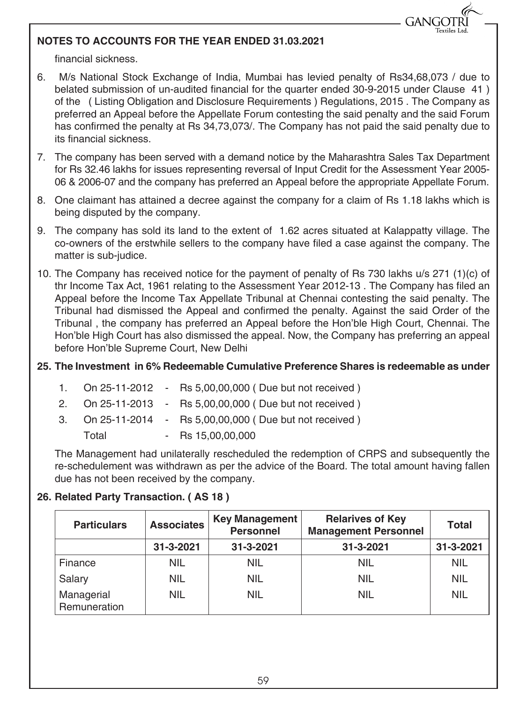## **GANGO**

#### **NOTES TO ACCOUNTS FOR THE YEAR ENDED 31.03.2021**

financial sickness.

- 6. M/s National Stock Exchange of India, Mumbai has levied penalty of Rs34,68,073 / due to belated submission of un-audited financial for the quarter ended 30-9-2015 under Clause 41 ) of the ( Listing Obligation and Disclosure Requirements ) Regulations, 2015 . The Company as preferred an Appeal before the Appellate Forum contesting the said penalty and the said Forum has confirmed the penalty at Rs 34,73,073/. The Company has not paid the said penalty due to its financial sickness.
- 7. The company has been served with a demand notice by the Maharashtra Sales Tax Department for Rs 32.46 lakhs for issues representing reversal of Input Credit for the Assessment Year 2005- 06 & 2006-07 and the company has preferred an Appeal before the appropriate Appellate Forum.
- 8. One claimant has attained a decree against the company for a claim of Rs 1.18 lakhs which is being disputed by the company.
- 9. The company has sold its land to the extent of 1.62 acres situated at Kalappatty village. The co-owners of the erstwhile sellers to the company have filed a case against the company. The matter is sub-judice.
- 10. The Company has received notice for the payment of penalty of Rs 730 lakhs u/s 271 (1)(c) of thr Income Tax Act, 1961 relating to the Assessment Year 2012-13 . The Company has filed an Appeal before the Income Tax Appellate Tribunal at Chennai contesting the said penalty. The Tribunal had dismissed the Appeal and confirmed the penalty. Against the said Order of the Tribunal , the company has preferred an Appeal before the Hon'ble High Court, Chennai. The Hon'ble High Court has also dismissed the appeal. Now, the Company has preferring an appeal before Hon'ble Supreme Court, New Delhi

#### **25. The Investment in 6% Redeemable Cumulative Preference Shares is redeemable as under**

- 1. On 25-11-2012 Rs 5,00,00,000 ( Due but not received )
- 2. On 25-11-2013 Rs 5,00,00,000 ( Due but not received )
- 3. On 25-11-2014 Rs 5,00,00,000 ( Due but not received )
	- Total Rs 15,00,00,000

The Management had unilaterally rescheduled the redemption of CRPS and subsequently the re-schedulement was withdrawn as per the advice of the Board. The total amount having fallen due has not been received by the company.

#### **26. Related Party Transaction. ( AS 18 )**

| <b>Associates</b><br><b>Particulars</b> |            | <b>Key Management</b><br><b>Personnel</b> | <b>Relarives of Key</b><br><b>Total</b><br><b>Management Personnel</b> |                 |
|-----------------------------------------|------------|-------------------------------------------|------------------------------------------------------------------------|-----------------|
|                                         | 31-3-2021  | 31-3-2021                                 | 31-3-2021                                                              | $31 - 3 - 2021$ |
| Finance                                 | <b>NIL</b> | <b>NIL</b>                                | <b>NIL</b>                                                             | <b>NIL</b>      |
| Salary                                  | <b>NIL</b> | <b>NIL</b>                                | <b>NIL</b>                                                             | NIL             |
| Managerial<br>Remuneration              | <b>NIL</b> | <b>NIL</b>                                | <b>NIL</b>                                                             | <b>NIL</b>      |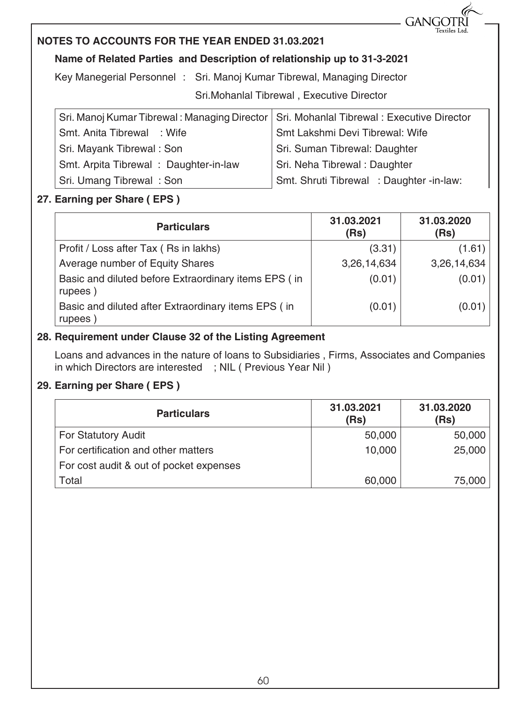

#### **NOTES TO ACCOUNTS FOR THE YEAR ENDED 31.03.2021**

#### **Name of Related Parties and Description of relationship up to 31-3-2021**

Key Manegerial Personnel : Sri. Manoj Kumar Tibrewal, Managing Director

Sri.Mohanlal Tibrewal , Executive Director

| Sri. Manoj Kumar Tibrewal: Managing Director   Sri. Mohanlal Tibrewal: Executive Director |                                          |  |  |
|-------------------------------------------------------------------------------------------|------------------------------------------|--|--|
| Smt. Anita Tibrewal : Wife                                                                | Smt Lakshmi Devi Tibrewal: Wife          |  |  |
| Sri. Mayank Tibrewal: Son                                                                 | Sri. Suman Tibrewal: Daughter            |  |  |
| Smt. Arpita Tibrewal: Daughter-in-law                                                     | Sri. Neha Tibrewal: Daughter             |  |  |
| Sri. Umang Tibrewal: Son                                                                  | Smt. Shruti Tibrewal : Daughter -in-law: |  |  |

#### **27. Earning per Share ( EPS )**

| <b>Particulars</b>                                              | 31.03.2021<br>(Rs) | 31.03.2020<br>(Rs) |
|-----------------------------------------------------------------|--------------------|--------------------|
| Profit / Loss after Tax (Rs in lakhs)                           | (3.31)             | (1.61)             |
| Average number of Equity Shares                                 | 3,26,14,634        | 3,26,14,634        |
| Basic and diluted before Extraordinary items EPS (in<br>rupees) | (0.01)             | (0.01)             |
| Basic and diluted after Extraordinary items EPS (in<br>rupees)  | (0.01)             | (0.01)             |

#### **28. Requirement under Clause 32 of the Listing Agreement**

Loans and advances in the nature of loans to Subsidiaries , Firms, Associates and Companies in which Directors are interested ; NIL ( Previous Year Nil )

#### **29. Earning per Share ( EPS )**

| <b>Particulars</b>                      | 31.03.2021<br>(Rs) | 31.03.2020<br>(Rs) |
|-----------------------------------------|--------------------|--------------------|
| For Statutory Audit                     | 50,000             | 50,000             |
| For certification and other matters     | 10,000             | 25,000             |
| For cost audit & out of pocket expenses |                    |                    |
| Total                                   | 60,000             | 75,000             |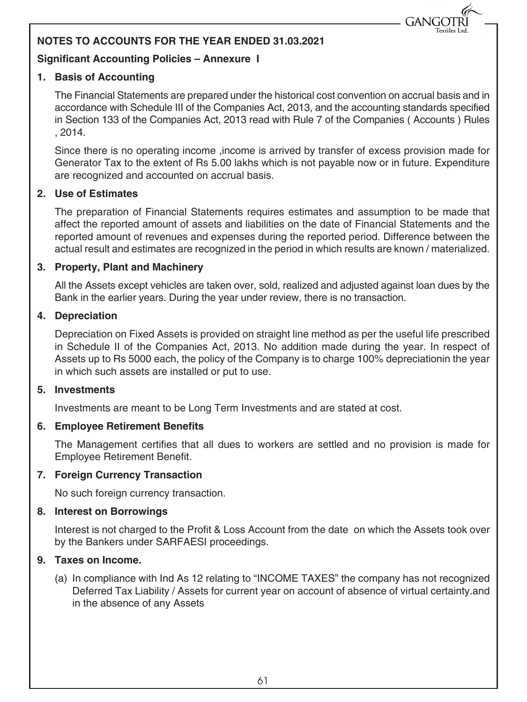#### **NOTES TO ACCOUNTS FOR THE YEAR ENDED 31.03.2021**

#### **Significant Accounting Policies – Annexure I**

#### **1. Basis of Accounting**

The Financial Statements are prepared under the historical cost convention on accrual basis and in accordance with Schedule III of the Companies Act, 2013, and the accounting standards specified in Section 133 of the Companies Act, 2013 read with Rule 7 of the Companies ( Accounts ) Rules , 2014.

**GANG** 

Since there is no operating income ,income is arrived by transfer of excess provision made for Generator Tax to the extent of Rs 5.00 lakhs which is not payable now or in future. Expenditure are recognized and accounted on accrual basis.

#### **2. Use of Estimates**

The preparation of Financial Statements requires estimates and assumption to be made that affect the reported amount of assets and liabilities on the date of Financial Statements and the reported amount of revenues and expenses during the reported period. Difference between the actual result and estimates are recognized in the period in which results are known / materialized.

#### **3. Property, Plant and Machinery**

All the Assets except vehicles are taken over, sold, realized and adjusted against loan dues by the Bank in the earlier years. During the year under review, there is no transaction.

#### **4. Depreciation**

Depreciation on Fixed Assets is provided on straight line method as per the useful life prescribed in Schedule II of the Companies Act, 2013. No addition made during the year. In respect of Assets up to Rs 5000 each, the policy of the Company is to charge 100% depreciationin the year in which such assets are installed or put to use.

#### **5. Investments**

Investments are meant to be Long Term Investments and are stated at cost.

#### **6. Employee Retirement Benefits**

The Management certifies that all dues to workers are settled and no provision is made for Employee Retirement Benefit.

#### **7. Foreign Currency Transaction**

No such foreign currency transaction.

#### **8. Interest on Borrowings**

Interest is not charged to the Profit & Loss Account from the date on which the Assets took over by the Bankers under SARFAESI proceedings.

#### **9. Taxes on Income.**

(a) In compliance with Ind As 12 relating to "INCOME TAXES" the company has not recognized Deferred Tax Liability / Assets for current year on account of absence of virtual certainty.and in the absence of any Assets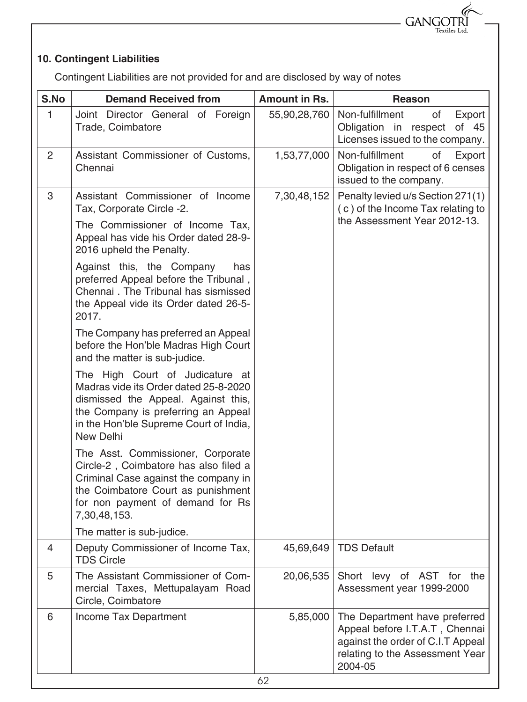#### **10. Contingent Liabilities**

Contingent Liabilities are not provided for and are disclosed by way of notes

GANGOTRI Textiles Ltd.

| S.No         | <b>Demand Received from</b>                                                                                                                                                                                   | <b>Amount in Rs.</b> | Reason                                                                                                                                             |
|--------------|---------------------------------------------------------------------------------------------------------------------------------------------------------------------------------------------------------------|----------------------|----------------------------------------------------------------------------------------------------------------------------------------------------|
| $\mathbf{1}$ | Joint Director General of Foreign<br>Trade, Coimbatore                                                                                                                                                        | 55,90,28,760         | Non-fulfillment<br>Export<br>οf<br>Obligation in respect<br>of 45<br>Licenses issued to the company.                                               |
| 2            | Assistant Commissioner of Customs,<br>Chennai                                                                                                                                                                 | 1,53,77,000          | Non-fulfillment<br>of<br>Export<br>Obligation in respect of 6 censes<br>issued to the company.                                                     |
| 3            | Assistant Commissioner of Income<br>Tax, Corporate Circle -2.                                                                                                                                                 | 7,30,48,152          | Penalty levied u/s Section 271(1)<br>(c) of the Income Tax relating to                                                                             |
|              | The Commissioner of Income Tax,<br>Appeal has vide his Order dated 28-9-<br>2016 upheld the Penalty.                                                                                                          |                      | the Assessment Year 2012-13.                                                                                                                       |
|              | Against this, the Company<br>has<br>preferred Appeal before the Tribunal,<br>Chennai. The Tribunal has sismissed<br>the Appeal vide its Order dated 26-5-<br>2017.                                            |                      |                                                                                                                                                    |
|              | The Company has preferred an Appeal<br>before the Hon'ble Madras High Court<br>and the matter is sub-judice.                                                                                                  |                      |                                                                                                                                                    |
|              | The High Court of Judicature at<br>Madras vide its Order dated 25-8-2020<br>dismissed the Appeal. Against this,<br>the Company is preferring an Appeal<br>in the Hon'ble Supreme Court of India,<br>New Delhi |                      |                                                                                                                                                    |
|              | The Asst. Commissioner, Corporate<br>Circle-2, Coimbatore has also filed a<br>Criminal Case against the company in<br>the Coimbatore Court as punishment<br>for non payment of demand for Rs<br>7,30,48,153.  |                      |                                                                                                                                                    |
|              | The matter is sub-judice.                                                                                                                                                                                     |                      |                                                                                                                                                    |
| 4            | Deputy Commissioner of Income Tax,<br><b>TDS Circle</b>                                                                                                                                                       | 45,69,649            | <b>TDS Default</b>                                                                                                                                 |
| 5            | The Assistant Commissioner of Com-<br>mercial Taxes, Mettupalayam Road<br>Circle, Coimbatore                                                                                                                  | 20,06,535            | Short levy of AST for the<br>Assessment year 1999-2000                                                                                             |
| 6            | Income Tax Department                                                                                                                                                                                         | 5,85,000             | The Department have preferred<br>Appeal before I.T.A.T, Chennai<br>against the order of C.I.T Appeal<br>relating to the Assessment Year<br>2004-05 |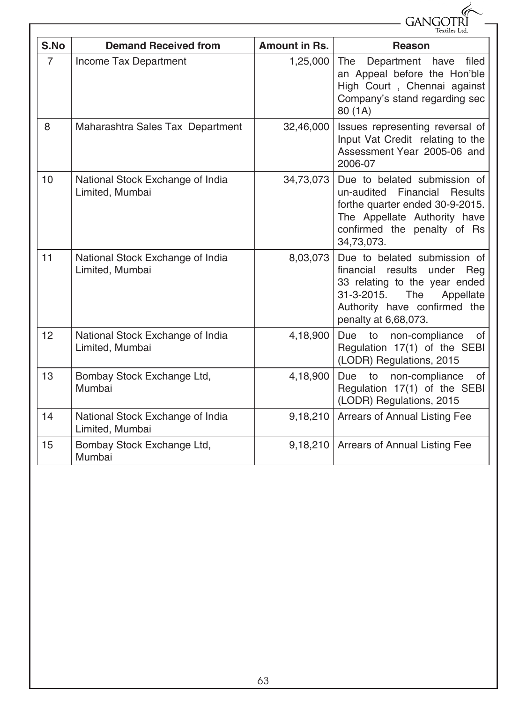|                | <b>GANGO</b>                                        |                      |                                                                                                                                                                                        |  |  |  |
|----------------|-----------------------------------------------------|----------------------|----------------------------------------------------------------------------------------------------------------------------------------------------------------------------------------|--|--|--|
| S.No           | <b>Demand Received from</b>                         | <b>Amount in Rs.</b> | Textiles Ltd.<br>Reason                                                                                                                                                                |  |  |  |
| $\overline{7}$ | Income Tax Department                               | 1,25,000             | The<br>Department have<br>filed<br>an Appeal before the Hon'ble<br>High Court, Chennai against<br>Company's stand regarding sec<br>80 (1A)                                             |  |  |  |
| 8              | Maharashtra Sales Tax Department                    | 32,46,000            | Issues representing reversal of<br>Input Vat Credit relating to the<br>Assessment Year 2005-06 and<br>2006-07                                                                          |  |  |  |
| 10             | National Stock Exchange of India<br>Limited, Mumbai | 34,73,073            | Due to belated submission of<br>un-audited Financial<br><b>Results</b><br>forthe quarter ended 30-9-2015.<br>The Appellate Authority have<br>confirmed the penalty of Rs<br>34,73,073. |  |  |  |
| 11             | National Stock Exchange of India<br>Limited, Mumbai | 8,03,073             | Due to belated submission of<br>financial results under Reg<br>33 relating to the year ended<br>The<br>31-3-2015.<br>Appellate<br>Authority have confirmed the<br>penalty at 6,68,073. |  |  |  |
| 12             | National Stock Exchange of India<br>Limited, Mumbai | 4,18,900             | Due<br>to<br>non-compliance<br>of<br>Regulation 17(1) of the SEBI<br>(LODR) Regulations, 2015                                                                                          |  |  |  |
| 13             | Bombay Stock Exchange Ltd,<br>Mumbai                | 4,18,900             | non-compliance<br>of<br>Due<br>to<br>Regulation 17(1) of the SEBI<br>(LODR) Regulations, 2015                                                                                          |  |  |  |
| 14             | National Stock Exchange of India<br>Limited, Mumbai | 9,18,210             | Arrears of Annual Listing Fee                                                                                                                                                          |  |  |  |
| 15             | Bombay Stock Exchange Ltd,<br>Mumbai                | 9,18,210             | Arrears of Annual Listing Fee                                                                                                                                                          |  |  |  |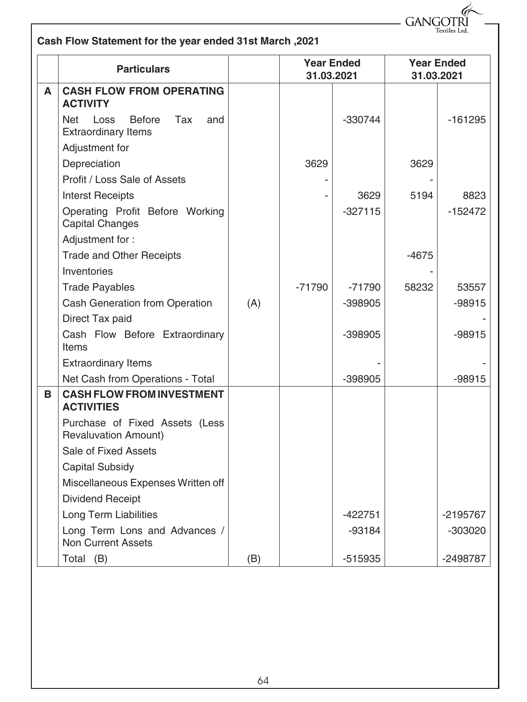$GANGOTRI$ 

| Cash Flow Statement for the year ended 31st March, 2021 |  |  |
|---------------------------------------------------------|--|--|
|---------------------------------------------------------|--|--|

|   | <b>Particulars</b>                                                       |     | 31.03.2021 | <b>Year Ended</b> |       | <b>Year Ended</b><br>31.03.2021 |
|---|--------------------------------------------------------------------------|-----|------------|-------------------|-------|---------------------------------|
| A | <b>CASH FLOW FROM OPERATING</b><br><b>ACTIVITY</b>                       |     |            |                   |       |                                 |
|   | <b>Before</b><br>Tax<br>Loss<br>Net<br>and<br><b>Extraordinary Items</b> |     |            | -330744           |       | -161295                         |
|   | Adjustment for                                                           |     |            |                   |       |                                 |
|   | Depreciation                                                             |     | 3629       |                   | 3629  |                                 |
|   | Profit / Loss Sale of Assets                                             |     |            |                   |       |                                 |
|   | <b>Interst Receipts</b>                                                  |     |            | 3629              | 5194  | 8823                            |
|   | Operating Profit Before Working<br><b>Capital Changes</b>                |     |            | $-327115$         |       | $-152472$                       |
|   | Adjustment for:                                                          |     |            |                   |       |                                 |
|   | <b>Trade and Other Receipts</b>                                          |     |            |                   | -4675 |                                 |
|   | Inventories                                                              |     |            |                   |       |                                 |
|   | <b>Trade Payables</b>                                                    |     | $-71790$   | $-71790$          | 58232 | 53557                           |
|   | Cash Generation from Operation                                           | (A) |            | $-398905$         |       | $-98915$                        |
|   | Direct Tax paid                                                          |     |            |                   |       |                                 |
|   | Cash Flow Before Extraordinary<br>Items                                  |     |            | -398905           |       | $-98915$                        |
|   | <b>Extraordinary Items</b>                                               |     |            |                   |       |                                 |
|   | Net Cash from Operations - Total                                         |     |            | $-398905$         |       | $-98915$                        |
| B | <b>CASH FLOW FROM INVESTMENT</b><br><b>ACTIVITIES</b>                    |     |            |                   |       |                                 |
|   | Purchase of Fixed Assets (Less<br><b>Revaluvation Amount)</b>            |     |            |                   |       |                                 |
|   | Sale of Fixed Assets                                                     |     |            |                   |       |                                 |
|   | <b>Capital Subsidy</b>                                                   |     |            |                   |       |                                 |
|   | Miscellaneous Expenses Written off                                       |     |            |                   |       |                                 |
|   | <b>Dividend Receipt</b>                                                  |     |            |                   |       |                                 |
|   | <b>Long Term Liabilities</b>                                             |     |            | -422751           |       | -2195767                        |
|   | Long Term Lons and Advances /<br><b>Non Current Assets</b>               |     |            | $-93184$          |       | -303020                         |
|   | Total (B)                                                                | (B) |            | -515935           |       | -2498787                        |